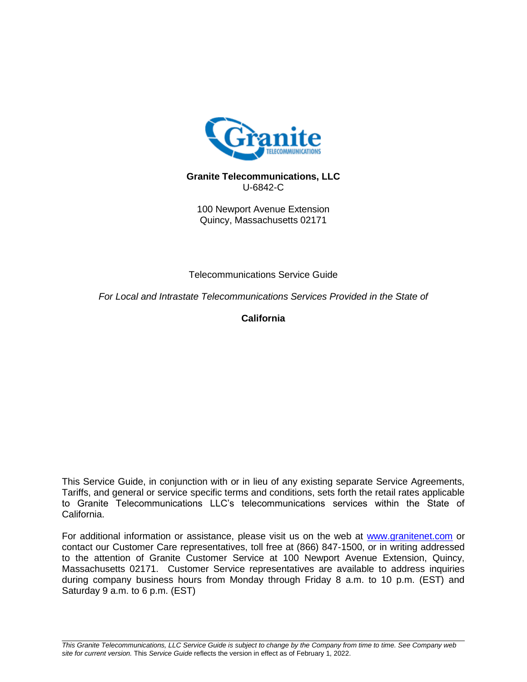

### **Granite Telecommunications, LLC** U-6842-C

100 Newport Avenue Extension Quincy, Massachusetts 02171

Telecommunications Service Guide

*For Local and Intrastate Telecommunications Services Provided in the State of*

**California**

This Service Guide, in conjunction with or in lieu of any existing separate Service Agreements, Tariffs, and general or service specific terms and conditions, sets forth the retail rates applicable to Granite Telecommunications LLC's telecommunications services within the State of California.

For additional information or assistance, please visit us on the web at [www.granitenet.com](http://www.granitenet.com/) or contact our Customer Care representatives, toll free at (866) 847-1500, or in writing addressed to the attention of Granite Customer Service at 100 Newport Avenue Extension, Quincy, Massachusetts 02171. Customer Service representatives are available to address inquiries during company business hours from Monday through Friday 8 a.m. to 10 p.m. (EST) and Saturday 9 a.m. to 6 p.m. (EST)

*This Granite Telecommunications, LLC Service Guide is subject to change by the Company from time to time. See Company web site for current version.* This *Service Guide* reflects the version in effect as of February 1, 2022.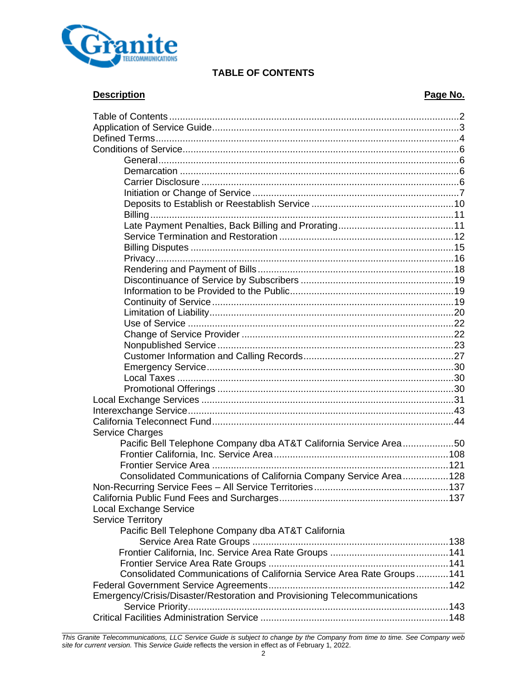

# **TABLE OF CONTENTS**

# **Description Page No.**

| <b>Service Charges</b><br>Pacific Bell Telephone Company dba AT&T California Service Area50 |  |
|---------------------------------------------------------------------------------------------|--|
|                                                                                             |  |
|                                                                                             |  |
| Consolidated Communications of California Company Service Area128                           |  |
|                                                                                             |  |
|                                                                                             |  |
| <b>Local Exchange Service</b>                                                               |  |
| <b>Service Territory</b>                                                                    |  |
| Pacific Bell Telephone Company dba AT&T California                                          |  |
|                                                                                             |  |
|                                                                                             |  |
|                                                                                             |  |
| Consolidated Communications of California Service Area Rate Groups141                       |  |
|                                                                                             |  |
| Emergency/Crisis/Disaster/Restoration and Provisioning Telecommunications                   |  |
|                                                                                             |  |
|                                                                                             |  |

*This Granite Telecommunications, LLC Service Guide is subject to change by the Company from time to time. See Company web site for current version.* This *Service Guide* reflects the version in effect as of February 1, 2022.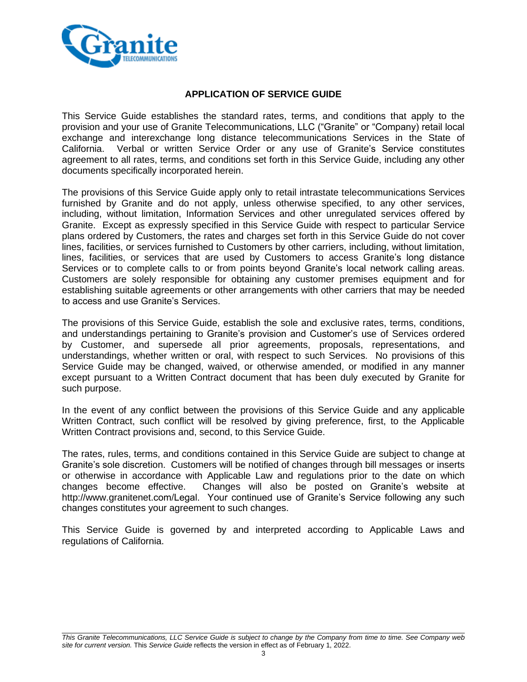

### **APPLICATION OF SERVICE GUIDE**

This Service Guide establishes the standard rates, terms, and conditions that apply to the provision and your use of Granite Telecommunications, LLC ("Granite" or "Company) retail local exchange and interexchange long distance telecommunications Services in the State of California. Verbal or written Service Order or any use of Granite's Service constitutes agreement to all rates, terms, and conditions set forth in this Service Guide, including any other documents specifically incorporated herein.

The provisions of this Service Guide apply only to retail intrastate telecommunications Services furnished by Granite and do not apply, unless otherwise specified, to any other services, including, without limitation, Information Services and other unregulated services offered by Granite. Except as expressly specified in this Service Guide with respect to particular Service plans ordered by Customers, the rates and charges set forth in this Service Guide do not cover lines, facilities, or services furnished to Customers by other carriers, including, without limitation, lines, facilities, or services that are used by Customers to access Granite's long distance Services or to complete calls to or from points beyond Granite's local network calling areas. Customers are solely responsible for obtaining any customer premises equipment and for establishing suitable agreements or other arrangements with other carriers that may be needed to access and use Granite's Services.

The provisions of this Service Guide, establish the sole and exclusive rates, terms, conditions, and understandings pertaining to Granite's provision and Customer's use of Services ordered by Customer, and supersede all prior agreements, proposals, representations, and understandings, whether written or oral, with respect to such Services. No provisions of this Service Guide may be changed, waived, or otherwise amended, or modified in any manner except pursuant to a Written Contract document that has been duly executed by Granite for such purpose.

In the event of any conflict between the provisions of this Service Guide and any applicable Written Contract, such conflict will be resolved by giving preference, first, to the Applicable Written Contract provisions and, second, to this Service Guide.

The rates, rules, terms, and conditions contained in this Service Guide are subject to change at Granite's sole discretion. Customers will be notified of changes through bill messages or inserts or otherwise in accordance with Applicable Law and regulations prior to the date on which changes become effective. Changes will also be posted on Granite's website at http://www.granitenet.com/Legal. Your continued use of Granite's Service following any such changes constitutes your agreement to such changes.

This Service Guide is governed by and interpreted according to Applicable Laws and regulations of California.

*This Granite Telecommunications, LLC Service Guide is subject to change by the Company from time to time. See Company web site for current version.* This *Service Guide* reflects the version in effect as of February 1, 2022.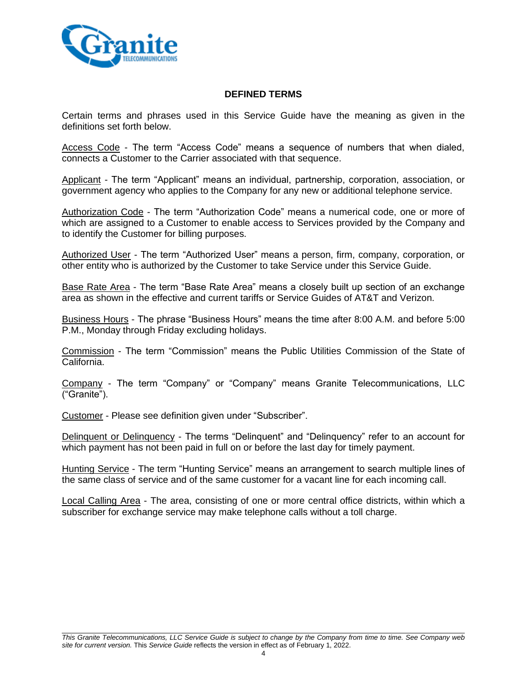

## **DEFINED TERMS**

Certain terms and phrases used in this Service Guide have the meaning as given in the definitions set forth below.

Access Code - The term "Access Code" means a sequence of numbers that when dialed, connects a Customer to the Carrier associated with that sequence.

Applicant - The term "Applicant" means an individual, partnership, corporation, association, or government agency who applies to the Company for any new or additional telephone service.

Authorization Code - The term "Authorization Code" means a numerical code, one or more of which are assigned to a Customer to enable access to Services provided by the Company and to identify the Customer for billing purposes.

Authorized User - The term "Authorized User" means a person, firm, company, corporation, or other entity who is authorized by the Customer to take Service under this Service Guide.

Base Rate Area - The term "Base Rate Area" means a closely built up section of an exchange area as shown in the effective and current tariffs or Service Guides of AT&T and Verizon.

Business Hours - The phrase "Business Hours" means the time after 8:00 A.M. and before 5:00 P.M., Monday through Friday excluding holidays.

Commission - The term "Commission" means the Public Utilities Commission of the State of California.

Company - The term "Company" or "Company" means Granite Telecommunications, LLC ("Granite").

Customer - Please see definition given under "Subscriber".

Delinquent or Delinquency - The terms "Delinquent" and "Delinquency" refer to an account for which payment has not been paid in full on or before the last day for timely payment.

Hunting Service - The term "Hunting Service" means an arrangement to search multiple lines of the same class of service and of the same customer for a vacant line for each incoming call.

Local Calling Area - The area, consisting of one or more central office districts, within which a subscriber for exchange service may make telephone calls without a toll charge.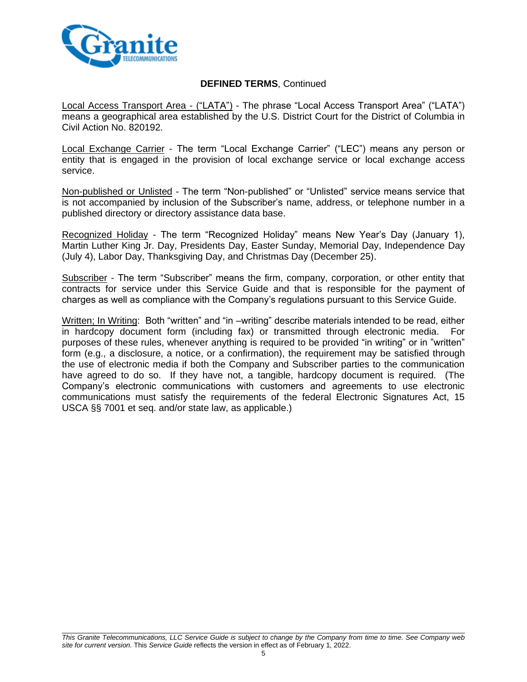

### **DEFINED TERMS**, Continued

Local Access Transport Area - ("LATA") - The phrase "Local Access Transport Area" ("LATA") means a geographical area established by the U.S. District Court for the District of Columbia in Civil Action No. 820192.

Local Exchange Carrier - The term "Local Exchange Carrier" ("LEC") means any person or entity that is engaged in the provision of local exchange service or local exchange access service.

Non-published or Unlisted - The term "Non-published" or "Unlisted" service means service that is not accompanied by inclusion of the Subscriber's name, address, or telephone number in a published directory or directory assistance data base.

Recognized Holiday - The term "Recognized Holiday" means New Year's Day (January 1), Martin Luther King Jr. Day, Presidents Day, Easter Sunday, Memorial Day, Independence Day (July 4), Labor Day, Thanksgiving Day, and Christmas Day (December 25).

Subscriber - The term "Subscriber" means the firm, company, corporation, or other entity that contracts for service under this Service Guide and that is responsible for the payment of charges as well as compliance with the Company's regulations pursuant to this Service Guide.

Written; In Writing: Both "written" and "in –writing" describe materials intended to be read, either in hardcopy document form (including fax) or transmitted through electronic media. For purposes of these rules, whenever anything is required to be provided "in writing" or in "written" form (e.g., a disclosure, a notice, or a confirmation), the requirement may be satisfied through the use of electronic media if both the Company and Subscriber parties to the communication have agreed to do so. If they have not, a tangible, hardcopy document is required. (The Company's electronic communications with customers and agreements to use electronic communications must satisfy the requirements of the federal Electronic Signatures Act, 15 USCA §§ 7001 et seq. and/or state law, as applicable.)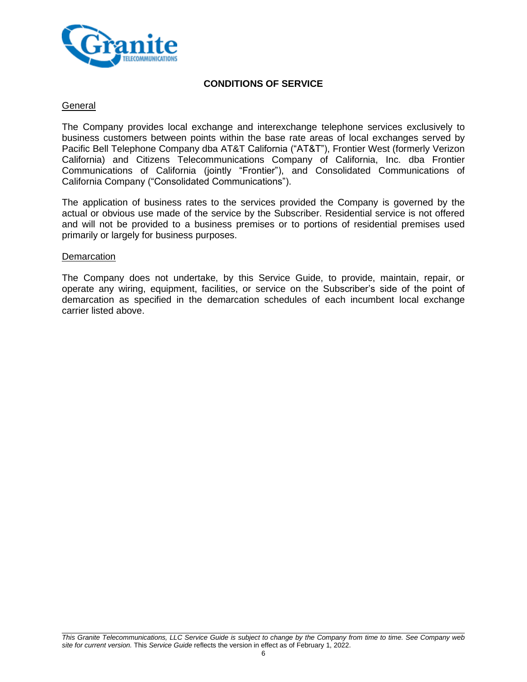

## **CONDITIONS OF SERVICE**

### **General**

The Company provides local exchange and interexchange telephone services exclusively to business customers between points within the base rate areas of local exchanges served by Pacific Bell Telephone Company dba AT&T California ("AT&T"), Frontier West (formerly Verizon California) and Citizens Telecommunications Company of California, Inc. dba Frontier Communications of California (jointly "Frontier"), and Consolidated Communications of California Company ("Consolidated Communications").

The application of business rates to the services provided the Company is governed by the actual or obvious use made of the service by the Subscriber. Residential service is not offered and will not be provided to a business premises or to portions of residential premises used primarily or largely for business purposes.

#### **Demarcation**

The Company does not undertake, by this Service Guide, to provide, maintain, repair, or operate any wiring, equipment, facilities, or service on the Subscriber's side of the point of demarcation as specified in the demarcation schedules of each incumbent local exchange carrier listed above.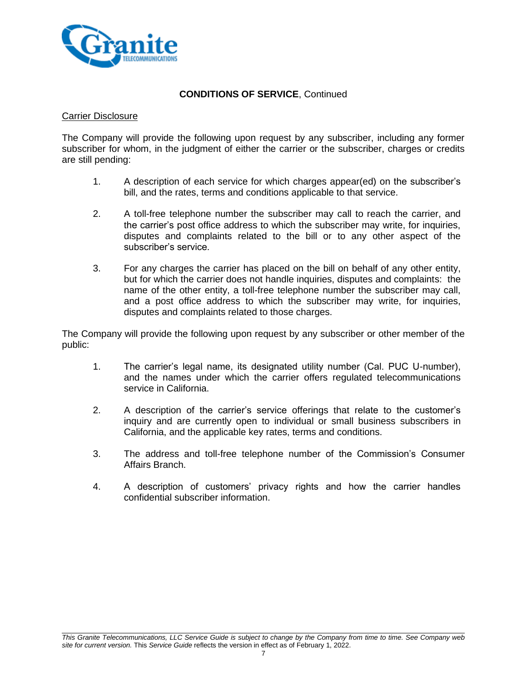

#### Carrier Disclosure

The Company will provide the following upon request by any subscriber, including any former subscriber for whom, in the judgment of either the carrier or the subscriber, charges or credits are still pending:

- 1. A description of each service for which charges appear(ed) on the subscriber's bill, and the rates, terms and conditions applicable to that service.
- 2. A toll-free telephone number the subscriber may call to reach the carrier, and the carrier's post office address to which the subscriber may write, for inquiries, disputes and complaints related to the bill or to any other aspect of the subscriber's service.
- 3. For any charges the carrier has placed on the bill on behalf of any other entity, but for which the carrier does not handle inquiries, disputes and complaints: the name of the other entity, a toll-free telephone number the subscriber may call, and a post office address to which the subscriber may write, for inquiries, disputes and complaints related to those charges.

The Company will provide the following upon request by any subscriber or other member of the public:

- 1. The carrier's legal name, its designated utility number (Cal. PUC U-number), and the names under which the carrier offers regulated telecommunications service in California.
- 2. A description of the carrier's service offerings that relate to the customer's inquiry and are currently open to individual or small business subscribers in California, and the applicable key rates, terms and conditions.
- 3. The address and toll-free telephone number of the Commission's Consumer Affairs Branch.
- 4. A description of customers' privacy rights and how the carrier handles confidential subscriber information.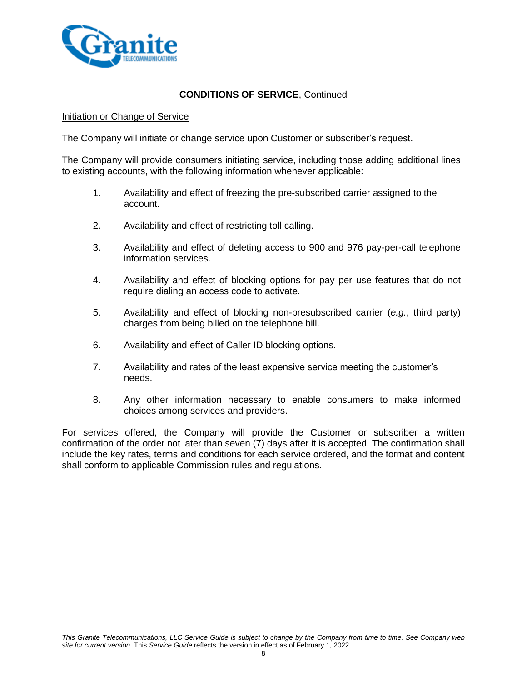

#### Initiation or Change of Service

The Company will initiate or change service upon Customer or subscriber's request.

The Company will provide consumers initiating service, including those adding additional lines to existing accounts, with the following information whenever applicable:

- 1. Availability and effect of freezing the pre-subscribed carrier assigned to the account.
- 2. Availability and effect of restricting toll calling.
- 3. Availability and effect of deleting access to 900 and 976 pay-per-call telephone information services.
- 4. Availability and effect of blocking options for pay per use features that do not require dialing an access code to activate.
- 5. Availability and effect of blocking non-presubscribed carrier (*e.g.*, third party) charges from being billed on the telephone bill.
- 6. Availability and effect of Caller ID blocking options.
- 7. Availability and rates of the least expensive service meeting the customer's needs.
- 8. Any other information necessary to enable consumers to make informed choices among services and providers.

For services offered, the Company will provide the Customer or subscriber a written confirmation of the order not later than seven (7) days after it is accepted. The confirmation shall include the key rates, terms and conditions for each service ordered, and the format and content shall conform to applicable Commission rules and regulations.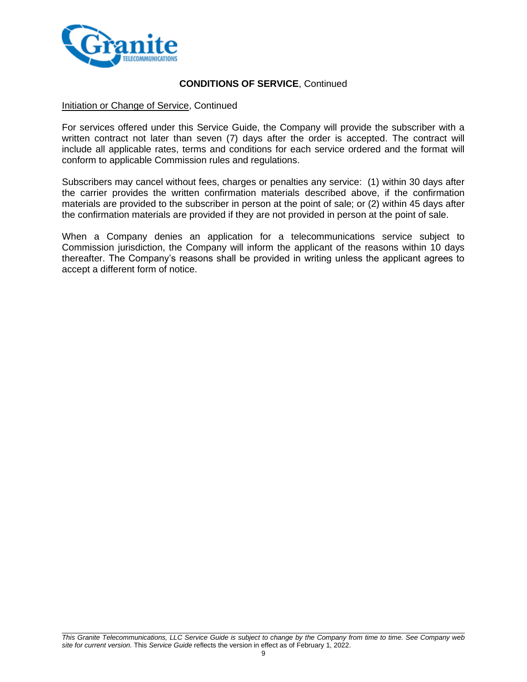

### Initiation or Change of Service, Continued

For services offered under this Service Guide, the Company will provide the subscriber with a written contract not later than seven (7) days after the order is accepted. The contract will include all applicable rates, terms and conditions for each service ordered and the format will conform to applicable Commission rules and regulations.

Subscribers may cancel without fees, charges or penalties any service: (1) within 30 days after the carrier provides the written confirmation materials described above, if the confirmation materials are provided to the subscriber in person at the point of sale; or (2) within 45 days after the confirmation materials are provided if they are not provided in person at the point of sale.

When a Company denies an application for a telecommunications service subject to Commission jurisdiction, the Company will inform the applicant of the reasons within 10 days thereafter. The Company's reasons shall be provided in writing unless the applicant agrees to accept a different form of notice.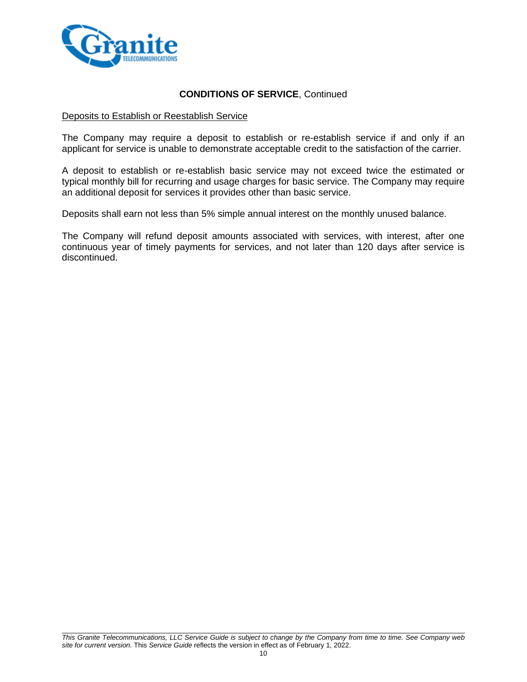

#### Deposits to Establish or Reestablish Service

The Company may require a deposit to establish or re-establish service if and only if an applicant for service is unable to demonstrate acceptable credit to the satisfaction of the carrier.

A deposit to establish or re-establish basic service may not exceed twice the estimated or typical monthly bill for recurring and usage charges for basic service. The Company may require an additional deposit for services it provides other than basic service.

Deposits shall earn not less than 5% simple annual interest on the monthly unused balance.

The Company will refund deposit amounts associated with services, with interest, after one continuous year of timely payments for services, and not later than 120 days after service is discontinued.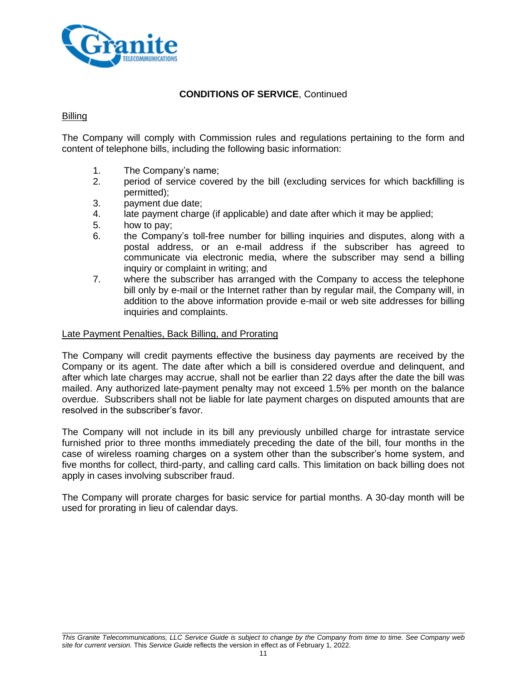

### Billing

The Company will comply with Commission rules and regulations pertaining to the form and content of telephone bills, including the following basic information:

- 1. The Company's name;
- 2. period of service covered by the bill (excluding services for which backfilling is permitted);
- 3. payment due date;
- 4. late payment charge (if applicable) and date after which it may be applied;
- 5. how to pay;
- 6. the Company's toll-free number for billing inquiries and disputes, along with a postal address, or an e-mail address if the subscriber has agreed to communicate via electronic media, where the subscriber may send a billing inquiry or complaint in writing; and
- 7. where the subscriber has arranged with the Company to access the telephone bill only by e-mail or the Internet rather than by regular mail, the Company will, in addition to the above information provide e-mail or web site addresses for billing inquiries and complaints.

#### Late Payment Penalties, Back Billing, and Prorating

The Company will credit payments effective the business day payments are received by the Company or its agent. The date after which a bill is considered overdue and delinquent, and after which late charges may accrue, shall not be earlier than 22 days after the date the bill was mailed. Any authorized late-payment penalty may not exceed 1.5% per month on the balance overdue. Subscribers shall not be liable for late payment charges on disputed amounts that are resolved in the subscriber's favor.

The Company will not include in its bill any previously unbilled charge for intrastate service furnished prior to three months immediately preceding the date of the bill, four months in the case of wireless roaming charges on a system other than the subscriber's home system, and five months for collect, third-party, and calling card calls. This limitation on back billing does not apply in cases involving subscriber fraud.

The Company will prorate charges for basic service for partial months. A 30-day month will be used for prorating in lieu of calendar days.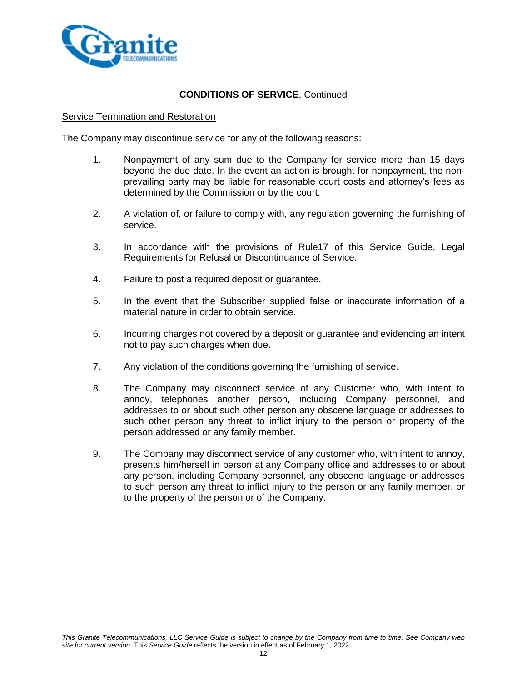

#### Service Termination and Restoration

The Company may discontinue service for any of the following reasons:

- 1. Nonpayment of any sum due to the Company for service more than 15 days beyond the due date. In the event an action is brought for nonpayment, the nonprevailing party may be liable for reasonable court costs and attorney's fees as determined by the Commission or by the court.
- 2. A violation of, or failure to comply with, any regulation governing the furnishing of service.
- 3. In accordance with the provisions of Rule17 of this Service Guide, Legal Requirements for Refusal or Discontinuance of Service.
- 4. Failure to post a required deposit or guarantee.
- 5. In the event that the Subscriber supplied false or inaccurate information of a material nature in order to obtain service.
- 6. Incurring charges not covered by a deposit or guarantee and evidencing an intent not to pay such charges when due.
- 7. Any violation of the conditions governing the furnishing of service.
- 8. The Company may disconnect service of any Customer who, with intent to annoy, telephones another person, including Company personnel, and addresses to or about such other person any obscene language or addresses to such other person any threat to inflict injury to the person or property of the person addressed or any family member.
- 9. The Company may disconnect service of any customer who, with intent to annoy, presents him/herself in person at any Company office and addresses to or about any person, including Company personnel, any obscene language or addresses to such person any threat to inflict injury to the person or any family member, or to the property of the person or of the Company.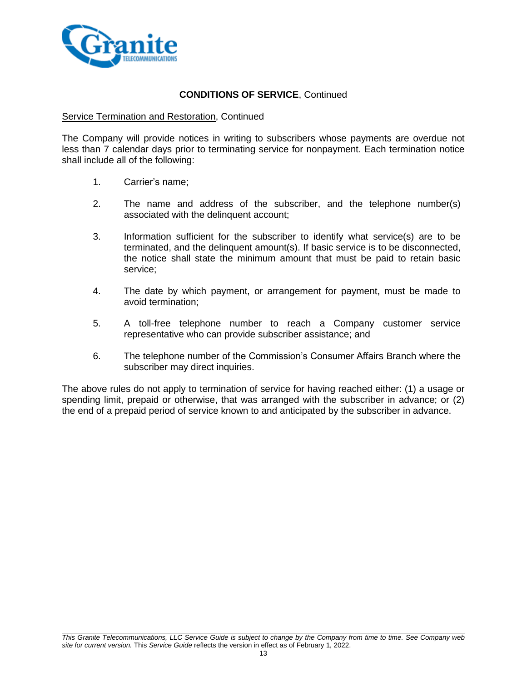

### Service Termination and Restoration, Continued

The Company will provide notices in writing to subscribers whose payments are overdue not less than 7 calendar days prior to terminating service for nonpayment. Each termination notice shall include all of the following:

- 1. Carrier's name;
- 2. The name and address of the subscriber, and the telephone number(s) associated with the delinquent account;
- 3. Information sufficient for the subscriber to identify what service(s) are to be terminated, and the delinquent amount(s). If basic service is to be disconnected, the notice shall state the minimum amount that must be paid to retain basic service;
- 4. The date by which payment, or arrangement for payment, must be made to avoid termination;
- 5. A toll-free telephone number to reach a Company customer service representative who can provide subscriber assistance; and
- 6. The telephone number of the Commission's Consumer Affairs Branch where the subscriber may direct inquiries.

The above rules do not apply to termination of service for having reached either: (1) a usage or spending limit, prepaid or otherwise, that was arranged with the subscriber in advance; or (2) the end of a prepaid period of service known to and anticipated by the subscriber in advance.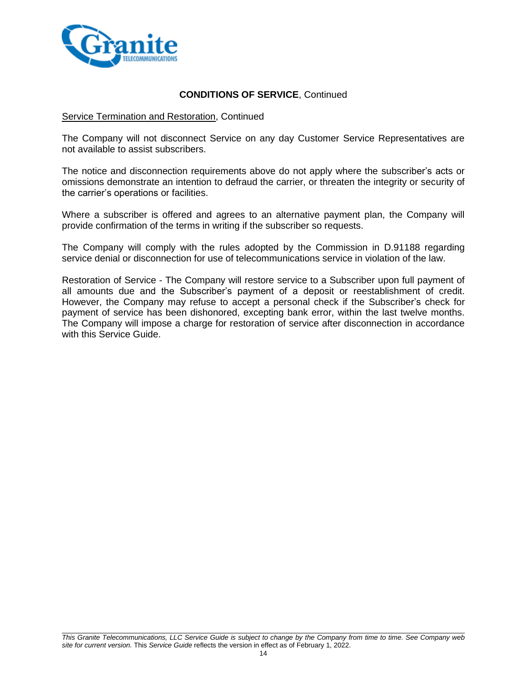

### Service Termination and Restoration, Continued

The Company will not disconnect Service on any day Customer Service Representatives are not available to assist subscribers.

The notice and disconnection requirements above do not apply where the subscriber's acts or omissions demonstrate an intention to defraud the carrier, or threaten the integrity or security of the carrier's operations or facilities.

Where a subscriber is offered and agrees to an alternative payment plan, the Company will provide confirmation of the terms in writing if the subscriber so requests.

The Company will comply with the rules adopted by the Commission in D.91188 regarding service denial or disconnection for use of telecommunications service in violation of the law.

Restoration of Service - The Company will restore service to a Subscriber upon full payment of all amounts due and the Subscriber's payment of a deposit or reestablishment of credit. However, the Company may refuse to accept a personal check if the Subscriber's check for payment of service has been dishonored, excepting bank error, within the last twelve months. The Company will impose a charge for restoration of service after disconnection in accordance with this Service Guide.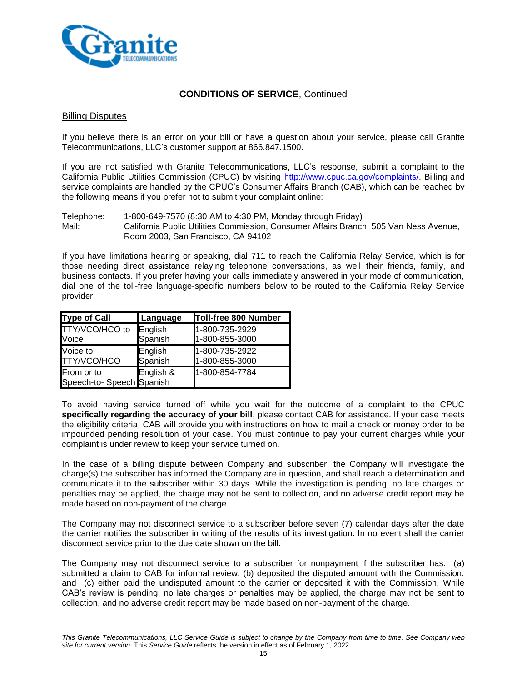

#### Billing Disputes

If you believe there is an error on your bill or have a question about your service, please call Granite Telecommunications, LLC's customer support at 866.847.1500.

If you are not satisfied with Granite Telecommunications, LLC's response, submit a complaint to the California Public Utilities Commission (CPUC) by visiting [http://www.cpuc.ca.gov/complaints/.](http://www.cpuc.ca.gov/complaints/) Billing and service complaints are handled by the CPUC's Consumer Affairs Branch (CAB), which can be reached by the following means if you prefer not to submit your complaint online:

Telephone: 1-800-649-7570 (8:30 AM to 4:30 PM, Monday through Friday) Mail: California Public Utilities Commission, Consumer Affairs Branch, 505 Van Ness Avenue, Room 2003, San Francisco, CA 94102

If you have limitations hearing or speaking, dial 711 to reach the California Relay Service, which is for those needing direct assistance relaying telephone conversations, as well their friends, family, and business contacts. If you prefer having your calls immediately answered in your mode of communication, dial one of the toll-free language-specific numbers below to be routed to the California Relay Service provider.

| Type of Call              | Language  | Toll-free 800 Number |
|---------------------------|-----------|----------------------|
| TTY/VCO/HCO to            | English   | 1-800-735-2929       |
| Voice                     | Spanish   | 1-800-855-3000       |
| Voice to                  | English   | 1-800-735-2922       |
| <b>TTY/VCO/HCO</b>        | Spanish   | 1-800-855-3000       |
| From or to                | English & | 1-800-854-7784       |
| Speech-to- Speech Spanish |           |                      |

To avoid having service turned off while you wait for the outcome of a complaint to the CPUC **specifically regarding the accuracy of your bill**, please contact CAB for assistance. If your case meets the eligibility criteria, CAB will provide you with instructions on how to mail a check or money order to be impounded pending resolution of your case. You must continue to pay your current charges while your complaint is under review to keep your service turned on.

In the case of a billing dispute between Company and subscriber, the Company will investigate the charge(s) the subscriber has informed the Company are in question, and shall reach a determination and communicate it to the subscriber within 30 days. While the investigation is pending, no late charges or penalties may be applied, the charge may not be sent to collection, and no adverse credit report may be made based on non-payment of the charge.

The Company may not disconnect service to a subscriber before seven (7) calendar days after the date the carrier notifies the subscriber in writing of the results of its investigation. In no event shall the carrier disconnect service prior to the due date shown on the bill.

The Company may not disconnect service to a subscriber for nonpayment if the subscriber has: (a) submitted a claim to CAB for informal review; (b) deposited the disputed amount with the Commission: and (c) either paid the undisputed amount to the carrier or deposited it with the Commission. While CAB's review is pending, no late charges or penalties may be applied, the charge may not be sent to collection, and no adverse credit report may be made based on non-payment of the charge.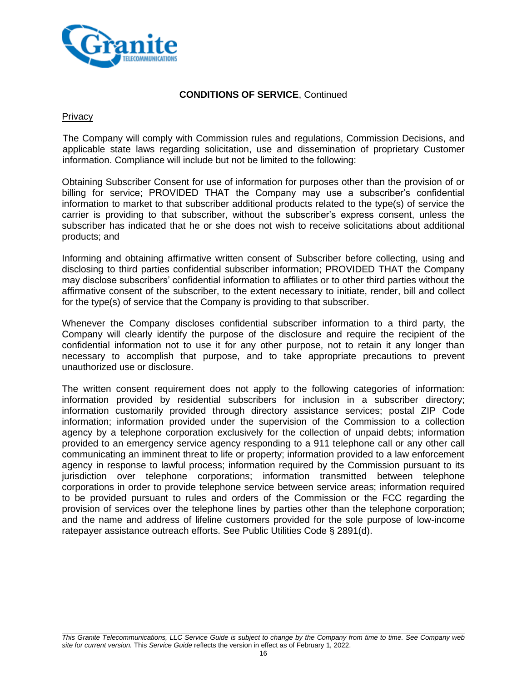

### **Privacy**

The Company will comply with Commission rules and regulations, Commission Decisions, and applicable state laws regarding solicitation, use and dissemination of proprietary Customer information. Compliance will include but not be limited to the following:

Obtaining Subscriber Consent for use of information for purposes other than the provision of or billing for service; PROVIDED THAT the Company may use a subscriber's confidential information to market to that subscriber additional products related to the type(s) of service the carrier is providing to that subscriber, without the subscriber's express consent, unless the subscriber has indicated that he or she does not wish to receive solicitations about additional products; and

Informing and obtaining affirmative written consent of Subscriber before collecting, using and disclosing to third parties confidential subscriber information; PROVIDED THAT the Company may disclose subscribers' confidential information to affiliates or to other third parties without the affirmative consent of the subscriber, to the extent necessary to initiate, render, bill and collect for the type(s) of service that the Company is providing to that subscriber.

Whenever the Company discloses confidential subscriber information to a third party, the Company will clearly identify the purpose of the disclosure and require the recipient of the confidential information not to use it for any other purpose, not to retain it any longer than necessary to accomplish that purpose, and to take appropriate precautions to prevent unauthorized use or disclosure.

The written consent requirement does not apply to the following categories of information: information provided by residential subscribers for inclusion in a subscriber directory; information customarily provided through directory assistance services; postal ZIP Code information; information provided under the supervision of the Commission to a collection agency by a telephone corporation exclusively for the collection of unpaid debts; information provided to an emergency service agency responding to a 911 telephone call or any other call communicating an imminent threat to life or property; information provided to a law enforcement agency in response to lawful process; information required by the Commission pursuant to its jurisdiction over telephone corporations; information transmitted between telephone corporations in order to provide telephone service between service areas; information required to be provided pursuant to rules and orders of the Commission or the FCC regarding the provision of services over the telephone lines by parties other than the telephone corporation; and the name and address of lifeline customers provided for the sole purpose of low-income ratepayer assistance outreach efforts. See Public Utilities Code § 2891(d).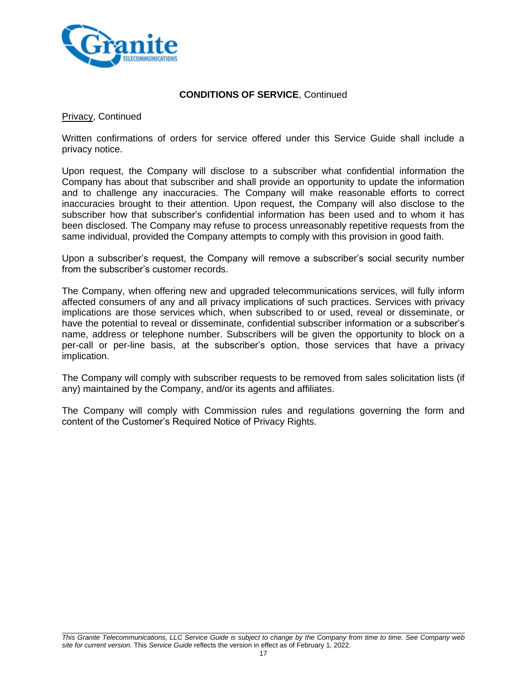

Privacy, Continued

Written confirmations of orders for service offered under this Service Guide shall include a privacy notice.

Upon request, the Company will disclose to a subscriber what confidential information the Company has about that subscriber and shall provide an opportunity to update the information and to challenge any inaccuracies. The Company will make reasonable efforts to correct inaccuracies brought to their attention. Upon request, the Company will also disclose to the subscriber how that subscriber's confidential information has been used and to whom it has been disclosed. The Company may refuse to process unreasonably repetitive requests from the same individual, provided the Company attempts to comply with this provision in good faith.

Upon a subscriber's request, the Company will remove a subscriber's social security number from the subscriber's customer records.

The Company, when offering new and upgraded telecommunications services, will fully inform affected consumers of any and all privacy implications of such practices. Services with privacy implications are those services which, when subscribed to or used, reveal or disseminate, or have the potential to reveal or disseminate, confidential subscriber information or a subscriber's name, address or telephone number. Subscribers will be given the opportunity to block on a per-call or per-line basis, at the subscriber's option, those services that have a privacy implication.

The Company will comply with subscriber requests to be removed from sales solicitation lists (if any) maintained by the Company, and/or its agents and affiliates.

The Company will comply with Commission rules and regulations governing the form and content of the Customer's Required Notice of Privacy Rights.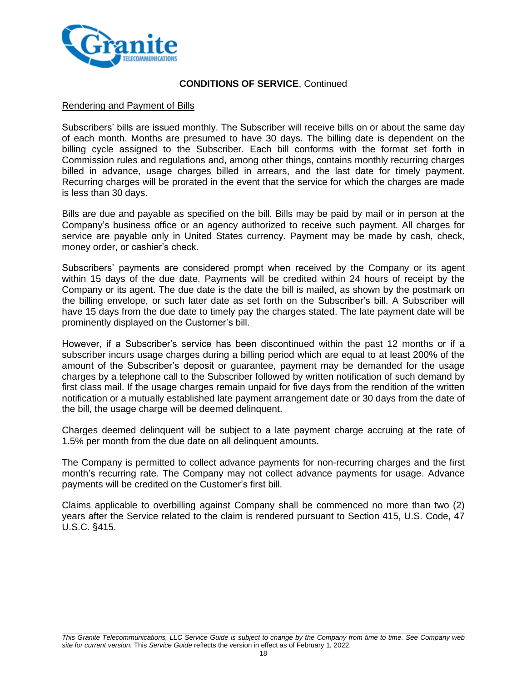

#### Rendering and Payment of Bills

Subscribers' bills are issued monthly. The Subscriber will receive bills on or about the same day of each month. Months are presumed to have 30 days. The billing date is dependent on the billing cycle assigned to the Subscriber. Each bill conforms with the format set forth in Commission rules and regulations and, among other things, contains monthly recurring charges billed in advance, usage charges billed in arrears, and the last date for timely payment. Recurring charges will be prorated in the event that the service for which the charges are made is less than 30 days.

Bills are due and payable as specified on the bill. Bills may be paid by mail or in person at the Company's business office or an agency authorized to receive such payment. All charges for service are payable only in United States currency. Payment may be made by cash, check, money order, or cashier's check.

Subscribers' payments are considered prompt when received by the Company or its agent within 15 days of the due date. Payments will be credited within 24 hours of receipt by the Company or its agent. The due date is the date the bill is mailed, as shown by the postmark on the billing envelope, or such later date as set forth on the Subscriber's bill. A Subscriber will have 15 days from the due date to timely pay the charges stated. The late payment date will be prominently displayed on the Customer's bill.

However, if a Subscriber's service has been discontinued within the past 12 months or if a subscriber incurs usage charges during a billing period which are equal to at least 200% of the amount of the Subscriber's deposit or guarantee, payment may be demanded for the usage charges by a telephone call to the Subscriber followed by written notification of such demand by first class mail. If the usage charges remain unpaid for five days from the rendition of the written notification or a mutually established late payment arrangement date or 30 days from the date of the bill, the usage charge will be deemed delinquent.

Charges deemed delinquent will be subject to a late payment charge accruing at the rate of 1.5% per month from the due date on all delinquent amounts.

The Company is permitted to collect advance payments for non-recurring charges and the first month's recurring rate. The Company may not collect advance payments for usage. Advance payments will be credited on the Customer's first bill.

Claims applicable to overbilling against Company shall be commenced no more than two (2) years after the Service related to the claim is rendered pursuant to Section 415, U.S. Code, 47 U.S.C. §415.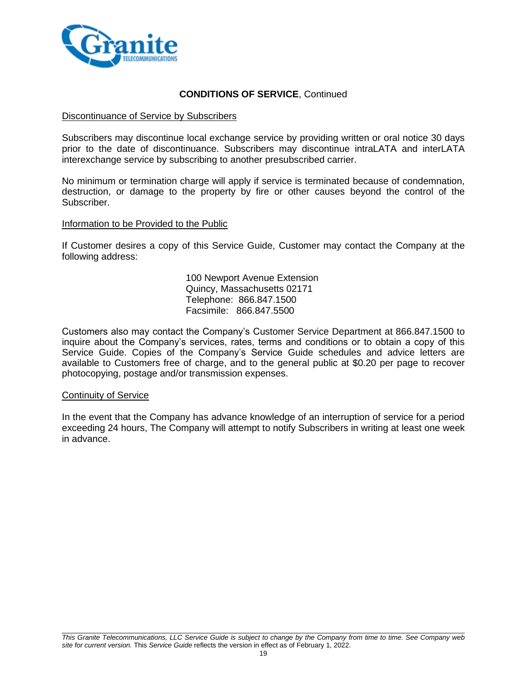

#### Discontinuance of Service by Subscribers

Subscribers may discontinue local exchange service by providing written or oral notice 30 days prior to the date of discontinuance. Subscribers may discontinue intraLATA and interLATA interexchange service by subscribing to another presubscribed carrier.

No minimum or termination charge will apply if service is terminated because of condemnation, destruction, or damage to the property by fire or other causes beyond the control of the Subscriber.

#### Information to be Provided to the Public

If Customer desires a copy of this Service Guide, Customer may contact the Company at the following address:

> 100 Newport Avenue Extension Quincy, Massachusetts 02171 Telephone: 866.847.1500 Facsimile: 866.847.5500

Customers also may contact the Company's Customer Service Department at 866.847.1500 to inquire about the Company's services, rates, terms and conditions or to obtain a copy of this Service Guide. Copies of the Company's Service Guide schedules and advice letters are available to Customers free of charge, and to the general public at \$0.20 per page to recover photocopying, postage and/or transmission expenses.

#### Continuity of Service

In the event that the Company has advance knowledge of an interruption of service for a period exceeding 24 hours, The Company will attempt to notify Subscribers in writing at least one week in advance.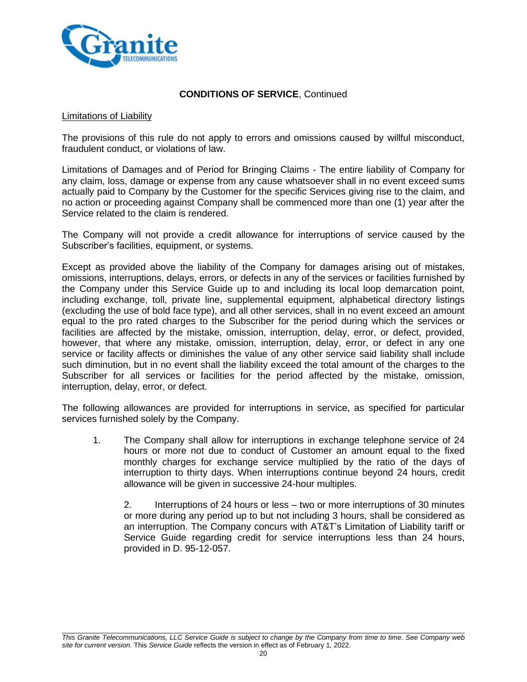

#### Limitations of Liability

The provisions of this rule do not apply to errors and omissions caused by willful misconduct, fraudulent conduct, or violations of law.

Limitations of Damages and of Period for Bringing Claims - The entire liability of Company for any claim, loss, damage or expense from any cause whatsoever shall in no event exceed sums actually paid to Company by the Customer for the specific Services giving rise to the claim, and no action or proceeding against Company shall be commenced more than one (1) year after the Service related to the claim is rendered.

The Company will not provide a credit allowance for interruptions of service caused by the Subscriber's facilities, equipment, or systems.

Except as provided above the liability of the Company for damages arising out of mistakes, omissions, interruptions, delays, errors, or defects in any of the services or facilities furnished by the Company under this Service Guide up to and including its local loop demarcation point, including exchange, toll, private line, supplemental equipment, alphabetical directory listings (excluding the use of bold face type), and all other services, shall in no event exceed an amount equal to the pro rated charges to the Subscriber for the period during which the services or facilities are affected by the mistake, omission, interruption, delay, error, or defect, provided, however, that where any mistake, omission, interruption, delay, error, or defect in any one service or facility affects or diminishes the value of any other service said liability shall include such diminution, but in no event shall the liability exceed the total amount of the charges to the Subscriber for all services or facilities for the period affected by the mistake, omission, interruption, delay, error, or defect.

The following allowances are provided for interruptions in service, as specified for particular services furnished solely by the Company.

1. The Company shall allow for interruptions in exchange telephone service of 24 hours or more not due to conduct of Customer an amount equal to the fixed monthly charges for exchange service multiplied by the ratio of the days of interruption to thirty days. When interruptions continue beyond 24 hours, credit allowance will be given in successive 24-hour multiples.

2. Interruptions of 24 hours or less – two or more interruptions of 30 minutes or more during any period up to but not including 3 hours, shall be considered as an interruption. The Company concurs with AT&T's Limitation of Liability tariff or Service Guide regarding credit for service interruptions less than 24 hours, provided in D. 95-12-057.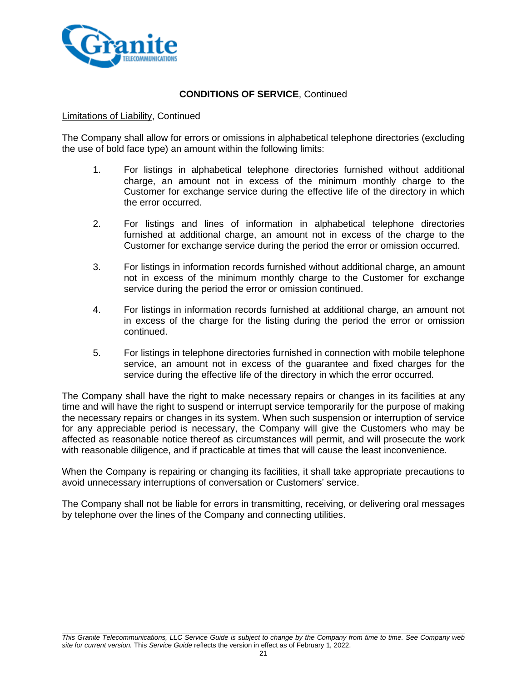

### Limitations of Liability, Continued

The Company shall allow for errors or omissions in alphabetical telephone directories (excluding the use of bold face type) an amount within the following limits:

- 1. For listings in alphabetical telephone directories furnished without additional charge, an amount not in excess of the minimum monthly charge to the Customer for exchange service during the effective life of the directory in which the error occurred.
- 2. For listings and lines of information in alphabetical telephone directories furnished at additional charge, an amount not in excess of the charge to the Customer for exchange service during the period the error or omission occurred.
- 3. For listings in information records furnished without additional charge, an amount not in excess of the minimum monthly charge to the Customer for exchange service during the period the error or omission continued.
- 4. For listings in information records furnished at additional charge, an amount not in excess of the charge for the listing during the period the error or omission continued.
- 5. For listings in telephone directories furnished in connection with mobile telephone service, an amount not in excess of the guarantee and fixed charges for the service during the effective life of the directory in which the error occurred.

The Company shall have the right to make necessary repairs or changes in its facilities at any time and will have the right to suspend or interrupt service temporarily for the purpose of making the necessary repairs or changes in its system. When such suspension or interruption of service for any appreciable period is necessary, the Company will give the Customers who may be affected as reasonable notice thereof as circumstances will permit, and will prosecute the work with reasonable diligence, and if practicable at times that will cause the least inconvenience.

When the Company is repairing or changing its facilities, it shall take appropriate precautions to avoid unnecessary interruptions of conversation or Customers' service.

The Company shall not be liable for errors in transmitting, receiving, or delivering oral messages by telephone over the lines of the Company and connecting utilities.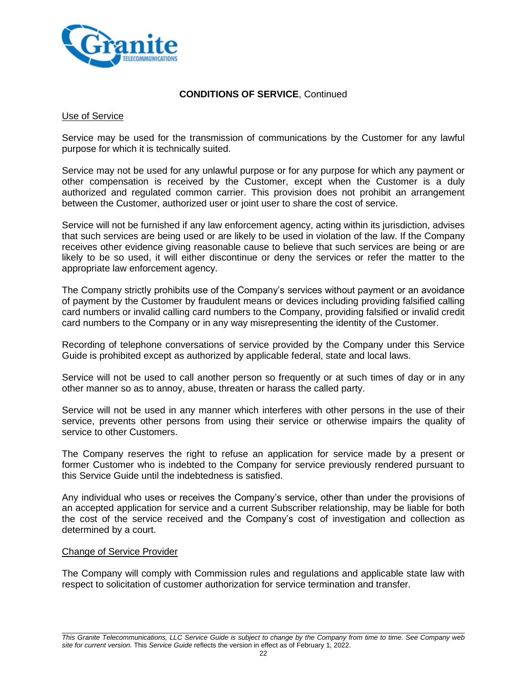

#### Use of Service

Service may be used for the transmission of communications by the Customer for any lawful purpose for which it is technically suited.

Service may not be used for any unlawful purpose or for any purpose for which any payment or other compensation is received by the Customer, except when the Customer is a duly authorized and regulated common carrier. This provision does not prohibit an arrangement between the Customer, authorized user or joint user to share the cost of service.

Service will not be furnished if any law enforcement agency, acting within its jurisdiction, advises that such services are being used or are likely to be used in violation of the law. If the Company receives other evidence giving reasonable cause to believe that such services are being or are likely to be so used, it will either discontinue or deny the services or refer the matter to the appropriate law enforcement agency.

The Company strictly prohibits use of the Company's services without payment or an avoidance of payment by the Customer by fraudulent means or devices including providing falsified calling card numbers or invalid calling card numbers to the Company, providing falsified or invalid credit card numbers to the Company or in any way misrepresenting the identity of the Customer.

Recording of telephone conversations of service provided by the Company under this Service Guide is prohibited except as authorized by applicable federal, state and local laws.

Service will not be used to call another person so frequently or at such times of day or in any other manner so as to annoy, abuse, threaten or harass the called party.

Service will not be used in any manner which interferes with other persons in the use of their service, prevents other persons from using their service or otherwise impairs the quality of service to other Customers.

The Company reserves the right to refuse an application for service made by a present or former Customer who is indebted to the Company for service previously rendered pursuant to this Service Guide until the indebtedness is satisfied.

Any individual who uses or receives the Company's service, other than under the provisions of an accepted application for service and a current Subscriber relationship, may be liable for both the cost of the service received and the Company's cost of investigation and collection as determined by a court.

#### Change of Service Provider

The Company will comply with Commission rules and regulations and applicable state law with respect to solicitation of customer authorization for service termination and transfer.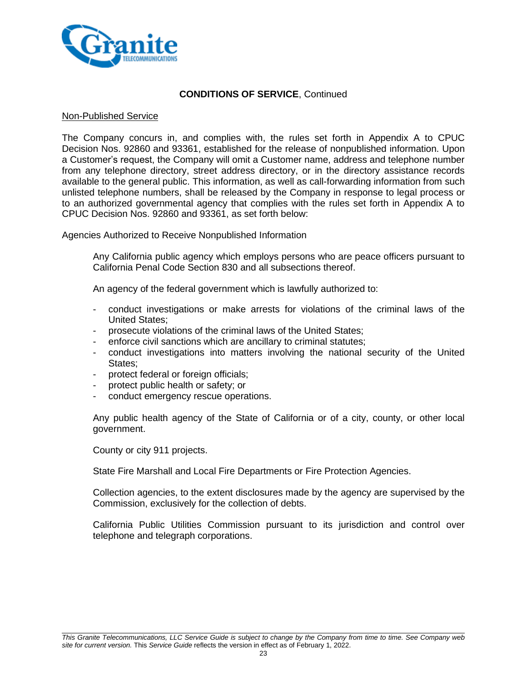

#### Non-Published Service

The Company concurs in, and complies with, the rules set forth in Appendix A to CPUC Decision Nos. 92860 and 93361, established for the release of nonpublished information. Upon a Customer's request, the Company will omit a Customer name, address and telephone number from any telephone directory, street address directory, or in the directory assistance records available to the general public. This information, as well as call-forwarding information from such unlisted telephone numbers, shall be released by the Company in response to legal process or to an authorized governmental agency that complies with the rules set forth in Appendix A to CPUC Decision Nos. 92860 and 93361, as set forth below:

Agencies Authorized to Receive Nonpublished Information

Any California public agency which employs persons who are peace officers pursuant to California Penal Code Section 830 and all subsections thereof.

An agency of the federal government which is lawfully authorized to:

- conduct investigations or make arrests for violations of the criminal laws of the United States;
- prosecute violations of the criminal laws of the United States;
- enforce civil sanctions which are ancillary to criminal statutes;
- conduct investigations into matters involving the national security of the United States;
- protect federal or foreign officials;
- protect public health or safety; or
- conduct emergency rescue operations.

Any public health agency of the State of California or of a city, county, or other local government.

County or city 911 projects.

State Fire Marshall and Local Fire Departments or Fire Protection Agencies.

Collection agencies, to the extent disclosures made by the agency are supervised by the Commission, exclusively for the collection of debts.

California Public Utilities Commission pursuant to its jurisdiction and control over telephone and telegraph corporations.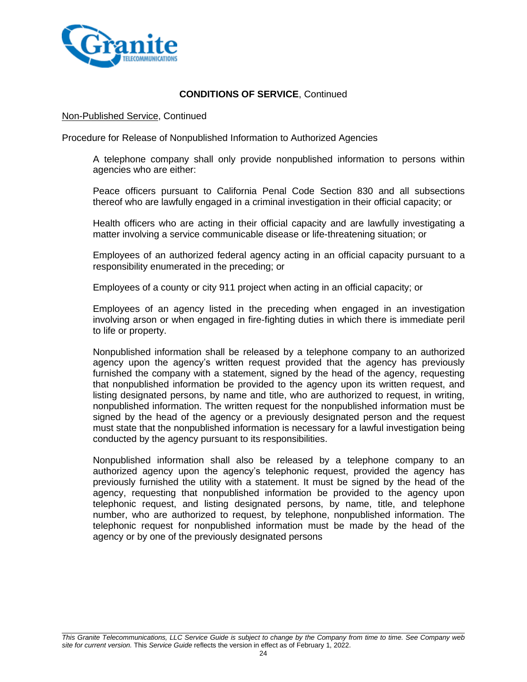

#### Non-Published Service, Continued

Procedure for Release of Nonpublished Information to Authorized Agencies

A telephone company shall only provide nonpublished information to persons within agencies who are either:

Peace officers pursuant to California Penal Code Section 830 and all subsections thereof who are lawfully engaged in a criminal investigation in their official capacity; or

Health officers who are acting in their official capacity and are lawfully investigating a matter involving a service communicable disease or life-threatening situation; or

Employees of an authorized federal agency acting in an official capacity pursuant to a responsibility enumerated in the preceding; or

Employees of a county or city 911 project when acting in an official capacity; or

Employees of an agency listed in the preceding when engaged in an investigation involving arson or when engaged in fire-fighting duties in which there is immediate peril to life or property.

Nonpublished information shall be released by a telephone company to an authorized agency upon the agency's written request provided that the agency has previously furnished the company with a statement, signed by the head of the agency, requesting that nonpublished information be provided to the agency upon its written request, and listing designated persons, by name and title, who are authorized to request, in writing, nonpublished information. The written request for the nonpublished information must be signed by the head of the agency or a previously designated person and the request must state that the nonpublished information is necessary for a lawful investigation being conducted by the agency pursuant to its responsibilities.

Nonpublished information shall also be released by a telephone company to an authorized agency upon the agency's telephonic request, provided the agency has previously furnished the utility with a statement. It must be signed by the head of the agency, requesting that nonpublished information be provided to the agency upon telephonic request, and listing designated persons, by name, title, and telephone number, who are authorized to request, by telephone, nonpublished information. The telephonic request for nonpublished information must be made by the head of the agency or by one of the previously designated persons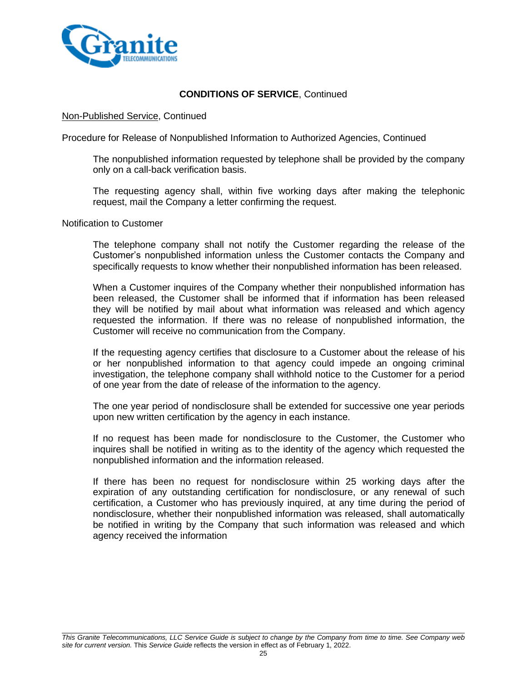

#### Non-Published Service, Continued

Procedure for Release of Nonpublished Information to Authorized Agencies, Continued

The nonpublished information requested by telephone shall be provided by the company only on a call-back verification basis.

The requesting agency shall, within five working days after making the telephonic request, mail the Company a letter confirming the request.

Notification to Customer

The telephone company shall not notify the Customer regarding the release of the Customer's nonpublished information unless the Customer contacts the Company and specifically requests to know whether their nonpublished information has been released.

When a Customer inquires of the Company whether their nonpublished information has been released, the Customer shall be informed that if information has been released they will be notified by mail about what information was released and which agency requested the information. If there was no release of nonpublished information, the Customer will receive no communication from the Company.

If the requesting agency certifies that disclosure to a Customer about the release of his or her nonpublished information to that agency could impede an ongoing criminal investigation, the telephone company shall withhold notice to the Customer for a period of one year from the date of release of the information to the agency.

The one year period of nondisclosure shall be extended for successive one year periods upon new written certification by the agency in each instance.

If no request has been made for nondisclosure to the Customer, the Customer who inquires shall be notified in writing as to the identity of the agency which requested the nonpublished information and the information released.

If there has been no request for nondisclosure within 25 working days after the expiration of any outstanding certification for nondisclosure, or any renewal of such certification, a Customer who has previously inquired, at any time during the period of nondisclosure, whether their nonpublished information was released, shall automatically be notified in writing by the Company that such information was released and which agency received the information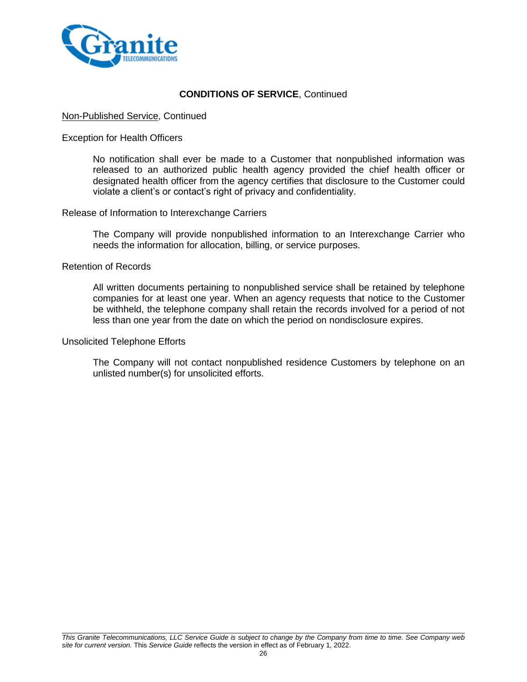

### Non-Published Service, Continued

#### Exception for Health Officers

No notification shall ever be made to a Customer that nonpublished information was released to an authorized public health agency provided the chief health officer or designated health officer from the agency certifies that disclosure to the Customer could violate a client's or contact's right of privacy and confidentiality.

#### Release of Information to Interexchange Carriers

The Company will provide nonpublished information to an Interexchange Carrier who needs the information for allocation, billing, or service purposes.

#### Retention of Records

All written documents pertaining to nonpublished service shall be retained by telephone companies for at least one year. When an agency requests that notice to the Customer be withheld, the telephone company shall retain the records involved for a period of not less than one year from the date on which the period on nondisclosure expires.

#### Unsolicited Telephone Efforts

The Company will not contact nonpublished residence Customers by telephone on an unlisted number(s) for unsolicited efforts.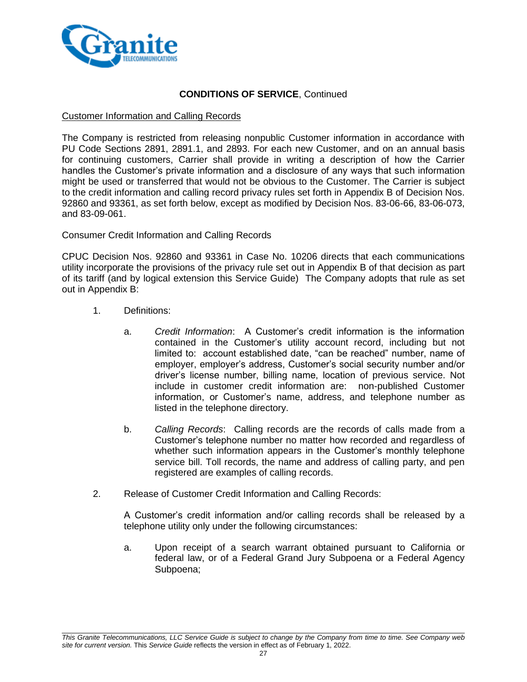

#### Customer Information and Calling Records

The Company is restricted from releasing nonpublic Customer information in accordance with PU Code Sections 2891, 2891.1, and 2893. For each new Customer, and on an annual basis for continuing customers, Carrier shall provide in writing a description of how the Carrier handles the Customer's private information and a disclosure of any ways that such information might be used or transferred that would not be obvious to the Customer. The Carrier is subject to the credit information and calling record privacy rules set forth in Appendix B of Decision Nos. 92860 and 93361, as set forth below, except as modified by Decision Nos. 83-06-66, 83-06-073, and 83-09-061.

### Consumer Credit Information and Calling Records

CPUC Decision Nos. 92860 and 93361 in Case No. 10206 directs that each communications utility incorporate the provisions of the privacy rule set out in Appendix B of that decision as part of its tariff (and by logical extension this Service Guide) The Company adopts that rule as set out in Appendix B:

- 1. Definitions:
	- a. *Credit Information*: A Customer's credit information is the information contained in the Customer's utility account record, including but not limited to: account established date, "can be reached" number, name of employer, employer's address, Customer's social security number and/or driver's license number, billing name, location of previous service. Not include in customer credit information are: non-published Customer information, or Customer's name, address, and telephone number as listed in the telephone directory.
	- b. *Calling Records*: Calling records are the records of calls made from a Customer's telephone number no matter how recorded and regardless of whether such information appears in the Customer's monthly telephone service bill. Toll records, the name and address of calling party, and pen registered are examples of calling records.
- 2. Release of Customer Credit Information and Calling Records:

A Customer's credit information and/or calling records shall be released by a telephone utility only under the following circumstances:

a. Upon receipt of a search warrant obtained pursuant to California or federal law, or of a Federal Grand Jury Subpoena or a Federal Agency Subpoena;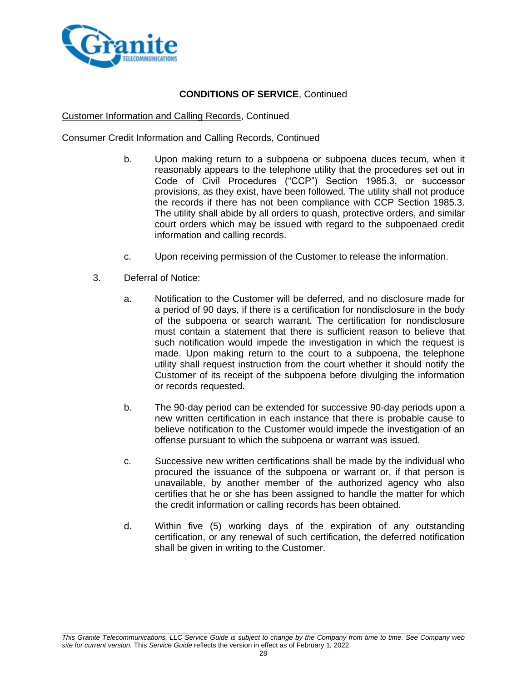

#### Customer Information and Calling Records, Continued

Consumer Credit Information and Calling Records, Continued

- b. Upon making return to a subpoena or subpoena duces tecum, when it reasonably appears to the telephone utility that the procedures set out in Code of Civil Procedures ("CCP") Section 1985.3, or successor provisions, as they exist, have been followed. The utility shall not produce the records if there has not been compliance with CCP Section 1985.3. The utility shall abide by all orders to quash, protective orders, and similar court orders which may be issued with regard to the subpoenaed credit information and calling records.
- c. Upon receiving permission of the Customer to release the information.
- 3. Deferral of Notice:
	- a. Notification to the Customer will be deferred, and no disclosure made for a period of 90 days, if there is a certification for nondisclosure in the body of the subpoena or search warrant. The certification for nondisclosure must contain a statement that there is sufficient reason to believe that such notification would impede the investigation in which the request is made. Upon making return to the court to a subpoena, the telephone utility shall request instruction from the court whether it should notify the Customer of its receipt of the subpoena before divulging the information or records requested.
	- b. The 90-day period can be extended for successive 90-day periods upon a new written certification in each instance that there is probable cause to believe notification to the Customer would impede the investigation of an offense pursuant to which the subpoena or warrant was issued.
	- c. Successive new written certifications shall be made by the individual who procured the issuance of the subpoena or warrant or, if that person is unavailable, by another member of the authorized agency who also certifies that he or she has been assigned to handle the matter for which the credit information or calling records has been obtained.
	- d. Within five (5) working days of the expiration of any outstanding certification, or any renewal of such certification, the deferred notification shall be given in writing to the Customer.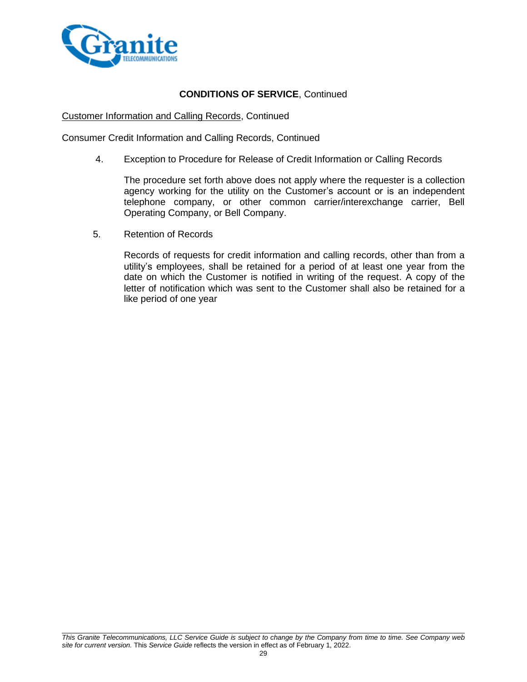

### Customer Information and Calling Records, Continued

Consumer Credit Information and Calling Records, Continued

4. Exception to Procedure for Release of Credit Information or Calling Records

The procedure set forth above does not apply where the requester is a collection agency working for the utility on the Customer's account or is an independent telephone company, or other common carrier/interexchange carrier, Bell Operating Company, or Bell Company.

5. Retention of Records

Records of requests for credit information and calling records, other than from a utility's employees, shall be retained for a period of at least one year from the date on which the Customer is notified in writing of the request. A copy of the letter of notification which was sent to the Customer shall also be retained for a like period of one year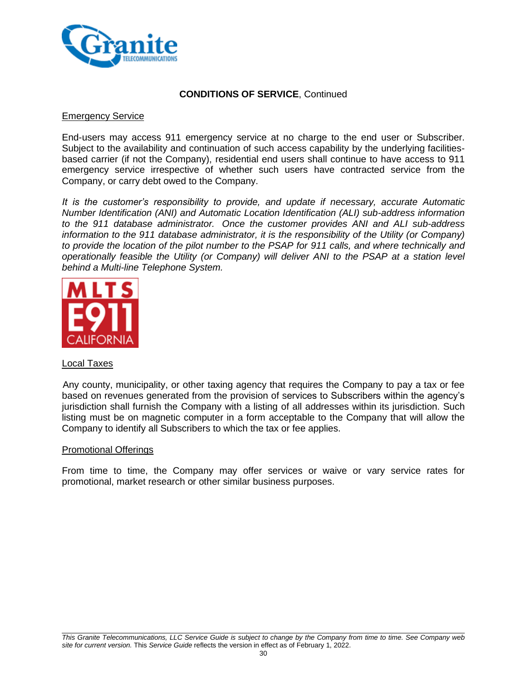

### Emergency Service

End-users may access 911 emergency service at no charge to the end user or Subscriber. Subject to the availability and continuation of such access capability by the underlying facilitiesbased carrier (if not the Company), residential end users shall continue to have access to 911 emergency service irrespective of whether such users have contracted service from the Company, or carry debt owed to the Company.

*It is the customer's responsibility to provide, and update if necessary, accurate Automatic Number Identification (ANI) and Automatic Location Identification (ALI) sub-address information to the 911 database administrator. Once the customer provides ANI and ALI sub-address information to the 911 database administrator, it is the responsibility of the Utility (or Company) to provide the location of the pilot number to the PSAP for 911 calls, and where technically and operationally feasible the Utility (or Company) will deliver ANI to the PSAP at a station level behind a Multi-line Telephone System.*



#### Local Taxes

Any county, municipality, or other taxing agency that requires the Company to pay a tax or fee based on revenues generated from the provision of services to Subscribers within the agency's jurisdiction shall furnish the Company with a listing of all addresses within its jurisdiction. Such listing must be on magnetic computer in a form acceptable to the Company that will allow the Company to identify all Subscribers to which the tax or fee applies.

#### Promotional Offerings

From time to time, the Company may offer services or waive or vary service rates for promotional, market research or other similar business purposes.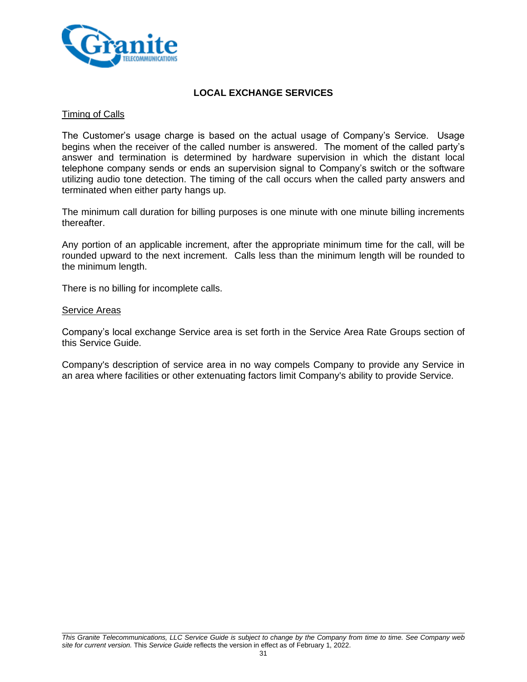

### **LOCAL EXCHANGE SERVICES**

#### Timing of Calls

The Customer's usage charge is based on the actual usage of Company's Service. Usage begins when the receiver of the called number is answered. The moment of the called party's answer and termination is determined by hardware supervision in which the distant local telephone company sends or ends an supervision signal to Company's switch or the software utilizing audio tone detection. The timing of the call occurs when the called party answers and terminated when either party hangs up.

The minimum call duration for billing purposes is one minute with one minute billing increments thereafter.

Any portion of an applicable increment, after the appropriate minimum time for the call, will be rounded upward to the next increment. Calls less than the minimum length will be rounded to the minimum length.

There is no billing for incomplete calls.

#### Service Areas

Company's local exchange Service area is set forth in the Service Area Rate Groups section of this Service Guide.

Company's description of service area in no way compels Company to provide any Service in an area where facilities or other extenuating factors limit Company's ability to provide Service.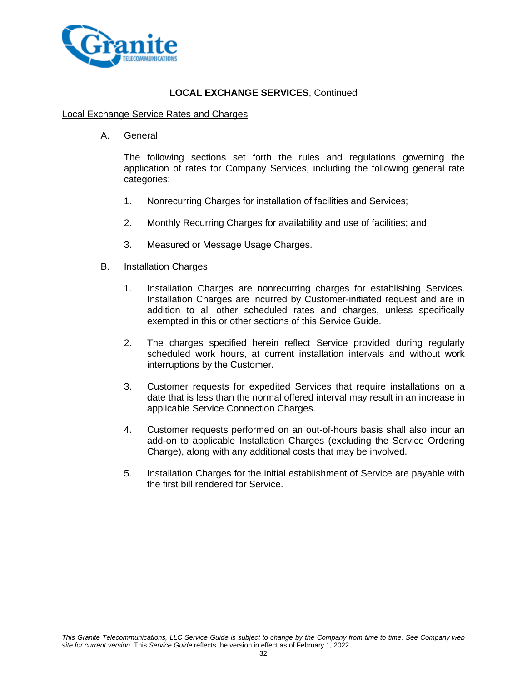

#### Local Exchange Service Rates and Charges

A. General

The following sections set forth the rules and regulations governing the application of rates for Company Services, including the following general rate categories:

- 1. Nonrecurring Charges for installation of facilities and Services;
- 2. Monthly Recurring Charges for availability and use of facilities; and
- 3. Measured or Message Usage Charges.
- B. Installation Charges
	- 1. Installation Charges are nonrecurring charges for establishing Services. Installation Charges are incurred by Customer-initiated request and are in addition to all other scheduled rates and charges, unless specifically exempted in this or other sections of this Service Guide.
	- 2. The charges specified herein reflect Service provided during regularly scheduled work hours, at current installation intervals and without work interruptions by the Customer.
	- 3. Customer requests for expedited Services that require installations on a date that is less than the normal offered interval may result in an increase in applicable Service Connection Charges.
	- 4. Customer requests performed on an out-of-hours basis shall also incur an add-on to applicable Installation Charges (excluding the Service Ordering Charge), along with any additional costs that may be involved.
	- 5. Installation Charges for the initial establishment of Service are payable with the first bill rendered for Service.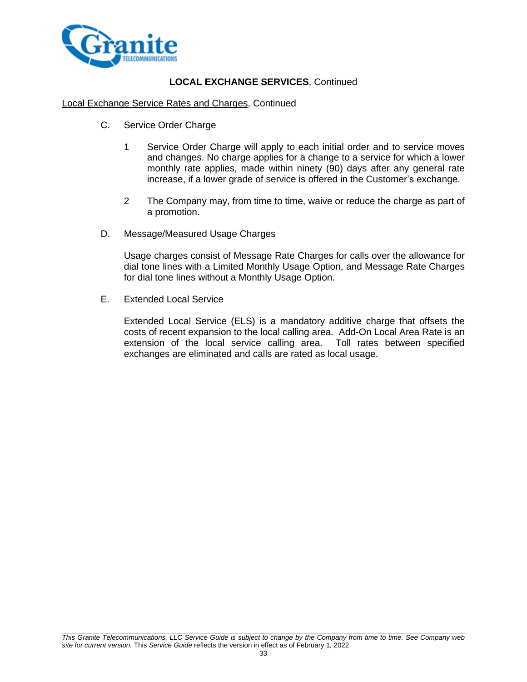

#### Local Exchange Service Rates and Charges, Continued

- C. Service Order Charge
	- 1 Service Order Charge will apply to each initial order and to service moves and changes. No charge applies for a change to a service for which a lower monthly rate applies, made within ninety (90) days after any general rate increase, if a lower grade of service is offered in the Customer's exchange.
	- 2 The Company may, from time to time, waive or reduce the charge as part of a promotion.
- D. Message/Measured Usage Charges

Usage charges consist of Message Rate Charges for calls over the allowance for dial tone lines with a Limited Monthly Usage Option, and Message Rate Charges for dial tone lines without a Monthly Usage Option.

E. Extended Local Service

Extended Local Service (ELS) is a mandatory additive charge that offsets the costs of recent expansion to the local calling area. Add-On Local Area Rate is an extension of the local service calling area. Toll rates between specified exchanges are eliminated and calls are rated as local usage.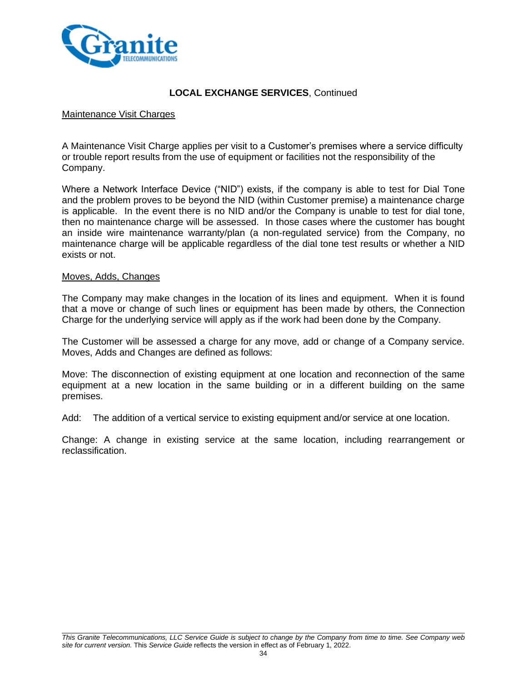

#### Maintenance Visit Charges

A Maintenance Visit Charge applies per visit to a Customer's premises where a service difficulty or trouble report results from the use of equipment or facilities not the responsibility of the Company.

Where a Network Interface Device ("NID") exists, if the company is able to test for Dial Tone and the problem proves to be beyond the NID (within Customer premise) a maintenance charge is applicable. In the event there is no NID and/or the Company is unable to test for dial tone, then no maintenance charge will be assessed. In those cases where the customer has bought an inside wire maintenance warranty/plan (a non-regulated service) from the Company, no maintenance charge will be applicable regardless of the dial tone test results or whether a NID exists or not.

#### Moves, Adds, Changes

The Company may make changes in the location of its lines and equipment. When it is found that a move or change of such lines or equipment has been made by others, the Connection Charge for the underlying service will apply as if the work had been done by the Company.

The Customer will be assessed a charge for any move, add or change of a Company service. Moves, Adds and Changes are defined as follows:

Move: The disconnection of existing equipment at one location and reconnection of the same equipment at a new location in the same building or in a different building on the same premises.

Add: The addition of a vertical service to existing equipment and/or service at one location.

Change: A change in existing service at the same location, including rearrangement or reclassification.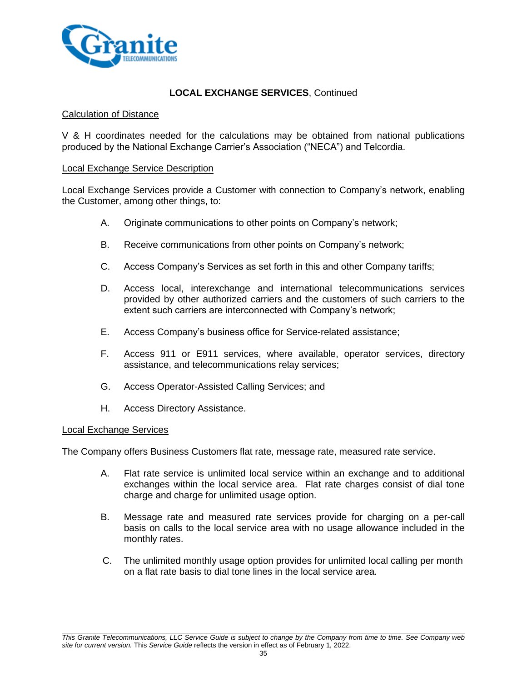

#### Calculation of Distance

V & H coordinates needed for the calculations may be obtained from national publications produced by the National Exchange Carrier's Association ("NECA") and Telcordia.

#### Local Exchange Service Description

Local Exchange Services provide a Customer with connection to Company's network, enabling the Customer, among other things, to:

- A. Originate communications to other points on Company's network;
- B. Receive communications from other points on Company's network;
- C. Access Company's Services as set forth in this and other Company tariffs;
- D. Access local, interexchange and international telecommunications services provided by other authorized carriers and the customers of such carriers to the extent such carriers are interconnected with Company's network;
- E. Access Company's business office for Service-related assistance;
- F. Access 911 or E911 services, where available, operator services, directory assistance, and telecommunications relay services;
- G. Access Operator-Assisted Calling Services; and
- H. Access Directory Assistance.

#### Local Exchange Services

The Company offers Business Customers flat rate, message rate, measured rate service.

- A. Flat rate service is unlimited local service within an exchange and to additional exchanges within the local service area. Flat rate charges consist of dial tone charge and charge for unlimited usage option.
- B. Message rate and measured rate services provide for charging on a per-call basis on calls to the local service area with no usage allowance included in the monthly rates.
- C. The unlimited monthly usage option provides for unlimited local calling per month on a flat rate basis to dial tone lines in the local service area.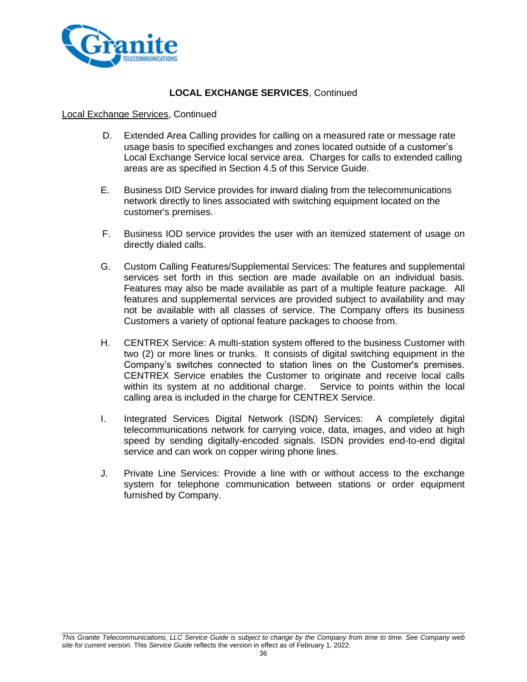

#### Local Exchange Services, Continued

- D. Extended Area Calling provides for calling on a measured rate or message rate usage basis to specified exchanges and zones located outside of a customer's Local Exchange Service local service area. Charges for calls to extended calling areas are as specified in Section 4.5 of this Service Guide.
- E. Business DID Service provides for inward dialing from the telecommunications network directly to lines associated with switching equipment located on the customer's premises.
- F. Business IOD service provides the user with an itemized statement of usage on directly dialed calls.
- G. Custom Calling Features/Supplemental Services: The features and supplemental services set forth in this section are made available on an individual basis. Features may also be made available as part of a multiple feature package. All features and supplemental services are provided subject to availability and may not be available with all classes of service. The Company offers its business Customers a variety of optional feature packages to choose from.
- H. CENTREX Service: A multi-station system offered to the business Customer with two (2) or more lines or trunks. It consists of digital switching equipment in the Company's switches connected to station lines on the Customer's premises. CENTREX Service enables the Customer to originate and receive local calls within its system at no additional charge. Service to points within the local calling area is included in the charge for CENTREX Service.
- I. Integrated Services Digital Network (ISDN) Services: A completely digital telecommunications network for carrying voice, data, images, and video at high speed by sending digitally-encoded signals. ISDN provides end-to-end digital service and can work on copper wiring phone lines.
- J. Private Line Services: Provide a line with or without access to the exchange system for telephone communication between stations or order equipment furnished by Company.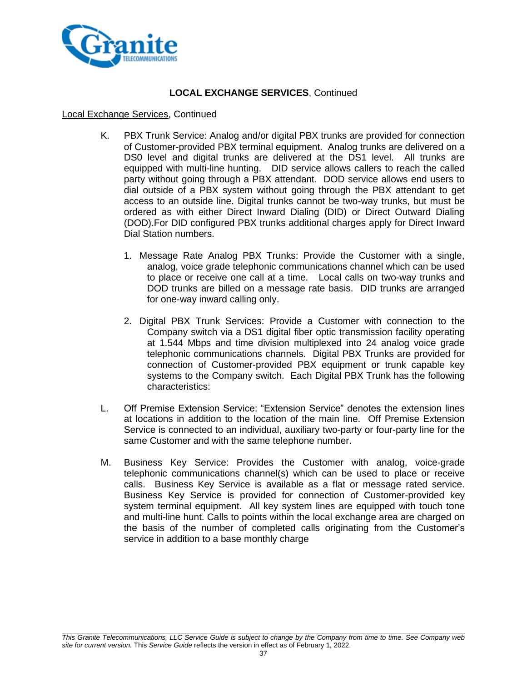

#### Local Exchange Services, Continued

- K. PBX Trunk Service: Analog and/or digital PBX trunks are provided for connection of Customer-provided PBX terminal equipment. Analog trunks are delivered on a DS0 level and digital trunks are delivered at the DS1 level. All trunks are equipped with multi-line hunting. DID service allows callers to reach the called party without going through a PBX attendant. DOD service allows end users to dial outside of a PBX system without going through the PBX attendant to get access to an outside line. Digital trunks cannot be two-way trunks, but must be ordered as with either Direct Inward Dialing (DID) or Direct Outward Dialing (DOD).For DID configured PBX trunks additional charges apply for Direct Inward Dial Station numbers.
	- 1. Message Rate Analog PBX Trunks: Provide the Customer with a single, analog, voice grade telephonic communications channel which can be used to place or receive one call at a time. Local calls on two-way trunks and DOD trunks are billed on a message rate basis. DID trunks are arranged for one-way inward calling only.
	- 2. Digital PBX Trunk Services: Provide a Customer with connection to the Company switch via a DS1 digital fiber optic transmission facility operating at 1.544 Mbps and time division multiplexed into 24 analog voice grade telephonic communications channels. Digital PBX Trunks are provided for connection of Customer-provided PBX equipment or trunk capable key systems to the Company switch. Each Digital PBX Trunk has the following characteristics:
- L. Off Premise Extension Service: "Extension Service" denotes the extension lines at locations in addition to the location of the main line. Off Premise Extension Service is connected to an individual, auxiliary two-party or four-party line for the same Customer and with the same telephone number.
- M. Business Key Service: Provides the Customer with analog, voice-grade telephonic communications channel(s) which can be used to place or receive calls. Business Key Service is available as a flat or message rated service. Business Key Service is provided for connection of Customer-provided key system terminal equipment. All key system lines are equipped with touch tone and multi-line hunt. Calls to points within the local exchange area are charged on the basis of the number of completed calls originating from the Customer's service in addition to a base monthly charge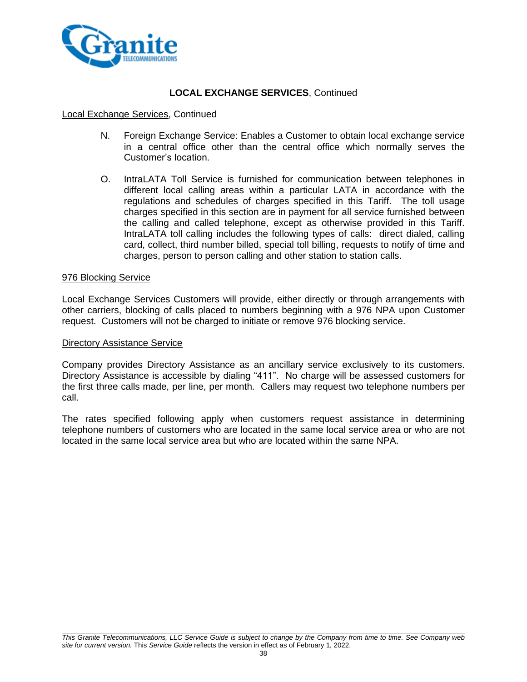

#### Local Exchange Services, Continued

- N. Foreign Exchange Service: Enables a Customer to obtain local exchange service in a central office other than the central office which normally serves the Customer's location.
- O. IntraLATA Toll Service is furnished for communication between telephones in different local calling areas within a particular LATA in accordance with the regulations and schedules of charges specified in this Tariff. The toll usage charges specified in this section are in payment for all service furnished between the calling and called telephone, except as otherwise provided in this Tariff. IntraLATA toll calling includes the following types of calls: direct dialed, calling card, collect, third number billed, special toll billing, requests to notify of time and charges, person to person calling and other station to station calls.

#### 976 Blocking Service

Local Exchange Services Customers will provide, either directly or through arrangements with other carriers, blocking of calls placed to numbers beginning with a 976 NPA upon Customer request. Customers will not be charged to initiate or remove 976 blocking service.

#### Directory Assistance Service

Company provides Directory Assistance as an ancillary service exclusively to its customers. Directory Assistance is accessible by dialing "411". No charge will be assessed customers for the first three calls made, per line, per month. Callers may request two telephone numbers per call.

The rates specified following apply when customers request assistance in determining telephone numbers of customers who are located in the same local service area or who are not located in the same local service area but who are located within the same NPA.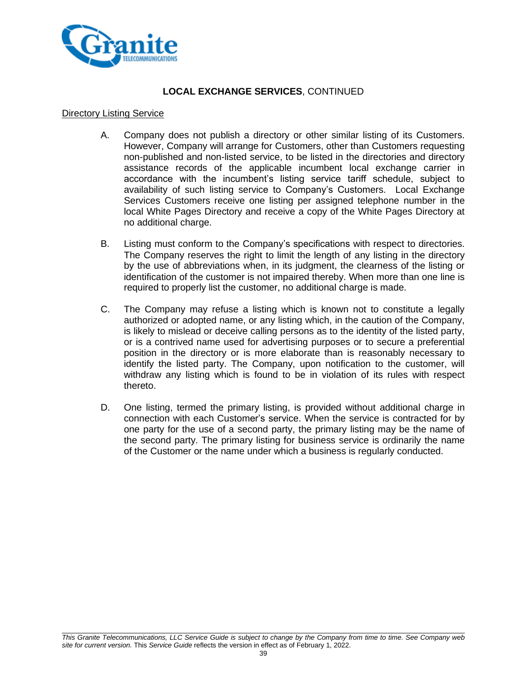

### **LOCAL EXCHANGE SERVICES**, CONTINUED

#### Directory Listing Service

- A. Company does not publish a directory or other similar listing of its Customers. However, Company will arrange for Customers, other than Customers requesting non-published and non-listed service, to be listed in the directories and directory assistance records of the applicable incumbent local exchange carrier in accordance with the incumbent's listing service tariff schedule, subject to availability of such listing service to Company's Customers. Local Exchange Services Customers receive one listing per assigned telephone number in the local White Pages Directory and receive a copy of the White Pages Directory at no additional charge.
- B. Listing must conform to the Company's specifications with respect to directories. The Company reserves the right to limit the length of any listing in the directory by the use of abbreviations when, in its judgment, the clearness of the listing or identification of the customer is not impaired thereby. When more than one line is required to properly list the customer, no additional charge is made.
- C. The Company may refuse a listing which is known not to constitute a legally authorized or adopted name, or any listing which, in the caution of the Company, is likely to mislead or deceive calling persons as to the identity of the listed party, or is a contrived name used for advertising purposes or to secure a preferential position in the directory or is more elaborate than is reasonably necessary to identify the listed party. The Company, upon notification to the customer, will withdraw any listing which is found to be in violation of its rules with respect thereto.
- D. One listing, termed the primary listing, is provided without additional charge in connection with each Customer's service. When the service is contracted for by one party for the use of a second party, the primary listing may be the name of the second party. The primary listing for business service is ordinarily the name of the Customer or the name under which a business is regularly conducted.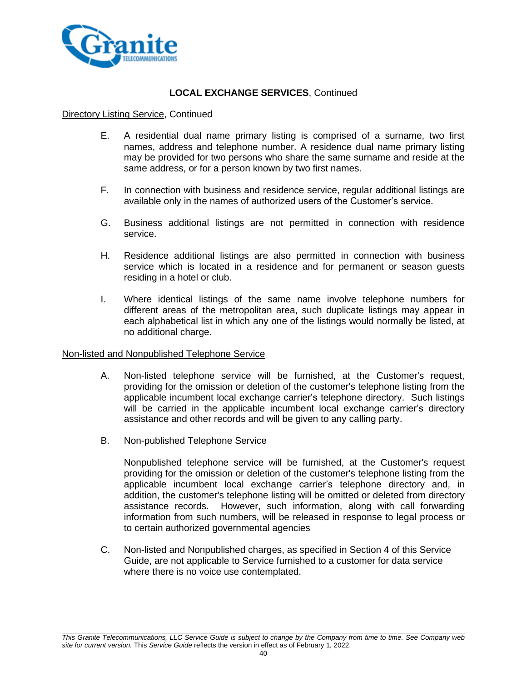

#### Directory Listing Service, Continued

- E. A residential dual name primary listing is comprised of a surname, two first names, address and telephone number. A residence dual name primary listing may be provided for two persons who share the same surname and reside at the same address, or for a person known by two first names.
- F. In connection with business and residence service, regular additional listings are available only in the names of authorized users of the Customer's service.
- G. Business additional listings are not permitted in connection with residence service.
- H. Residence additional listings are also permitted in connection with business service which is located in a residence and for permanent or season guests residing in a hotel or club.
- I. Where identical listings of the same name involve telephone numbers for different areas of the metropolitan area, such duplicate listings may appear in each alphabetical list in which any one of the listings would normally be listed, at no additional charge.

#### Non-listed and Nonpublished Telephone Service

- A. Non-listed telephone service will be furnished, at the Customer's request, providing for the omission or deletion of the customer's telephone listing from the applicable incumbent local exchange carrier's telephone directory. Such listings will be carried in the applicable incumbent local exchange carrier's directory assistance and other records and will be given to any calling party.
- B. Non-published Telephone Service

Nonpublished telephone service will be furnished, at the Customer's request providing for the omission or deletion of the customer's telephone listing from the applicable incumbent local exchange carrier's telephone directory and, in addition, the customer's telephone listing will be omitted or deleted from directory assistance records. However, such information, along with call forwarding information from such numbers, will be released in response to legal process or to certain authorized governmental agencies

C. Non-listed and Nonpublished charges, as specified in Section 4 of this Service Guide, are not applicable to Service furnished to a customer for data service where there is no voice use contemplated.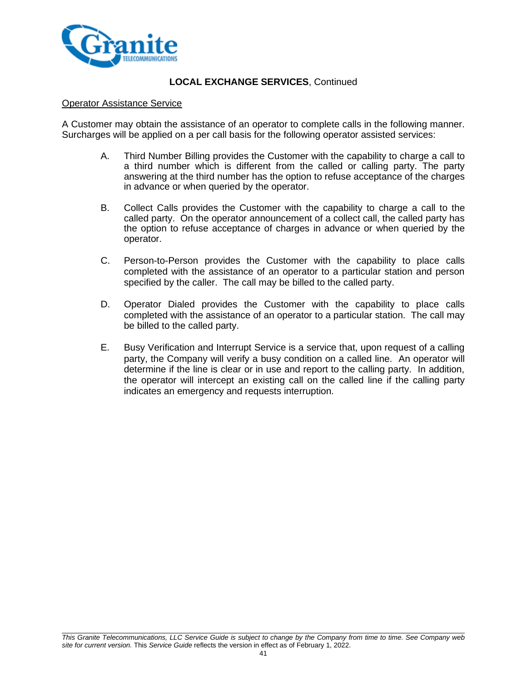

#### Operator Assistance Service

A Customer may obtain the assistance of an operator to complete calls in the following manner. Surcharges will be applied on a per call basis for the following operator assisted services:

- A. Third Number Billing provides the Customer with the capability to charge a call to a third number which is different from the called or calling party. The party answering at the third number has the option to refuse acceptance of the charges in advance or when queried by the operator.
- B. Collect Calls provides the Customer with the capability to charge a call to the called party. On the operator announcement of a collect call, the called party has the option to refuse acceptance of charges in advance or when queried by the operator.
- C. Person-to-Person provides the Customer with the capability to place calls completed with the assistance of an operator to a particular station and person specified by the caller. The call may be billed to the called party.
- D. Operator Dialed provides the Customer with the capability to place calls completed with the assistance of an operator to a particular station. The call may be billed to the called party.
- E. Busy Verification and Interrupt Service is a service that, upon request of a calling party, the Company will verify a busy condition on a called line. An operator will determine if the line is clear or in use and report to the calling party. In addition, the operator will intercept an existing call on the called line if the calling party indicates an emergency and requests interruption.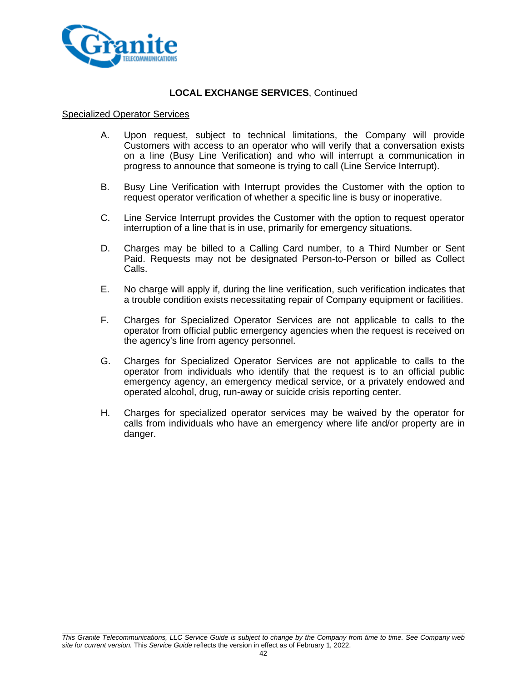

#### Specialized Operator Services

- A. Upon request, subject to technical limitations, the Company will provide Customers with access to an operator who will verify that a conversation exists on a line (Busy Line Verification) and who will interrupt a communication in progress to announce that someone is trying to call (Line Service Interrupt).
- B. Busy Line Verification with Interrupt provides the Customer with the option to request operator verification of whether a specific line is busy or inoperative.
- C. Line Service Interrupt provides the Customer with the option to request operator interruption of a line that is in use, primarily for emergency situations.
- D. Charges may be billed to a Calling Card number, to a Third Number or Sent Paid. Requests may not be designated Person-to-Person or billed as Collect Calls.
- E. No charge will apply if, during the line verification, such verification indicates that a trouble condition exists necessitating repair of Company equipment or facilities.
- F. Charges for Specialized Operator Services are not applicable to calls to the operator from official public emergency agencies when the request is received on the agency's line from agency personnel.
- G. Charges for Specialized Operator Services are not applicable to calls to the operator from individuals who identify that the request is to an official public emergency agency, an emergency medical service, or a privately endowed and operated alcohol, drug, run-away or suicide crisis reporting center.
- H. Charges for specialized operator services may be waived by the operator for calls from individuals who have an emergency where life and/or property are in danger.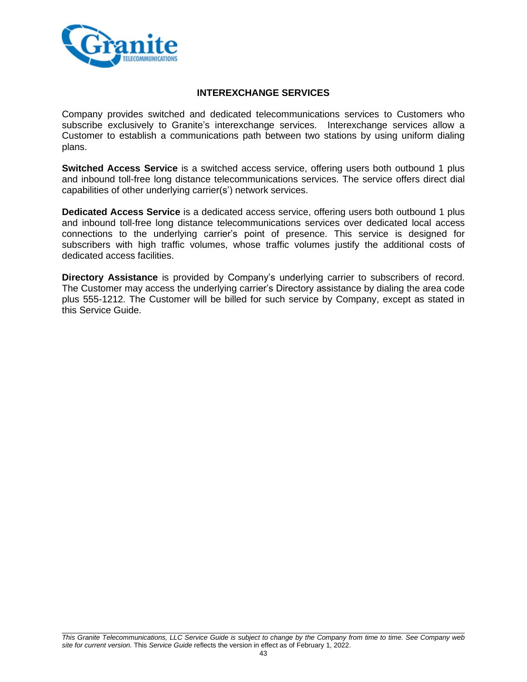

### **INTEREXCHANGE SERVICES**

Company provides switched and dedicated telecommunications services to Customers who subscribe exclusively to Granite's interexchange services. Interexchange services allow a Customer to establish a communications path between two stations by using uniform dialing plans.

**Switched Access Service** is a switched access service, offering users both outbound 1 plus and inbound toll-free long distance telecommunications services. The service offers direct dial capabilities of other underlying carrier(s') network services.

**Dedicated Access Service** is a dedicated access service, offering users both outbound 1 plus and inbound toll-free long distance telecommunications services over dedicated local access connections to the underlying carrier's point of presence. This service is designed for subscribers with high traffic volumes, whose traffic volumes justify the additional costs of dedicated access facilities.

**Directory Assistance** is provided by Company's underlying carrier to subscribers of record. The Customer may access the underlying carrier's Directory assistance by dialing the area code plus 555-1212. The Customer will be billed for such service by Company, except as stated in this Service Guide.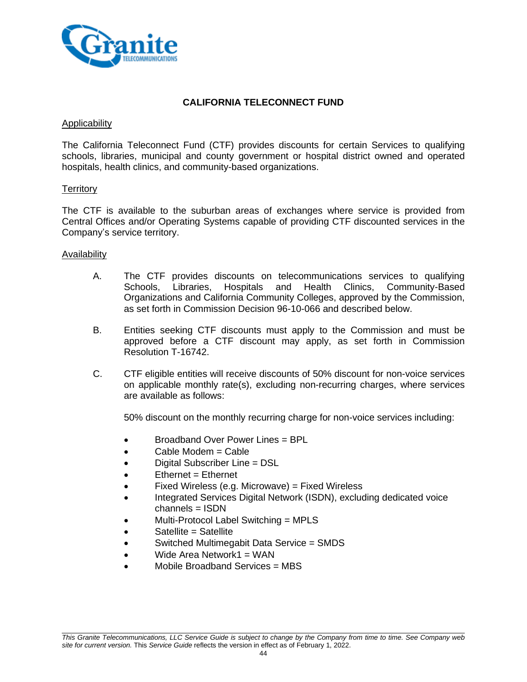

## **CALIFORNIA TELECONNECT FUND**

#### **Applicability**

The California Teleconnect Fund (CTF) provides discounts for certain Services to qualifying schools, libraries, municipal and county government or hospital district owned and operated hospitals, health clinics, and community-based organizations.

### **Territory**

The CTF is available to the suburban areas of exchanges where service is provided from Central Offices and/or Operating Systems capable of providing CTF discounted services in the Company's service territory.

### Availability

- A. The CTF provides discounts on telecommunications services to qualifying Schools, Libraries, Hospitals and Health Clinics, Community-Based Organizations and California Community Colleges, approved by the Commission, as set forth in Commission Decision 96-10-066 and described below.
- B. Entities seeking CTF discounts must apply to the Commission and must be approved before a CTF discount may apply, as set forth in Commission Resolution T-16742.
- C. CTF eligible entities will receive discounts of 50% discount for non-voice services on applicable monthly rate(s), excluding non-recurring charges, where services are available as follows:

50% discount on the monthly recurring charge for non-voice services including:

- Broadband Over Power Lines = BPL
- Cable Modem = Cable
- Digital Subscriber Line = DSL
- $E$ thernet = Ethernet
- Fixed Wireless (e.g. Microwave) = Fixed Wireless
- Integrated Services Digital Network (ISDN), excluding dedicated voice channels = ISDN
- Multi-Protocol Label Switching = MPLS
- Satellite = Satellite
- Switched Multimegabit Data Service = SMDS
- Wide Area Network1 = WAN
- Mobile Broadband Services = MBS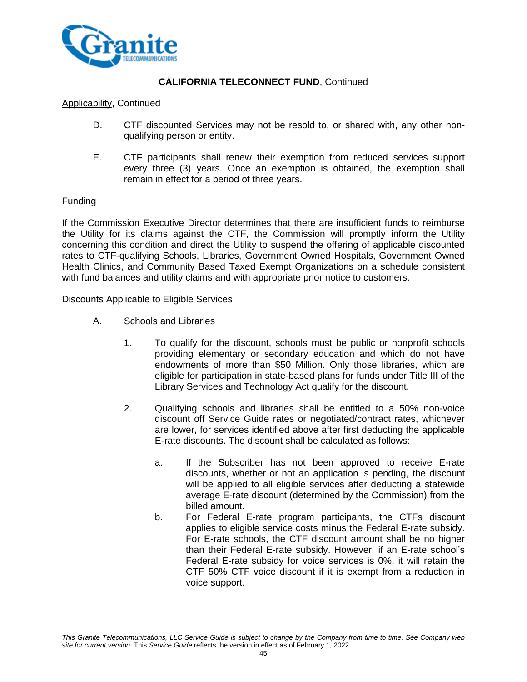

#### Applicability, Continued

- D. CTF discounted Services may not be resold to, or shared with, any other nonqualifying person or entity.
- E. CTF participants shall renew their exemption from reduced services support every three (3) years. Once an exemption is obtained, the exemption shall remain in effect for a period of three years.

#### Funding

If the Commission Executive Director determines that there are insufficient funds to reimburse the Utility for its claims against the CTF, the Commission will promptly inform the Utility concerning this condition and direct the Utility to suspend the offering of applicable discounted rates to CTF-qualifying Schools, Libraries, Government Owned Hospitals, Government Owned Health Clinics, and Community Based Taxed Exempt Organizations on a schedule consistent with fund balances and utility claims and with appropriate prior notice to customers.

#### Discounts Applicable to Eligible Services

- A. Schools and Libraries
	- 1. To qualify for the discount, schools must be public or nonprofit schools providing elementary or secondary education and which do not have endowments of more than \$50 Million. Only those libraries, which are eligible for participation in state-based plans for funds under Title III of the Library Services and Technology Act qualify for the discount.
	- 2. Qualifying schools and libraries shall be entitled to a 50% non-voice discount off Service Guide rates or negotiated/contract rates, whichever are lower, for services identified above after first deducting the applicable E-rate discounts. The discount shall be calculated as follows:
		- a. If the Subscriber has not been approved to receive E-rate discounts, whether or not an application is pending, the discount will be applied to all eligible services after deducting a statewide average E-rate discount (determined by the Commission) from the billed amount.
		- b. For Federal E-rate program participants, the CTFs discount applies to eligible service costs minus the Federal E-rate subsidy. For E-rate schools, the CTF discount amount shall be no higher than their Federal E-rate subsidy. However, if an E-rate school's Federal E-rate subsidy for voice services is 0%, it will retain the CTF 50% CTF voice discount if it is exempt from a reduction in voice support.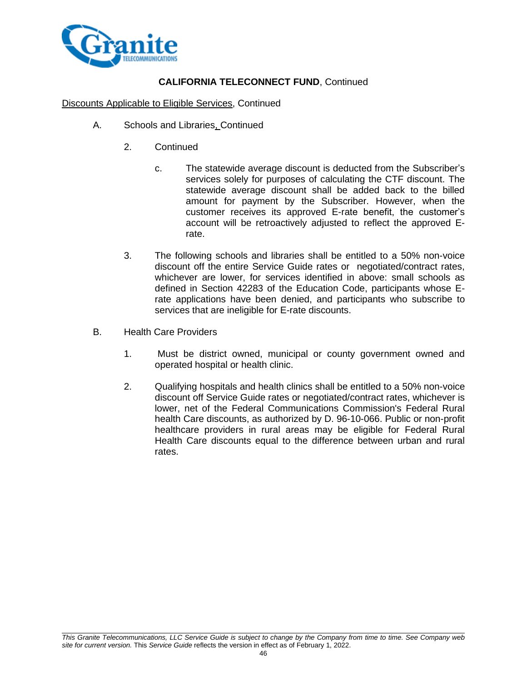

### Discounts Applicable to Eligible Services, Continued

- A. Schools and Libraries, Continued
	- 2. Continued
		- c. The statewide average discount is deducted from the Subscriber's services solely for purposes of calculating the CTF discount. The statewide average discount shall be added back to the billed amount for payment by the Subscriber. However, when the customer receives its approved E-rate benefit, the customer's account will be retroactively adjusted to reflect the approved Erate.
	- 3. The following schools and libraries shall be entitled to a 50% non-voice discount off the entire Service Guide rates or negotiated/contract rates, whichever are lower, for services identified in above: small schools as defined in Section 42283 of the Education Code, participants whose Erate applications have been denied, and participants who subscribe to services that are ineligible for E-rate discounts.
- B. Health Care Providers
	- 1. Must be district owned, municipal or county government owned and operated hospital or health clinic.
	- 2. Qualifying hospitals and health clinics shall be entitled to a 50% non-voice discount off Service Guide rates or negotiated/contract rates, whichever is lower, net of the Federal Communications Commission's Federal Rural health Care discounts, as authorized by D. 96-10-066. Public or non-profit healthcare providers in rural areas may be eligible for Federal Rural Health Care discounts equal to the difference between urban and rural rates.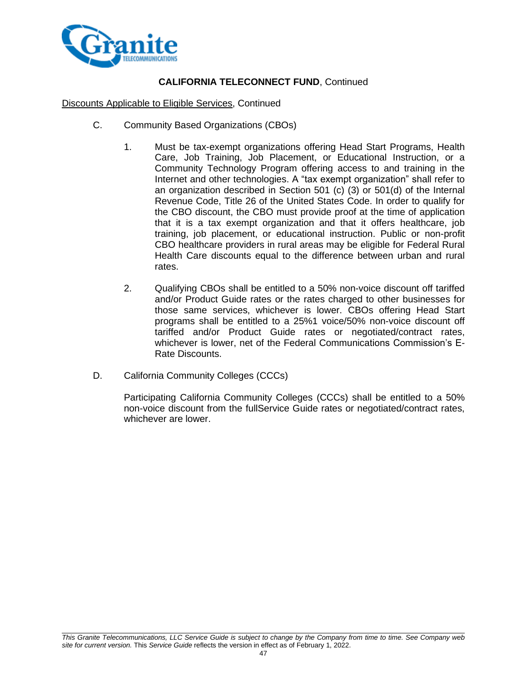

Discounts Applicable to Eligible Services, Continued

- C. Community Based Organizations (CBOs)
	- 1. Must be tax-exempt organizations offering Head Start Programs, Health Care, Job Training, Job Placement, or Educational Instruction, or a Community Technology Program offering access to and training in the Internet and other technologies. A "tax exempt organization" shall refer to an organization described in Section 501 (c) (3) or 501(d) of the Internal Revenue Code, Title 26 of the United States Code. In order to qualify for the CBO discount, the CBO must provide proof at the time of application that it is a tax exempt organization and that it offers healthcare, job training, job placement, or educational instruction. Public or non-profit CBO healthcare providers in rural areas may be eligible for Federal Rural Health Care discounts equal to the difference between urban and rural rates.
	- 2. Qualifying CBOs shall be entitled to a 50% non-voice discount off tariffed and/or Product Guide rates or the rates charged to other businesses for those same services, whichever is lower. CBOs offering Head Start programs shall be entitled to a 25%1 voice/50% non-voice discount off tariffed and/or Product Guide rates or negotiated/contract rates, whichever is lower, net of the Federal Communications Commission's E-Rate Discounts.
- D. California Community Colleges (CCCs)

Participating California Community Colleges (CCCs) shall be entitled to a 50% non-voice discount from the fullService Guide rates or negotiated/contract rates, whichever are lower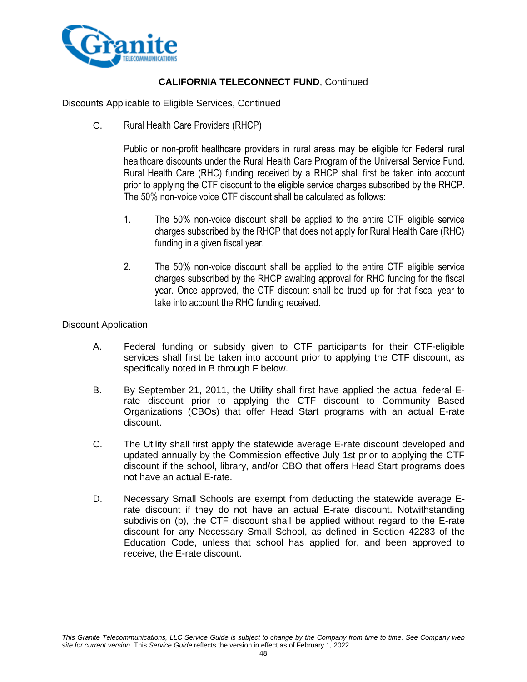

Discounts Applicable to Eligible Services, Continued

C. Rural Health Care Providers (RHCP)

Public or non-profit healthcare providers in rural areas may be eligible for Federal rural healthcare discounts under the Rural Health Care Program of the Universal Service Fund. Rural Health Care (RHC) funding received by a RHCP shall first be taken into account prior to applying the CTF discount to the eligible service charges subscribed by the RHCP. The 50% non-voice voice CTF discount shall be calculated as follows:

- 1. The 50% non-voice discount shall be applied to the entire CTF eligible service charges subscribed by the RHCP that does not apply for Rural Health Care (RHC) funding in a given fiscal year.
- 2. The 50% non-voice discount shall be applied to the entire CTF eligible service charges subscribed by the RHCP awaiting approval for RHC funding for the fiscal year. Once approved, the CTF discount shall be trued up for that fiscal year to take into account the RHC funding received.

### Discount Application

- A. Federal funding or subsidy given to CTF participants for their CTF-eligible services shall first be taken into account prior to applying the CTF discount, as specifically noted in B through F below.
- B. By September 21, 2011, the Utility shall first have applied the actual federal Erate discount prior to applying the CTF discount to Community Based Organizations (CBOs) that offer Head Start programs with an actual E-rate discount.
- C. The Utility shall first apply the statewide average E-rate discount developed and updated annually by the Commission effective July 1st prior to applying the CTF discount if the school, library, and/or CBO that offers Head Start programs does not have an actual E-rate.
- D. Necessary Small Schools are exempt from deducting the statewide average Erate discount if they do not have an actual E-rate discount. Notwithstanding subdivision (b), the CTF discount shall be applied without regard to the E-rate discount for any Necessary Small School, as defined in Section 42283 of the Education Code, unless that school has applied for, and been approved to receive, the E-rate discount.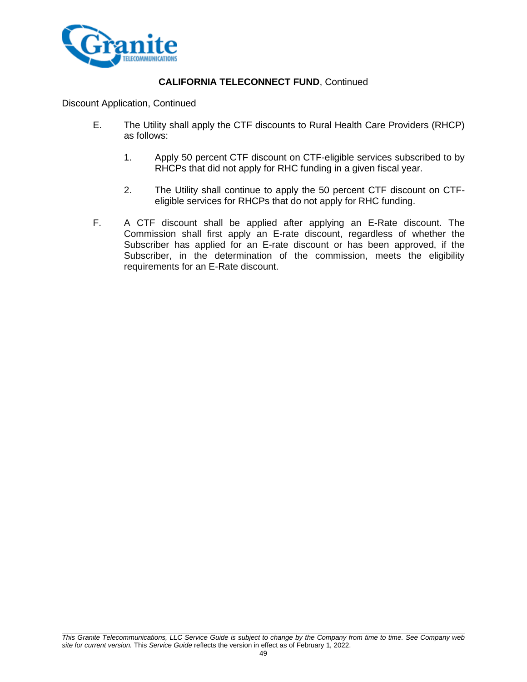

Discount Application, Continued

- E. The Utility shall apply the CTF discounts to Rural Health Care Providers (RHCP) as follows:
	- 1. Apply 50 percent CTF discount on CTF-eligible services subscribed to by RHCPs that did not apply for RHC funding in a given fiscal year.
	- 2. The Utility shall continue to apply the 50 percent CTF discount on CTFeligible services for RHCPs that do not apply for RHC funding.
- F. A CTF discount shall be applied after applying an E-Rate discount. The Commission shall first apply an E-rate discount, regardless of whether the Subscriber has applied for an E-rate discount or has been approved, if the Subscriber, in the determination of the commission, meets the eligibility requirements for an E-Rate discount.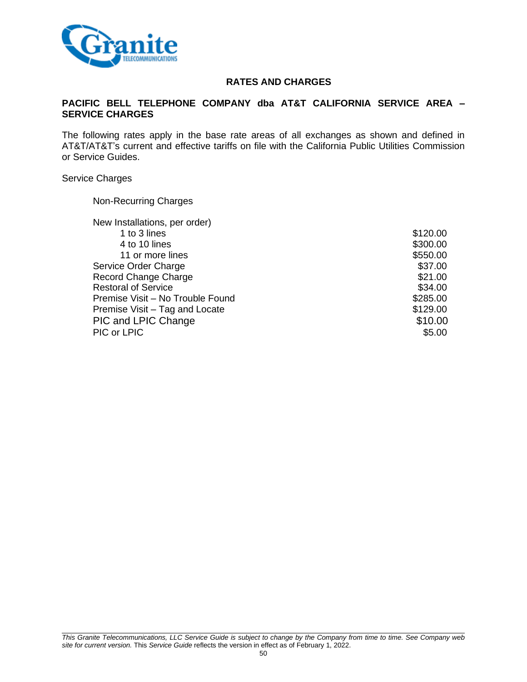

### **RATES AND CHARGES**

### **PACIFIC BELL TELEPHONE COMPANY dba AT&T CALIFORNIA SERVICE AREA – SERVICE CHARGES**

The following rates apply in the base rate areas of all exchanges as shown and defined in AT&T/AT&T's current and effective tariffs on file with the California Public Utilities Commission or Service Guides.

#### Service Charges

Non-Recurring Charges

| \$120.00 |
|----------|
| \$300.00 |
| \$550.00 |
| \$37.00  |
| \$21.00  |
| \$34.00  |
| \$285.00 |
| \$129.00 |
| \$10.00  |
| \$5.00   |
|          |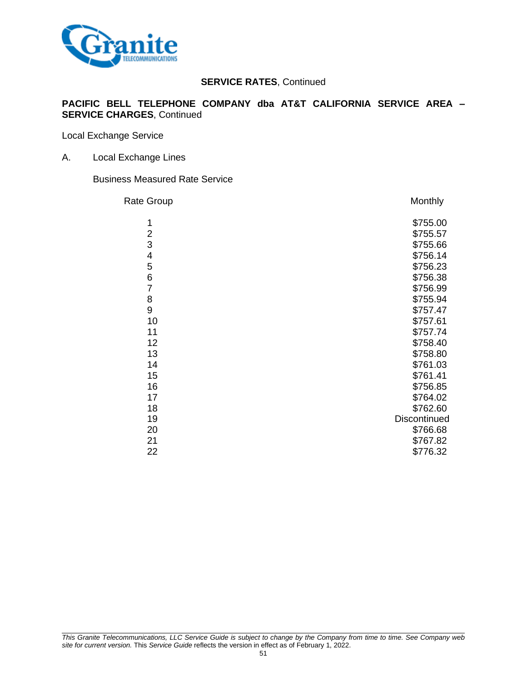

### **PACIFIC BELL TELEPHONE COMPANY dba AT&T CALIFORNIA SERVICE AREA – SERVICE CHARGES**, Continued

Local Exchange Service

A. Local Exchange Lines

Business Measured Rate Service

| Rate Group     | Monthly      |
|----------------|--------------|
| 1              | \$755.00     |
| $\overline{2}$ | \$755.57     |
| 3              | \$755.66     |
| 4              | \$756.14     |
| 5              | \$756.23     |
| 6              | \$756.38     |
| $\overline{7}$ | \$756.99     |
| 8              | \$755.94     |
| 9              | \$757.47     |
| 10             | \$757.61     |
| 11             | \$757.74     |
| 12             | \$758.40     |
| 13             | \$758.80     |
| 14             | \$761.03     |
| 15             | \$761.41     |
| 16             | \$756.85     |
| 17             | \$764.02     |
| 18             | \$762.60     |
| 19             | Discontinued |
| 20             | \$766.68     |
| 21             | \$767.82     |
| 22             | \$776.32     |
|                |              |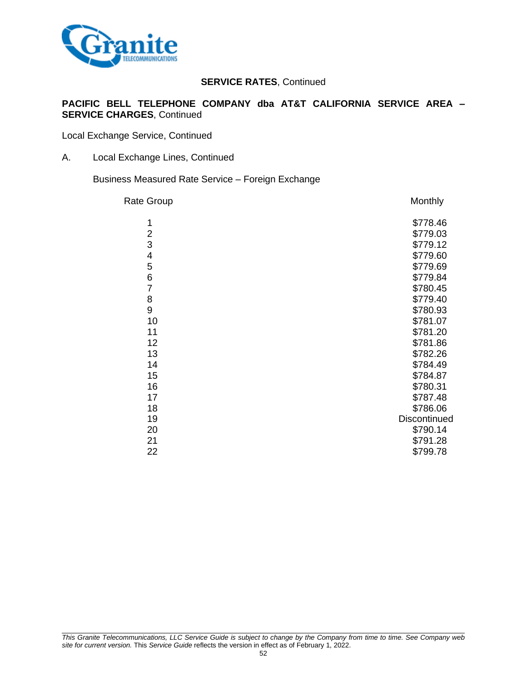

### **PACIFIC BELL TELEPHONE COMPANY dba AT&T CALIFORNIA SERVICE AREA – SERVICE CHARGES**, Continued

Local Exchange Service, Continued

A. Local Exchange Lines, Continued

Business Measured Rate Service – Foreign Exchange

| <b>Rate Group</b> | Monthly      |
|-------------------|--------------|
| 1                 | \$778.46     |
| $\overline{c}$    | \$779.03     |
| 3                 | \$779.12     |
| 4                 | \$779.60     |
| 5                 | \$779.69     |
| 6                 | \$779.84     |
| $\overline{7}$    | \$780.45     |
| 8                 | \$779.40     |
| 9                 | \$780.93     |
| 10                | \$781.07     |
| 11                | \$781.20     |
| 12                | \$781.86     |
| 13                | \$782.26     |
| 14                | \$784.49     |
| 15                | \$784.87     |
| 16                | \$780.31     |
| 17                | \$787.48     |
| 18                | \$786.06     |
| 19                | Discontinued |
| 20                | \$790.14     |
| 21                | \$791.28     |
| 22                | \$799.78     |
|                   |              |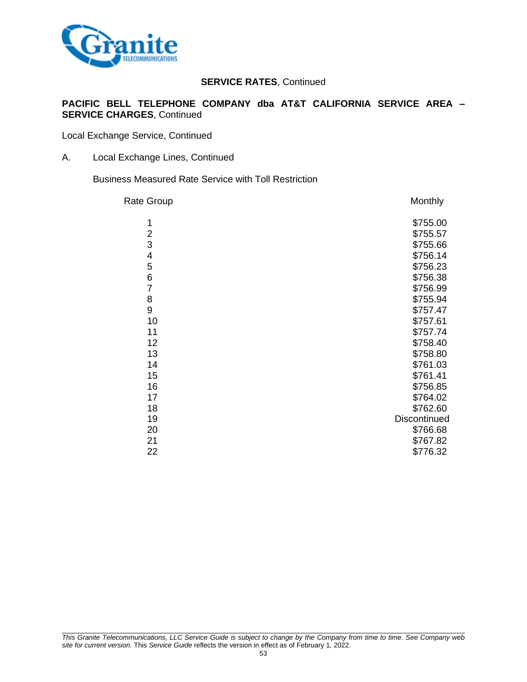

### **PACIFIC BELL TELEPHONE COMPANY dba AT&T CALIFORNIA SERVICE AREA – SERVICE CHARGES**, Continued

Local Exchange Service, Continued

A. Local Exchange Lines, Continued

Business Measured Rate Service with Toll Restriction

| Rate Group     | Monthly      |
|----------------|--------------|
| 1              | \$755.00     |
| $\overline{2}$ | \$755.57     |
| 3              | \$755.66     |
| 4              | \$756.14     |
| 5              | \$756.23     |
| $\,$ 6 $\,$    | \$756.38     |
| $\overline{7}$ | \$756.99     |
| 8              | \$755.94     |
| 9              | \$757.47     |
| 10             | \$757.61     |
| 11             | \$757.74     |
| 12             | \$758.40     |
| 13             | \$758.80     |
| 14             | \$761.03     |
| 15             | \$761.41     |
| 16             | \$756.85     |
| 17             | \$764.02     |
| 18             | \$762.60     |
| 19             | Discontinued |
| 20             | \$766.68     |
| 21             | \$767.82     |
| 22             | \$776.32     |
|                |              |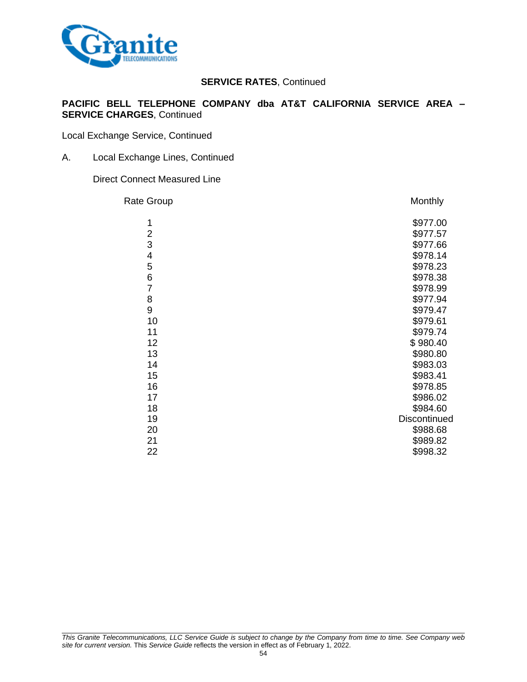

### **PACIFIC BELL TELEPHONE COMPANY dba AT&T CALIFORNIA SERVICE AREA – SERVICE CHARGES**, Continued

Local Exchange Service, Continued

A. Local Exchange Lines, Continued

Direct Connect Measured Line

| <b>Rate Group</b>       | Monthly      |
|-------------------------|--------------|
| 1                       | \$977.00     |
| $\overline{\mathbf{c}}$ | \$977.57     |
| 3                       | \$977.66     |
| 4                       | \$978.14     |
| 5                       | \$978.23     |
| 6                       | \$978.38     |
| $\overline{7}$          | \$978.99     |
| 8                       | \$977.94     |
| 9                       | \$979.47     |
| 10                      | \$979.61     |
| 11                      | \$979.74     |
| 12                      | \$980.40     |
| 13                      | \$980.80     |
| 14                      | \$983.03     |
| 15                      | \$983.41     |
| 16                      | \$978.85     |
| 17                      | \$986.02     |
| 18                      | \$984.60     |
| 19                      | Discontinued |
| 20                      | \$988.68     |
| 21                      | \$989.82     |
| 22                      | \$998.32     |
|                         |              |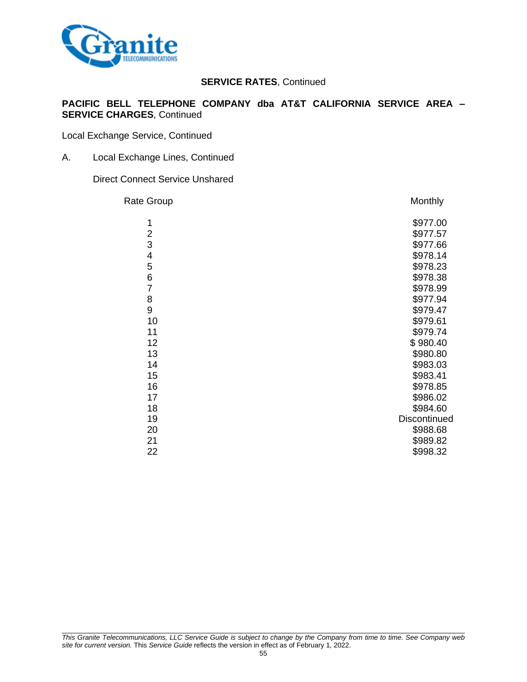

### **PACIFIC BELL TELEPHONE COMPANY dba AT&T CALIFORNIA SERVICE AREA – SERVICE CHARGES**, Continued

Local Exchange Service, Continued

A. Local Exchange Lines, Continued

#### Direct Connect Service Unshared

| <b>Rate Group</b>       | Monthly      |
|-------------------------|--------------|
| 1                       | \$977.00     |
| $\overline{\mathbf{c}}$ | \$977.57     |
| 3                       | \$977.66     |
| 4                       | \$978.14     |
| 5                       | \$978.23     |
| 6                       | \$978.38     |
| $\overline{7}$          | \$978.99     |
| 8                       | \$977.94     |
| 9                       | \$979.47     |
| 10                      | \$979.61     |
| 11                      | \$979.74     |
| 12                      | \$980.40     |
| 13                      | \$980.80     |
| 14                      | \$983.03     |
| 15                      | \$983.41     |
| 16                      | \$978.85     |
| 17                      | \$986.02     |
| 18                      | \$984.60     |
| 19                      | Discontinued |
| 20                      | \$988.68     |
| 21                      | \$989.82     |
| 22                      | \$998.32     |
|                         |              |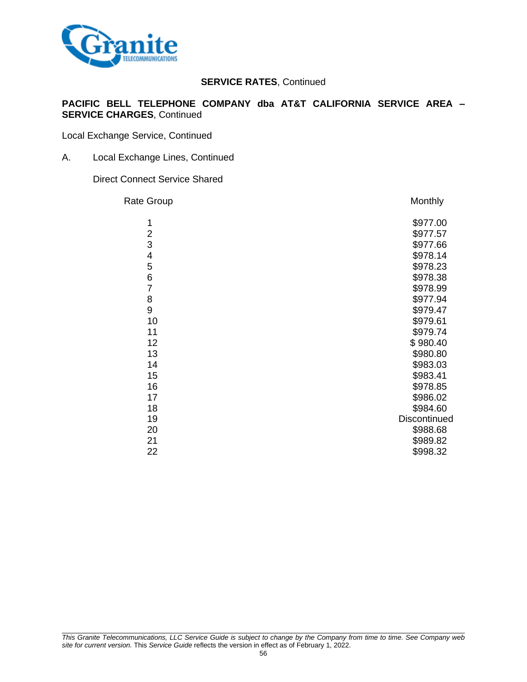

### **PACIFIC BELL TELEPHONE COMPANY dba AT&T CALIFORNIA SERVICE AREA – SERVICE CHARGES**, Continued

Local Exchange Service, Continued

A. Local Exchange Lines, Continued

Direct Connect Service Shared

| <b>Rate Group</b>       | Monthly      |
|-------------------------|--------------|
| 1                       | \$977.00     |
| $\overline{\mathbf{c}}$ | \$977.57     |
| 3                       | \$977.66     |
| 4                       | \$978.14     |
| 5                       | \$978.23     |
| 6                       | \$978.38     |
| $\overline{7}$          | \$978.99     |
| 8                       | \$977.94     |
| 9                       | \$979.47     |
| 10                      | \$979.61     |
| 11                      | \$979.74     |
| 12                      | \$980.40     |
| 13                      | \$980.80     |
| 14                      | \$983.03     |
| 15                      | \$983.41     |
| 16                      | \$978.85     |
| 17                      | \$986.02     |
| 18                      | \$984.60     |
| 19                      | Discontinued |
| 20                      | \$988.68     |
| 21                      | \$989.82     |
| 22                      | \$998.32     |
|                         |              |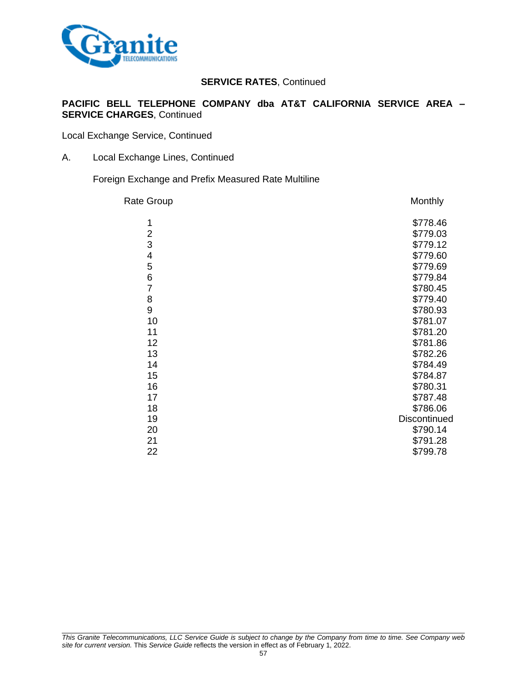

### **PACIFIC BELL TELEPHONE COMPANY dba AT&T CALIFORNIA SERVICE AREA – SERVICE CHARGES**, Continued

Local Exchange Service, Continued

A. Local Exchange Lines, Continued

Foreign Exchange and Prefix Measured Rate Multiline

| <b>Rate Group</b> | Monthly      |
|-------------------|--------------|
| 1                 | \$778.46     |
| $\overline{2}$    | \$779.03     |
| 3                 | \$779.12     |
| 4                 | \$779.60     |
| 5                 | \$779.69     |
| 6                 | \$779.84     |
| $\overline{7}$    | \$780.45     |
| 8                 | \$779.40     |
| 9                 | \$780.93     |
| 10                | \$781.07     |
| 11                | \$781.20     |
| 12                | \$781.86     |
| 13                | \$782.26     |
| 14                | \$784.49     |
| 15                | \$784.87     |
| 16                | \$780.31     |
| 17                | \$787.48     |
| 18                | \$786.06     |
| 19                | Discontinued |
| 20                | \$790.14     |
| 21                | \$791.28     |
| 22                | \$799.78     |
|                   |              |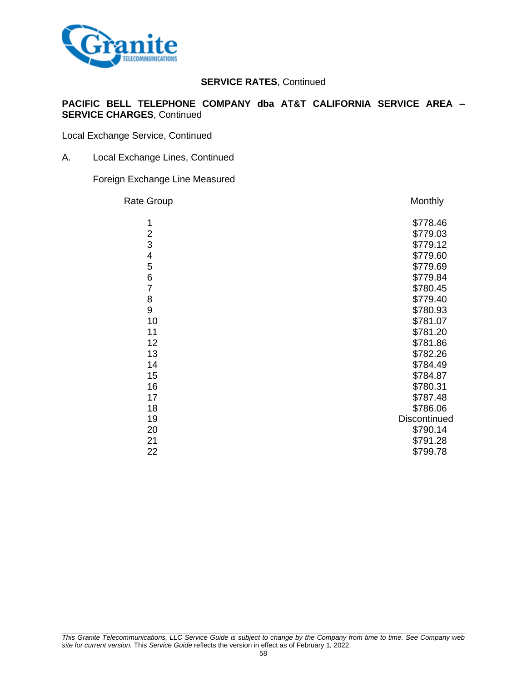

### **PACIFIC BELL TELEPHONE COMPANY dba AT&T CALIFORNIA SERVICE AREA – SERVICE CHARGES**, Continued

Local Exchange Service, Continued

A. Local Exchange Lines, Continued

### Foreign Exchange Line Measured

| <b>Rate Group</b>       | Monthly      |
|-------------------------|--------------|
| 1                       | \$778.46     |
| $\overline{\mathbf{c}}$ | \$779.03     |
| 3                       | \$779.12     |
| 4                       | \$779.60     |
| 5                       | \$779.69     |
| 6                       | \$779.84     |
| $\overline{7}$          | \$780.45     |
| 8                       | \$779.40     |
| 9                       | \$780.93     |
| 10                      | \$781.07     |
| 11                      | \$781.20     |
| 12                      | \$781.86     |
| 13                      | \$782.26     |
| 14                      | \$784.49     |
| 15                      | \$784.87     |
| 16                      | \$780.31     |
| 17                      | \$787.48     |
| 18                      | \$786.06     |
| 19                      | Discontinued |
| 20                      | \$790.14     |
| 21                      | \$791.28     |
| 22                      | \$799.78     |
|                         |              |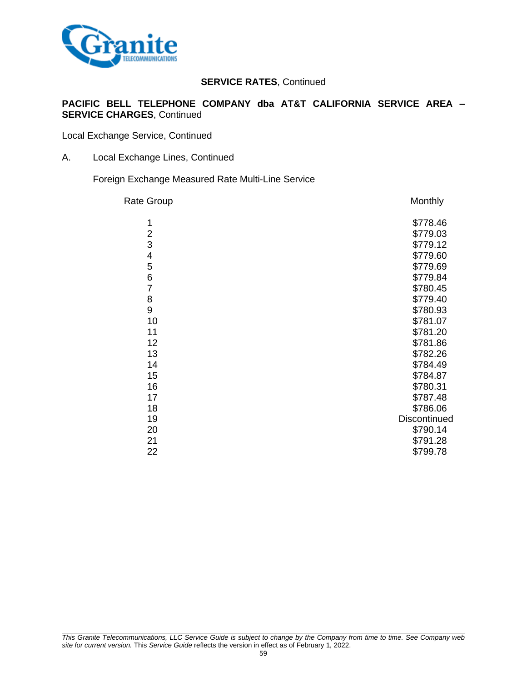

### **PACIFIC BELL TELEPHONE COMPANY dba AT&T CALIFORNIA SERVICE AREA – SERVICE CHARGES**, Continued

Local Exchange Service, Continued

A. Local Exchange Lines, Continued

Foreign Exchange Measured Rate Multi-Line Service

| <b>Rate Group</b> | Monthly      |
|-------------------|--------------|
| 1                 | \$778.46     |
| $\overline{2}$    | \$779.03     |
| 3                 | \$779.12     |
| 4                 | \$779.60     |
| 5                 | \$779.69     |
| 6                 | \$779.84     |
| $\overline{7}$    | \$780.45     |
| 8                 | \$779.40     |
| 9                 | \$780.93     |
| 10                | \$781.07     |
| 11                | \$781.20     |
| 12                | \$781.86     |
| 13                | \$782.26     |
| 14                | \$784.49     |
| 15                | \$784.87     |
| 16                | \$780.31     |
| 17                | \$787.48     |
| 18                | \$786.06     |
| 19                | Discontinued |
| 20                | \$790.14     |
| 21                | \$791.28     |
| 22                | \$799.78     |
|                   |              |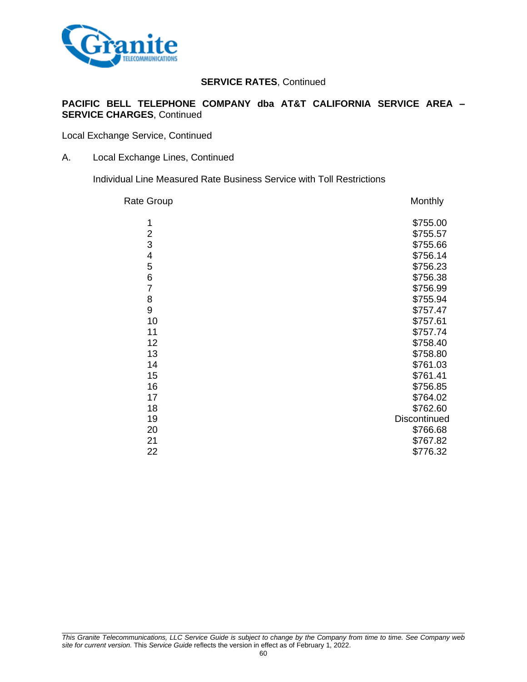

### **PACIFIC BELL TELEPHONE COMPANY dba AT&T CALIFORNIA SERVICE AREA – SERVICE CHARGES**, Continued

Local Exchange Service, Continued

A. Local Exchange Lines, Continued

Individual Line Measured Rate Business Service with Toll Restrictions

| Rate Group     | Monthly      |
|----------------|--------------|
| 1              | \$755.00     |
| $\overline{2}$ | \$755.57     |
| 3              | \$755.66     |
| 4              | \$756.14     |
| 5              | \$756.23     |
| $\,$ 6 $\,$    | \$756.38     |
| $\overline{7}$ | \$756.99     |
| 8              | \$755.94     |
| 9              | \$757.47     |
| 10             | \$757.61     |
| 11             | \$757.74     |
| 12             | \$758.40     |
| 13             | \$758.80     |
| 14             | \$761.03     |
| 15             | \$761.41     |
| 16             | \$756.85     |
| 17             | \$764.02     |
| 18             | \$762.60     |
| 19             | Discontinued |
| 20             | \$766.68     |
| 21             | \$767.82     |
| 22             | \$776.32     |
|                |              |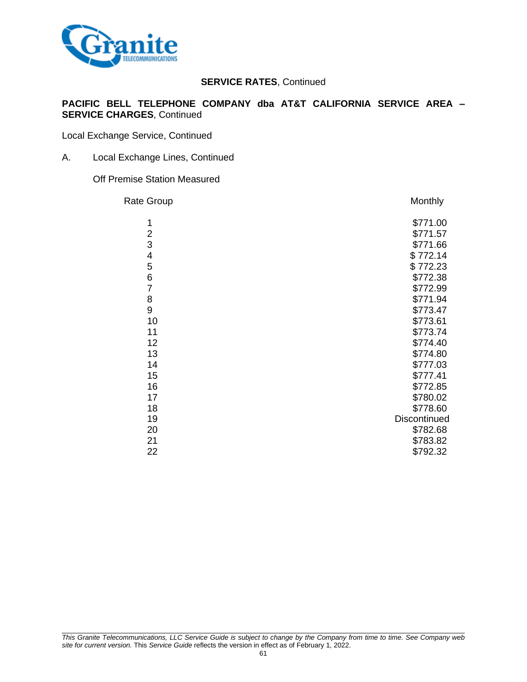

### **PACIFIC BELL TELEPHONE COMPANY dba AT&T CALIFORNIA SERVICE AREA – SERVICE CHARGES**, Continued

Local Exchange Service, Continued

A. Local Exchange Lines, Continued

Off Premise Station Measured

| Rate Group     | Monthly      |
|----------------|--------------|
| 1              | \$771.00     |
| $\overline{2}$ | \$771.57     |
| 3              | \$771.66     |
| 4              | \$772.14     |
| 5              | \$772.23     |
| $\,$ 6 $\,$    | \$772.38     |
| $\overline{7}$ | \$772.99     |
| 8              | \$771.94     |
| 9              | \$773.47     |
| 10             | \$773.61     |
| 11             | \$773.74     |
| 12             | \$774.40     |
| 13             | \$774.80     |
| 14             | \$777.03     |
| 15             | \$777.41     |
| 16             | \$772.85     |
| 17             | \$780.02     |
| 18             | \$778.60     |
| 19             | Discontinued |
| 20             | \$782.68     |
| 21             | \$783.82     |
| 22             | \$792.32     |
|                |              |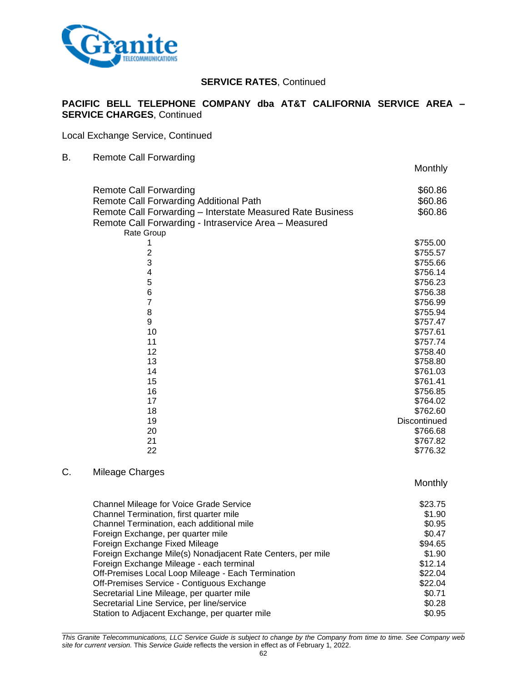

### **PACIFIC BELL TELEPHONE COMPANY dba AT&T CALIFORNIA SERVICE AREA – SERVICE CHARGES**, Continued

Local Exchange Service, Continued

### B. Remote Call Forwarding

|                                                            | Monthly              |
|------------------------------------------------------------|----------------------|
| <b>Remote Call Forwarding</b>                              | \$60.86              |
| Remote Call Forwarding Additional Path                     | \$60.86              |
| Remote Call Forwarding - Interstate Measured Rate Business | \$60.86              |
| Remote Call Forwarding - Intraservice Area - Measured      |                      |
| Rate Group                                                 |                      |
| 1                                                          | \$755.00             |
| $\overline{2}$                                             | \$755.57             |
| 3                                                          | \$755.66             |
| $\overline{\mathbf{4}}$                                    | \$756.14             |
| 5                                                          | \$756.23             |
| $\overline{6}$                                             | \$756.38             |
| $\overline{7}$                                             | \$756.99             |
| 8                                                          | \$755.94             |
| 9                                                          | \$757.47             |
| 10                                                         | \$757.61             |
| 11                                                         | \$757.74             |
| 12                                                         | \$758.40             |
| 13                                                         | \$758.80             |
| 14                                                         | \$761.03             |
| 15<br>16                                                   | \$761.41             |
| 17                                                         | \$756.85<br>\$764.02 |
| 18                                                         | \$762.60             |
| 19                                                         | Discontinued         |
| 20                                                         | \$766.68             |
| 21                                                         | \$767.82             |
| 22                                                         | \$776.32             |
|                                                            |                      |
|                                                            |                      |

## C. Mileage Charges

**Monthly** 

| <b>Channel Mileage for Voice Grade Service</b>              | \$23.75 |
|-------------------------------------------------------------|---------|
| Channel Termination, first quarter mile                     | \$1.90  |
| Channel Termination, each additional mile                   | \$0.95  |
| Foreign Exchange, per quarter mile                          | \$0.47  |
| Foreign Exchange Fixed Mileage                              | \$94.65 |
| Foreign Exchange Mile(s) Nonadjacent Rate Centers, per mile | \$1.90  |
| Foreign Exchange Mileage - each terminal                    | \$12.14 |
| Off-Premises Local Loop Mileage - Each Termination          | \$22.04 |
| Off-Premises Service - Contiguous Exchange                  | \$22.04 |
| Secretarial Line Mileage, per quarter mile                  | \$0.71  |
| Secretarial Line Service, per line/service                  | \$0.28  |
| Station to Adjacent Exchange, per quarter mile              | \$0.95  |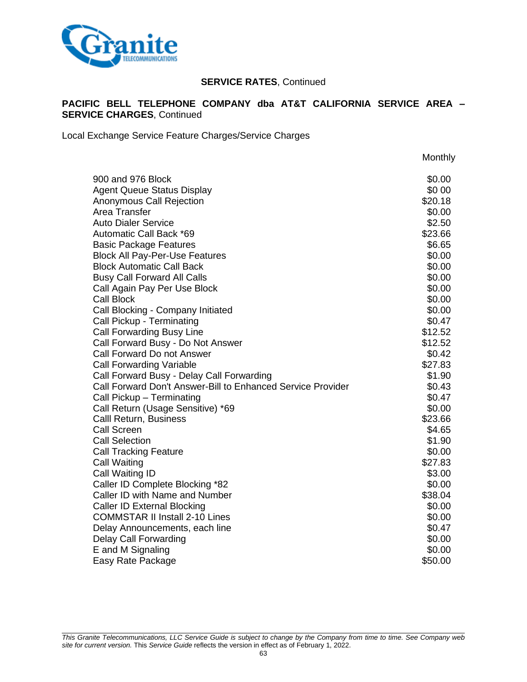

## **PACIFIC BELL TELEPHONE COMPANY dba AT&T CALIFORNIA SERVICE AREA – SERVICE CHARGES**, Continued

Local Exchange Service Feature Charges/Service Charges

**Monthly** 900 and 976 Block  $\sim$ Agent Queue Status Display **\$0 00** and the status of the status of the status of the status of the status of the status of the status of the status of the status of the status of the status of the status of the status of t Anonymous Call Rejection **\$20.18** \$20.18 Area Transfer \$0.00 Auto Dialer Service \$2.50 Automatic Call Back \*69  $$33.66$ Basic Package Features **\$6.65** and \$6.65 and \$6.65 and \$6.65 and \$6.65 and \$6.65 and \$6.65 and \$6.65 and \$6.65 and \$6.65 and \$1.5 and \$1.5 and \$1.5 and \$1.5 and \$1.5 and \$1.5 and \$1.5 and \$1.5 and \$1.5 and \$1.5 and \$1.5 an Block All Pay-Per-Use Features  $$0.00$ Block Automatic Call Back  $\sim$  80.00 Busy Call Forward All Calls \$0.00 Call Again Pay Per Use Block  $\sim$  80.000  $\sim$ Call Block \$0.00 Call Blocking - Company Initiated \$0.00 Call Pickup - Terminating  $$0.47$ Call Forwarding Busy Line  $$12.52$ Call Forward Busy - Do Not Answer **\$12.52** Call Forward Do not Answer  $\sim$  80.42 Call Forwarding Variable  $$27.83$ Call Forward Busy - Delay Call Forwarding \$1.90 Call Forward Don't Answer-Bill to Enhanced Service Provider **\$0.43** \$0.43 Call Pickup – Terminating  $\sim$  80.47 Call Return (Usage Sensitive) \*69 \$0.00 \$0.00 Calll Return, Business \$23.66 Call Screen \$4.65 Call Selection \$1.90 Call Tracking Feature  $$0.00$ Call Waiting \$27.83 Call Waiting ID \$3.00 Caller ID Complete Blocking \*82 \$0.00 Caller ID with Name and Number \$38.04 Caller ID External Blocking **\$0.00**  $\sim$  \$0.00 COMMSTAR II Install 2-10 Lines \$0.00 Delay Announcements, each line  $$0.47$ Delay Call Forwarding  $$0.00$  E and M Signaling  $$0.00$ E and M Signaling Easy Rate Package \$50.00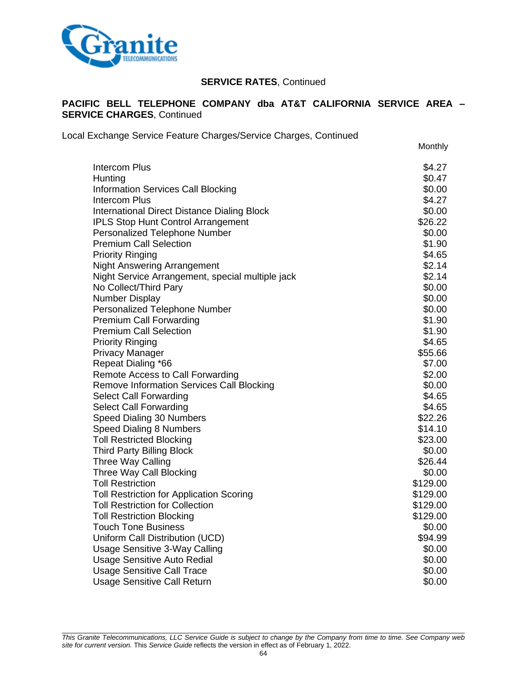

### **PACIFIC BELL TELEPHONE COMPANY dba AT&T CALIFORNIA SERVICE AREA – SERVICE CHARGES**, Continued

Local Exchange Service Feature Charges/Service Charges, Continued

Monthly

| <b>Intercom Plus</b>                             | \$4.27   |
|--------------------------------------------------|----------|
| Hunting                                          | \$0.47   |
| <b>Information Services Call Blocking</b>        | \$0.00   |
| <b>Intercom Plus</b>                             | \$4.27   |
| International Direct Distance Dialing Block      | \$0.00   |
| <b>IPLS Stop Hunt Control Arrangement</b>        | \$26.22  |
| Personalized Telephone Number                    | \$0.00   |
| <b>Premium Call Selection</b>                    | \$1.90   |
| <b>Priority Ringing</b>                          | \$4.65   |
| <b>Night Answering Arrangement</b>               | \$2.14   |
| Night Service Arrangement, special multiple jack | \$2.14   |
| No Collect/Third Pary                            | \$0.00   |
| <b>Number Display</b>                            | \$0.00   |
| Personalized Telephone Number                    | \$0.00   |
| <b>Premium Call Forwarding</b>                   | \$1.90   |
| <b>Premium Call Selection</b>                    | \$1.90   |
| <b>Priority Ringing</b>                          | \$4.65   |
| <b>Privacy Manager</b>                           | \$55.66  |
| Repeat Dialing *66                               | \$7.00   |
| Remote Access to Call Forwarding                 | \$2.00   |
| <b>Remove Information Services Call Blocking</b> | \$0.00   |
| <b>Select Call Forwarding</b>                    | \$4.65   |
| <b>Select Call Forwarding</b>                    | \$4.65   |
| Speed Dialing 30 Numbers                         | \$22.26  |
| Speed Dialing 8 Numbers                          | \$14.10  |
| <b>Toll Restricted Blocking</b>                  | \$23.00  |
| <b>Third Party Billing Block</b>                 | \$0.00   |
| <b>Three Way Calling</b>                         | \$26.44  |
| Three Way Call Blocking                          | \$0.00   |
| <b>Toll Restriction</b>                          | \$129.00 |
| <b>Toll Restriction for Application Scoring</b>  | \$129.00 |
| <b>Toll Restriction for Collection</b>           | \$129.00 |
| <b>Toll Restriction Blocking</b>                 | \$129.00 |
| <b>Touch Tone Business</b>                       | \$0.00   |
| Uniform Call Distribution (UCD)                  | \$94.99  |
| Usage Sensitive 3-Way Calling                    | \$0.00   |
| <b>Usage Sensitive Auto Redial</b>               | \$0.00   |
| <b>Usage Sensitive Call Trace</b>                | \$0.00   |
| <b>Usage Sensitive Call Return</b>               | \$0.00   |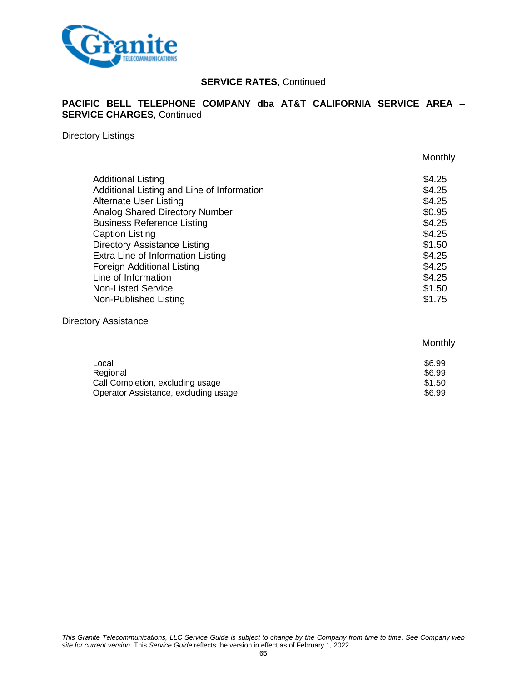

### **PACIFIC BELL TELEPHONE COMPANY dba AT&T CALIFORNIA SERVICE AREA – SERVICE CHARGES**, Continued

Directory Listings

|                                            | Monthly |
|--------------------------------------------|---------|
| <b>Additional Listing</b>                  | \$4.25  |
| Additional Listing and Line of Information | \$4.25  |
| <b>Alternate User Listing</b>              | \$4.25  |
| <b>Analog Shared Directory Number</b>      | \$0.95  |
| <b>Business Reference Listing</b>          | \$4.25  |
| <b>Caption Listing</b>                     | \$4.25  |
| <b>Directory Assistance Listing</b>        | \$1.50  |
| Extra Line of Information Listing          | \$4.25  |
| <b>Foreign Additional Listing</b>          | \$4.25  |
| Line of Information                        | \$4.25  |
| <b>Non-Listed Service</b>                  | \$1.50  |
| Non-Published Listing                      | \$1.75  |

#### Directory Assistance

## Monthly

| Local                                | \$6.99 |
|--------------------------------------|--------|
| Regional                             | \$6.99 |
| Call Completion, excluding usage     | \$1.50 |
| Operator Assistance, excluding usage | \$6.99 |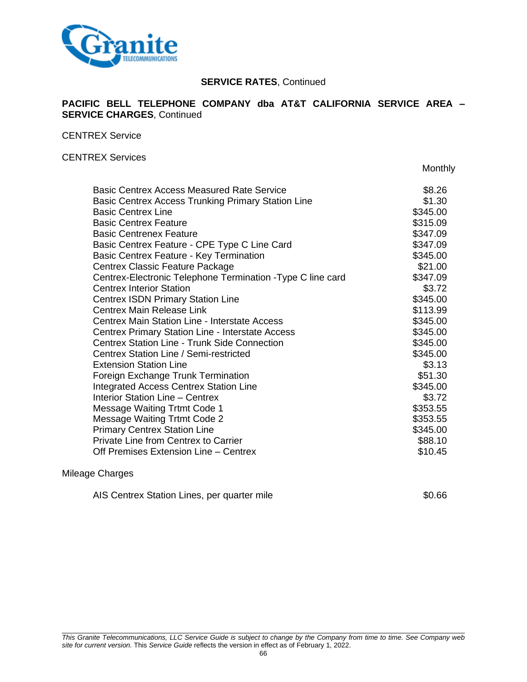

### **PACIFIC BELL TELEPHONE COMPANY dba AT&T CALIFORNIA SERVICE AREA – SERVICE CHARGES**, Continued

CENTREX Service

### CENTREX Services

Monthly

| <b>Basic Centrex Access Measured Rate Service</b>           | \$8.26   |
|-------------------------------------------------------------|----------|
| Basic Centrex Access Trunking Primary Station Line          | \$1.30   |
| <b>Basic Centrex Line</b>                                   | \$345.00 |
| <b>Basic Centrex Feature</b>                                | \$315.09 |
| <b>Basic Centrenex Feature</b>                              | \$347.09 |
| Basic Centrex Feature - CPE Type C Line Card                | \$347.09 |
| <b>Basic Centrex Feature - Key Termination</b>              | \$345.00 |
| Centrex Classic Feature Package                             | \$21.00  |
| Centrex-Electronic Telephone Termination - Type C line card | \$347.09 |
| <b>Centrex Interior Station</b>                             | \$3.72   |
| <b>Centrex ISDN Primary Station Line</b>                    | \$345.00 |
| Centrex Main Release Link                                   | \$113.99 |
| <b>Centrex Main Station Line - Interstate Access</b>        | \$345.00 |
| Centrex Primary Station Line - Interstate Access            | \$345.00 |
| <b>Centrex Station Line - Trunk Side Connection</b>         | \$345.00 |
| <b>Centrex Station Line / Semi-restricted</b>               | \$345.00 |
| <b>Extension Station Line</b>                               | \$3.13   |
| Foreign Exchange Trunk Termination                          | \$51.30  |
| <b>Integrated Access Centrex Station Line</b>               | \$345.00 |
| <b>Interior Station Line - Centrex</b>                      | \$3.72   |
| Message Waiting Trtmt Code 1                                | \$353.55 |
| <b>Message Waiting Trtmt Code 2</b>                         | \$353.55 |
| <b>Primary Centrex Station Line</b>                         | \$345.00 |
| Private Line from Centrex to Carrier                        | \$88.10  |
| Off Premises Extension Line - Centrex                       | \$10.45  |

#### Mileage Charges

| AIS Centrex Station Lines, per quarter mile | \$0.66 |
|---------------------------------------------|--------|
|                                             |        |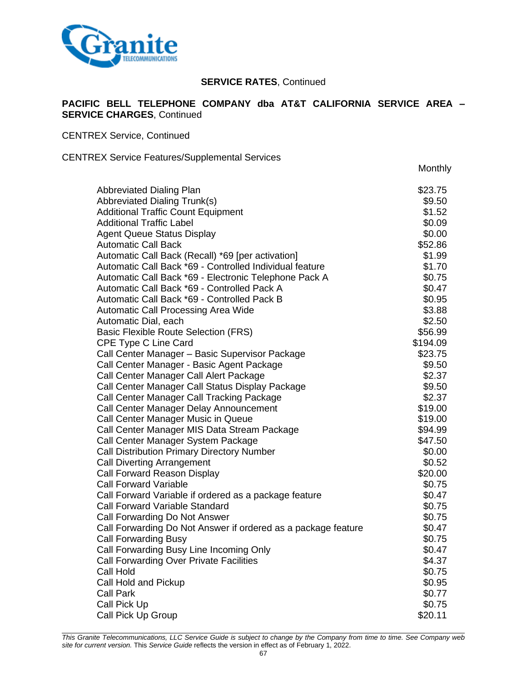

### **PACIFIC BELL TELEPHONE COMPANY dba AT&T CALIFORNIA SERVICE AREA – SERVICE CHARGES**, Continued

CENTREX Service, Continued

#### CENTREX Service Features/Supplemental Services

**Monthly** 

| <b>Abbreviated Dialing Plan</b>                               | \$23.75  |
|---------------------------------------------------------------|----------|
| <b>Abbreviated Dialing Trunk(s)</b>                           | \$9.50   |
| <b>Additional Traffic Count Equipment</b>                     | \$1.52   |
| <b>Additional Traffic Label</b>                               | \$0.09   |
| <b>Agent Queue Status Display</b>                             | \$0.00   |
| <b>Automatic Call Back</b>                                    | \$52.86  |
| Automatic Call Back (Recall) *69 [per activation]             | \$1.99   |
| Automatic Call Back *69 - Controlled Individual feature       | \$1.70   |
|                                                               |          |
| Automatic Call Back *69 - Electronic Telephone Pack A         | \$0.75   |
| Automatic Call Back *69 - Controlled Pack A                   | \$0.47   |
| Automatic Call Back *69 - Controlled Pack B                   | \$0.95   |
| Automatic Call Processing Area Wide                           | \$3.88   |
| Automatic Dial, each                                          | \$2.50   |
| <b>Basic Flexible Route Selection (FRS)</b>                   | \$56.99  |
| CPE Type C Line Card                                          | \$194.09 |
| Call Center Manager - Basic Supervisor Package                | \$23.75  |
| Call Center Manager - Basic Agent Package                     | \$9.50   |
| Call Center Manager Call Alert Package                        | \$2.37   |
| Call Center Manager Call Status Display Package               | \$9.50   |
| Call Center Manager Call Tracking Package                     | \$2.37   |
| Call Center Manager Delay Announcement                        | \$19.00  |
| Call Center Manager Music in Queue                            | \$19.00  |
| Call Center Manager MIS Data Stream Package                   | \$94.99  |
| Call Center Manager System Package                            | \$47.50  |
| <b>Call Distribution Primary Directory Number</b>             | \$0.00   |
| <b>Call Diverting Arrangement</b>                             | \$0.52   |
| Call Forward Reason Display                                   | \$20.00  |
| <b>Call Forward Variable</b>                                  | \$0.75   |
| Call Forward Variable if ordered as a package feature         | \$0.47   |
| <b>Call Forward Variable Standard</b>                         | \$0.75   |
| Call Forwarding Do Not Answer                                 | \$0.75   |
| Call Forwarding Do Not Answer if ordered as a package feature | \$0.47   |
| <b>Call Forwarding Busy</b>                                   | \$0.75   |
| Call Forwarding Busy Line Incoming Only                       | \$0.47   |
|                                                               |          |
| <b>Call Forwarding Over Private Facilities</b>                | \$4.37   |
| Call Hold                                                     | \$0.75   |
| Call Hold and Pickup                                          | \$0.95   |
| <b>Call Park</b>                                              | \$0.77   |
| Call Pick Up                                                  | \$0.75   |
| Call Pick Up Group                                            | \$20.11  |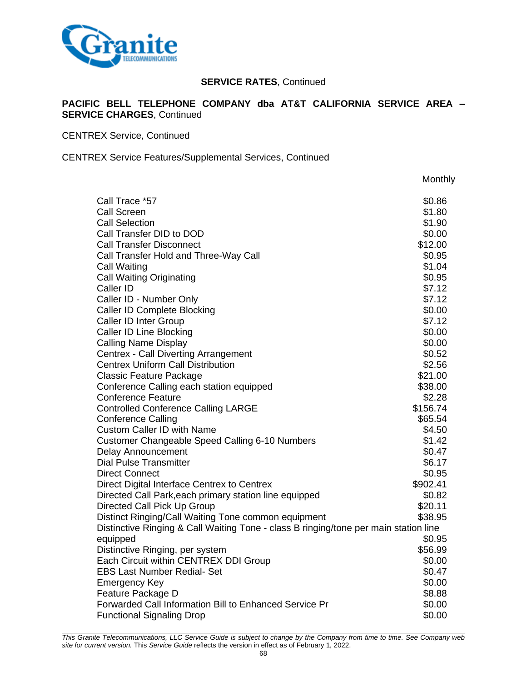

### **PACIFIC BELL TELEPHONE COMPANY dba AT&T CALIFORNIA SERVICE AREA – SERVICE CHARGES**, Continued

CENTREX Service, Continued

CENTREX Service Features/Supplemental Services, Continued

|                                                                                      | Monthly  |
|--------------------------------------------------------------------------------------|----------|
| Call Trace *57                                                                       | \$0.86   |
| <b>Call Screen</b>                                                                   | \$1.80   |
| <b>Call Selection</b>                                                                | \$1.90   |
| Call Transfer DID to DOD                                                             | \$0.00   |
| <b>Call Transfer Disconnect</b>                                                      | \$12.00  |
| Call Transfer Hold and Three-Way Call                                                | \$0.95   |
| Call Waiting                                                                         | \$1.04   |
| <b>Call Waiting Originating</b>                                                      | \$0.95   |
| Caller ID                                                                            | \$7.12   |
| Caller ID - Number Only                                                              | \$7.12   |
| <b>Caller ID Complete Blocking</b>                                                   | \$0.00   |
| Caller ID Inter Group                                                                | \$7.12   |
| <b>Caller ID Line Blocking</b>                                                       | \$0.00   |
| <b>Calling Name Display</b>                                                          | \$0.00   |
| <b>Centrex - Call Diverting Arrangement</b>                                          | \$0.52   |
| <b>Centrex Uniform Call Distribution</b>                                             | \$2.56   |
| <b>Classic Feature Package</b>                                                       | \$21.00  |
| Conference Calling each station equipped                                             | \$38.00  |
| <b>Conference Feature</b>                                                            | \$2.28   |
| <b>Controlled Conference Calling LARGE</b>                                           | \$156.74 |
| <b>Conference Calling</b>                                                            | \$65.54  |
| <b>Custom Caller ID with Name</b>                                                    | \$4.50   |
| <b>Customer Changeable Speed Calling 6-10 Numbers</b>                                | \$1.42   |
| <b>Delay Announcement</b>                                                            | \$0.47   |
| <b>Dial Pulse Transmitter</b>                                                        | \$6.17   |
| <b>Direct Connect</b>                                                                | \$0.95   |
| Direct Digital Interface Centrex to Centrex                                          | \$902.41 |
| Directed Call Park, each primary station line equipped                               | \$0.82   |
| Directed Call Pick Up Group                                                          | \$20.11  |
| Distinct Ringing/Call Waiting Tone common equipment                                  | \$38.95  |
| Distinctive Ringing & Call Waiting Tone - class B ringing/tone per main station line | \$0.95   |
| equipped<br>Distinctive Ringing, per system                                          | \$56.99  |
| Each Circuit within CENTREX DDI Group                                                | \$0.00   |
| <b>EBS Last Number Redial- Set</b>                                                   | \$0.47   |
| <b>Emergency Key</b>                                                                 | \$0.00   |
| Feature Package D                                                                    | \$8.88   |
| Forwarded Call Information Bill to Enhanced Service Pr                               | \$0.00   |
| <b>Functional Signaling Drop</b>                                                     | \$0.00   |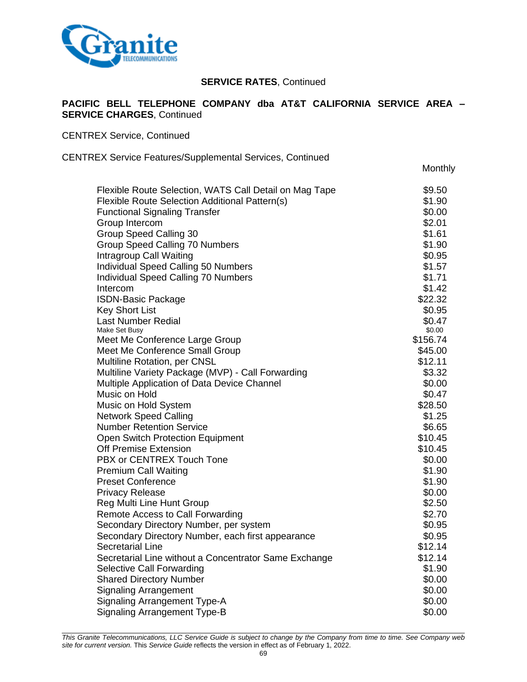

### **PACIFIC BELL TELEPHONE COMPANY dba AT&T CALIFORNIA SERVICE AREA – SERVICE CHARGES**, Continued

**Monthly** 

CENTREX Service, Continued

CENTREX Service Features/Supplemental Services, Continued

| Flexible Route Selection, WATS Call Detail on Mag Tape | \$9.50   |
|--------------------------------------------------------|----------|
| Flexible Route Selection Additional Pattern(s)         | \$1.90   |
| <b>Functional Signaling Transfer</b>                   | \$0.00   |
| Group Intercom                                         | \$2.01   |
| Group Speed Calling 30                                 | \$1.61   |
| Group Speed Calling 70 Numbers                         | \$1.90   |
| Intragroup Call Waiting                                | \$0.95   |
| Individual Speed Calling 50 Numbers                    | \$1.57   |
| <b>Individual Speed Calling 70 Numbers</b>             | \$1.71   |
| Intercom                                               | \$1.42   |
| <b>ISDN-Basic Package</b>                              | \$22.32  |
| <b>Key Short List</b>                                  | \$0.95   |
| <b>Last Number Redial</b>                              | \$0.47   |
| Make Set Busy                                          | \$0.00   |
| Meet Me Conference Large Group                         | \$156.74 |
| Meet Me Conference Small Group                         | \$45.00  |
| Multiline Rotation, per CNSL                           | \$12.11  |
| Multiline Variety Package (MVP) - Call Forwarding      | \$3.32   |
| Multiple Application of Data Device Channel            | \$0.00   |
| Music on Hold                                          | \$0.47   |
| Music on Hold System                                   | \$28.50  |
| <b>Network Speed Calling</b>                           | \$1.25   |
| <b>Number Retention Service</b>                        | \$6.65   |
| <b>Open Switch Protection Equipment</b>                | \$10.45  |
| <b>Off Premise Extension</b>                           | \$10.45  |
| PBX or CENTREX Touch Tone                              | \$0.00   |
| <b>Premium Call Waiting</b>                            | \$1.90   |
| <b>Preset Conference</b>                               | \$1.90   |
| <b>Privacy Release</b>                                 | \$0.00   |
| Reg Multi Line Hunt Group                              | \$2.50   |
| Remote Access to Call Forwarding                       | \$2.70   |
| Secondary Directory Number, per system                 | \$0.95   |
| Secondary Directory Number, each first appearance      | \$0.95   |
| <b>Secretarial Line</b>                                | \$12.14  |
| Secretarial Line without a Concentrator Same Exchange  | \$12.14  |
| <b>Selective Call Forwarding</b>                       | \$1.90   |
| <b>Shared Directory Number</b>                         | \$0.00   |
| <b>Signaling Arrangement</b>                           | \$0.00   |
| <b>Signaling Arrangement Type-A</b>                    | \$0.00   |
| <b>Signaling Arrangement Type-B</b>                    | \$0.00   |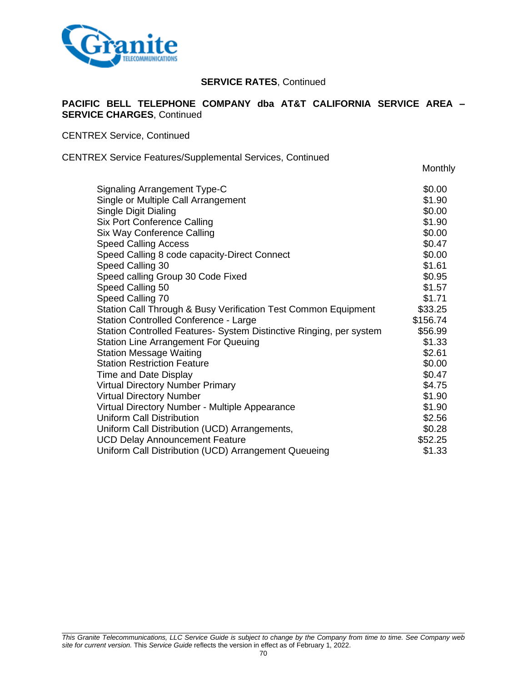

### **PACIFIC BELL TELEPHONE COMPANY dba AT&T CALIFORNIA SERVICE AREA – SERVICE CHARGES**, Continued

**Monthly** 

CENTREX Service, Continued

#### CENTREX Service Features/Supplemental Services, Continued

| Signaling Arrangement Type-C                                        | \$0.00   |
|---------------------------------------------------------------------|----------|
| Single or Multiple Call Arrangement                                 | \$1.90   |
| Single Digit Dialing                                                | \$0.00   |
| <b>Six Port Conference Calling</b>                                  | \$1.90   |
| Six Way Conference Calling                                          | \$0.00   |
| <b>Speed Calling Access</b>                                         | \$0.47   |
| Speed Calling 8 code capacity-Direct Connect                        | \$0.00   |
| Speed Calling 30                                                    | \$1.61   |
| Speed calling Group 30 Code Fixed                                   | \$0.95   |
| Speed Calling 50                                                    | \$1.57   |
| Speed Calling 70                                                    | \$1.71   |
| Station Call Through & Busy Verification Test Common Equipment      | \$33.25  |
| Station Controlled Conference - Large                               | \$156.74 |
| Station Controlled Features- System Distinctive Ringing, per system | \$56.99  |
| <b>Station Line Arrangement For Queuing</b>                         | \$1.33   |
| <b>Station Message Waiting</b>                                      | \$2.61   |
| <b>Station Restriction Feature</b>                                  | \$0.00   |
| Time and Date Display                                               | \$0.47   |
| <b>Virtual Directory Number Primary</b>                             | \$4.75   |
| <b>Virtual Directory Number</b>                                     | \$1.90   |
| Virtual Directory Number - Multiple Appearance                      | \$1.90   |
| <b>Uniform Call Distribution</b>                                    | \$2.56   |
| Uniform Call Distribution (UCD) Arrangements,                       | \$0.28   |
| <b>UCD Delay Announcement Feature</b>                               | \$52.25  |
| Uniform Call Distribution (UCD) Arrangement Queueing                | \$1.33   |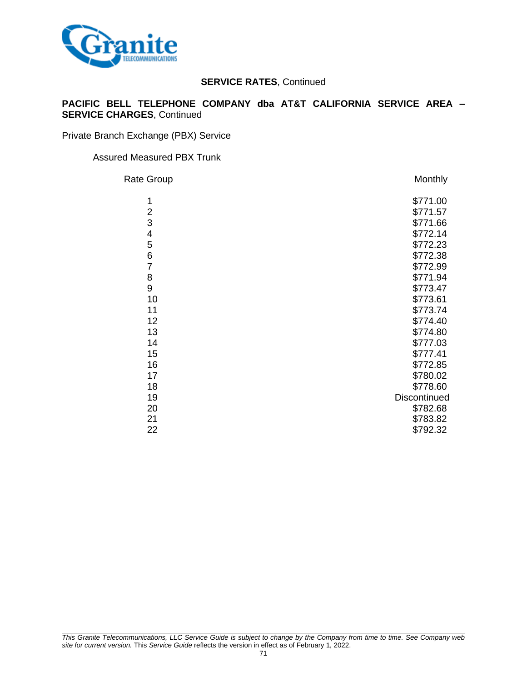

## **PACIFIC BELL TELEPHONE COMPANY dba AT&T CALIFORNIA SERVICE AREA – SERVICE CHARGES**, Continued

Private Branch Exchange (PBX) Service

#### Assured Measured PBX Trunk

| Rate Group     | Monthly      |
|----------------|--------------|
| 1              | \$771.00     |
| $\overline{2}$ | \$771.57     |
| 3              | \$771.66     |
| 4              | \$772.14     |
| 5              | \$772.23     |
| 6              | \$772.38     |
| $\overline{7}$ | \$772.99     |
| 8              | \$771.94     |
| 9              | \$773.47     |
| 10             | \$773.61     |
| 11             | \$773.74     |
| 12             | \$774.40     |
| 13             | \$774.80     |
| 14             | \$777.03     |
| 15             | \$777.41     |
| 16             | \$772.85     |
| 17             | \$780.02     |
| 18             | \$778.60     |
| 19             | Discontinued |
| 20             | \$782.68     |
| 21             | \$783.82     |
| 22             | \$792.32     |
|                |              |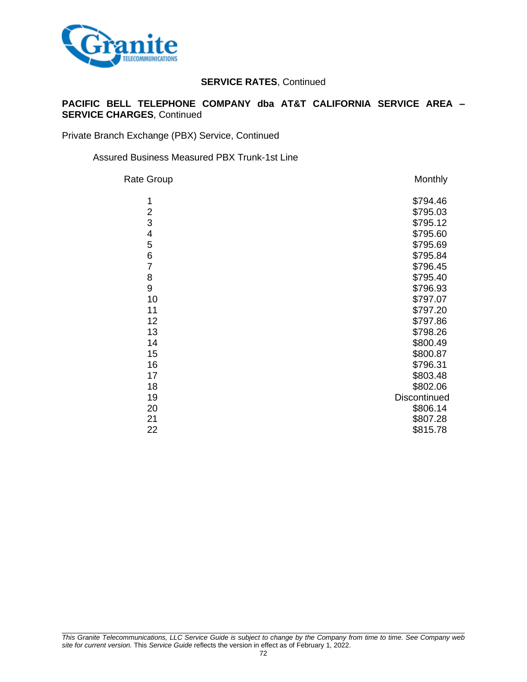

## **PACIFIC BELL TELEPHONE COMPANY dba AT&T CALIFORNIA SERVICE AREA – SERVICE CHARGES**, Continued

Private Branch Exchange (PBX) Service, Continued

## Assured Business Measured PBX Trunk-1st Line

| <b>Rate Group</b> | Monthly      |
|-------------------|--------------|
| 1                 | \$794.46     |
| $\overline{2}$    | \$795.03     |
| 3                 | \$795.12     |
| 4                 | \$795.60     |
| 5                 | \$795.69     |
| 6                 | \$795.84     |
| $\overline{7}$    | \$796.45     |
| 8                 | \$795.40     |
| 9                 | \$796.93     |
| 10                | \$797.07     |
| 11                | \$797.20     |
| 12                | \$797.86     |
| 13                | \$798.26     |
| 14                | \$800.49     |
| 15                | \$800.87     |
| 16                | \$796.31     |
| 17                | \$803.48     |
| 18                | \$802.06     |
| 19                | Discontinued |
| 20                | \$806.14     |
| 21                | \$807.28     |
| 22                | \$815.78     |
|                   |              |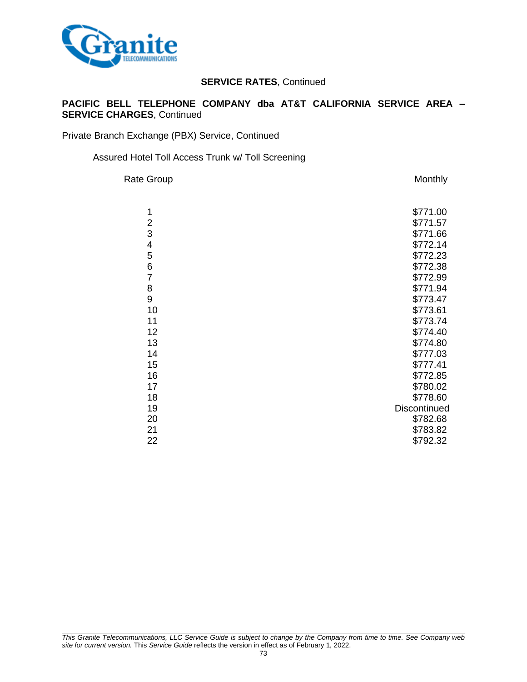

### **PACIFIC BELL TELEPHONE COMPANY dba AT&T CALIFORNIA SERVICE AREA – SERVICE CHARGES**, Continued

Private Branch Exchange (PBX) Service, Continued

#### Assured Hotel Toll Access Trunk w/ Toll Screening

Rate Group **Monthly** 

| 1              | \$771.00     |
|----------------|--------------|
| 2              | \$771.57     |
| 3              | \$771.66     |
| 4              | \$772.14     |
| 5              | \$772.23     |
| 6              | \$772.38     |
| $\overline{7}$ | \$772.99     |
| 8              | \$771.94     |
| 9              | \$773.47     |
| 10             | \$773.61     |
| 11             | \$773.74     |
| 12             | \$774.40     |
| 13             | \$774.80     |
| 14             | \$777.03     |
| 15             | \$777.41     |
| 16             | \$772.85     |
| 17             | \$780.02     |
| 18             | \$778.60     |
| 19             | Discontinued |
| 20             | \$782.68     |
| 21             | \$783.82     |
| 22             | \$792.32     |
|                |              |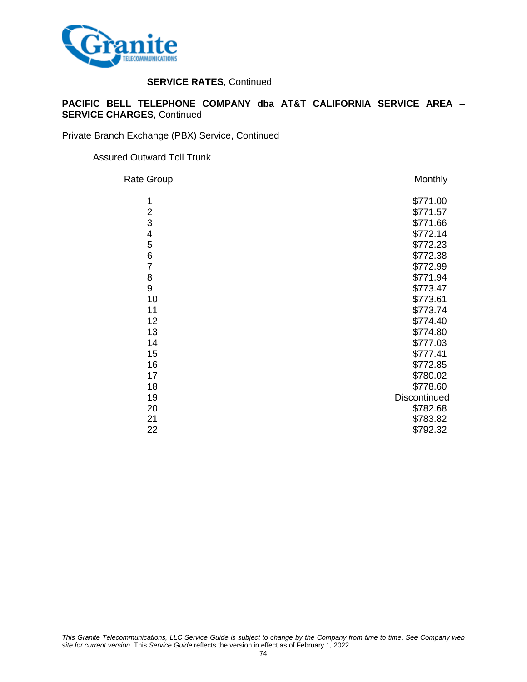

#### **PACIFIC BELL TELEPHONE COMPANY dba AT&T CALIFORNIA SERVICE AREA – SERVICE CHARGES**, Continued

Private Branch Exchange (PBX) Service, Continued

#### Assured Outward Toll Trunk

| Rate Group     | Monthly      |
|----------------|--------------|
| 1              | \$771.00     |
| $\overline{2}$ | \$771.57     |
| 3              | \$771.66     |
| 4              | \$772.14     |
| 5              | \$772.23     |
| 6              | \$772.38     |
| $\overline{7}$ | \$772.99     |
| 8              | \$771.94     |
| 9              | \$773.47     |
| 10             | \$773.61     |
| 11             | \$773.74     |
| 12             | \$774.40     |
| 13             | \$774.80     |
| 14             | \$777.03     |
| 15             | \$777.41     |
| 16             | \$772.85     |
| 17             | \$780.02     |
| 18             | \$778.60     |
| 19             | Discontinued |
| 20             | \$782.68     |
| 21             | \$783.82     |
| 22             | \$792.32     |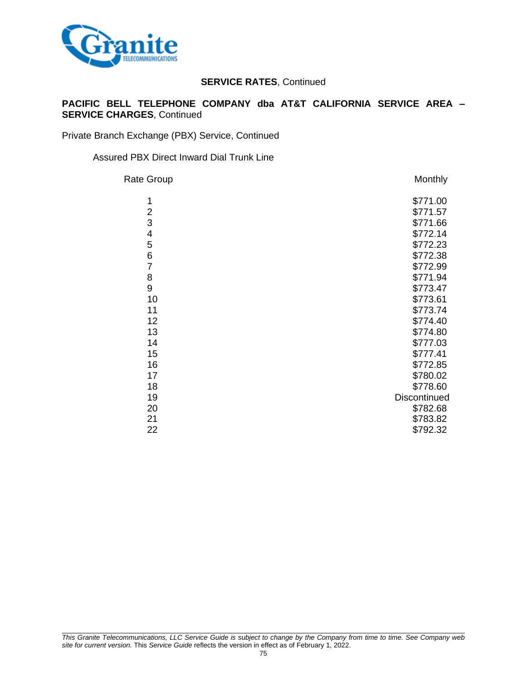

### **PACIFIC BELL TELEPHONE COMPANY dba AT&T CALIFORNIA SERVICE AREA – SERVICE CHARGES**, Continued

Private Branch Exchange (PBX) Service, Continued

#### Assured PBX Direct Inward Dial Trunk Line

| Rate Group       | Monthly      |
|------------------|--------------|
| 1                | \$771.00     |
| $\overline{2}$   | \$771.57     |
| 3                | \$771.66     |
| 4                | \$772.14     |
| 5                | \$772.23     |
| 6                | \$772.38     |
| $\overline{7}$   | \$772.99     |
| 8                | \$771.94     |
| $\boldsymbol{9}$ | \$773.47     |
| 10               | \$773.61     |
| 11               | \$773.74     |
| 12               | \$774.40     |
| 13               | \$774.80     |
| 14               | \$777.03     |
| 15               | \$777.41     |
| 16               | \$772.85     |
| 17               | \$780.02     |
| 18               | \$778.60     |
| 19               | Discontinued |
| 20               | \$782.68     |
| 21               | \$783.82     |
| 22               | \$792.32     |
|                  |              |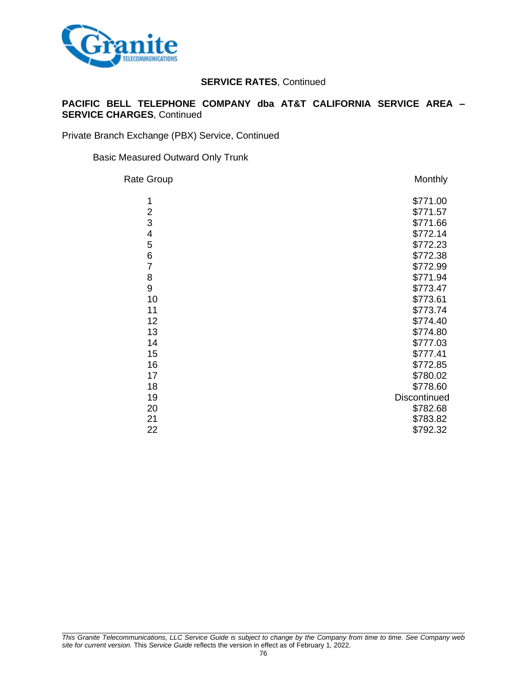

### **PACIFIC BELL TELEPHONE COMPANY dba AT&T CALIFORNIA SERVICE AREA – SERVICE CHARGES**, Continued

Private Branch Exchange (PBX) Service, Continued

#### Basic Measured Outward Only Trunk

| Rate Group     | Monthly      |
|----------------|--------------|
| 1              | \$771.00     |
| $\overline{c}$ | \$771.57     |
| 3              | \$771.66     |
| 4              | \$772.14     |
| 5              | \$772.23     |
| 6              | \$772.38     |
| $\overline{7}$ | \$772.99     |
| 8              | \$771.94     |
| 9              | \$773.47     |
| 10             | \$773.61     |
| 11             | \$773.74     |
| 12             | \$774.40     |
| 13             | \$774.80     |
| 14             | \$777.03     |
| 15             | \$777.41     |
| 16             | \$772.85     |
| 17             | \$780.02     |
| 18             | \$778.60     |
| 19             | Discontinued |
| 20             | \$782.68     |
| 21             | \$783.82     |
| 22             | \$792.32     |
|                |              |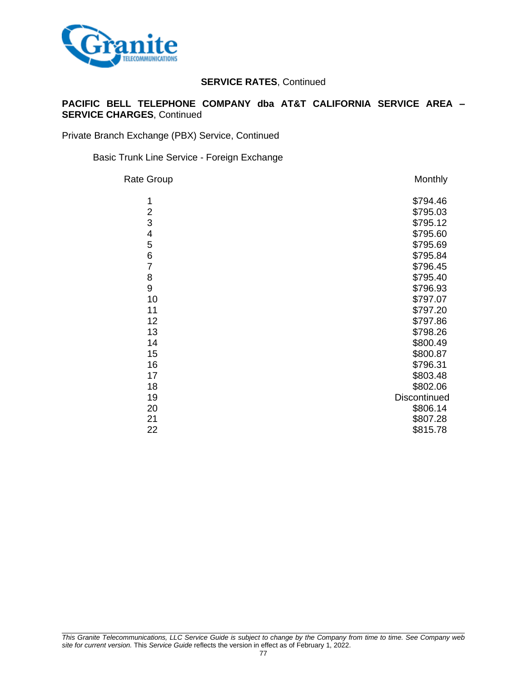

### **PACIFIC BELL TELEPHONE COMPANY dba AT&T CALIFORNIA SERVICE AREA – SERVICE CHARGES**, Continued

Private Branch Exchange (PBX) Service, Continued

Basic Trunk Line Service - Foreign Exchange

| <b>Rate Group</b> | Monthly      |
|-------------------|--------------|
| 1                 | \$794.46     |
| $\overline{2}$    | \$795.03     |
| 3                 | \$795.12     |
| 4                 | \$795.60     |
| 5                 | \$795.69     |
| 6                 | \$795.84     |
| $\overline{7}$    | \$796.45     |
| 8                 | \$795.40     |
| 9                 | \$796.93     |
| 10                | \$797.07     |
| 11                | \$797.20     |
| 12                | \$797.86     |
| 13                | \$798.26     |
| 14                | \$800.49     |
| 15                | \$800.87     |
| 16                | \$796.31     |
| 17                | \$803.48     |
| 18                | \$802.06     |
| 19                | Discontinued |
| 20                | \$806.14     |
| 21                | \$807.28     |
| 22                | \$815.78     |
|                   |              |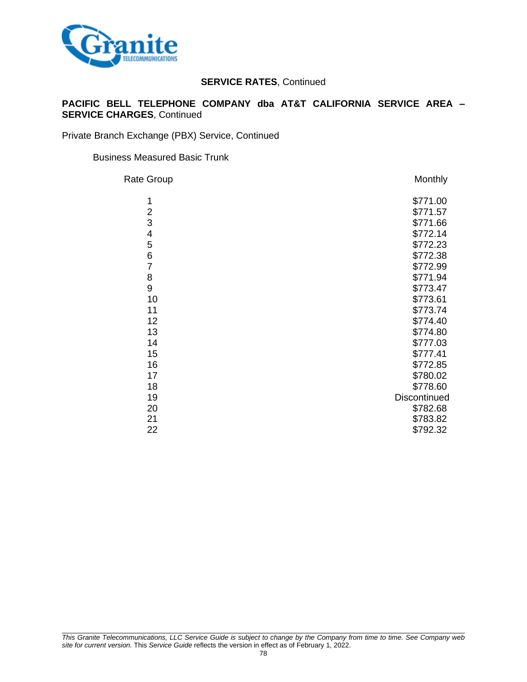

### **PACIFIC BELL TELEPHONE COMPANY dba AT&T CALIFORNIA SERVICE AREA – SERVICE CHARGES**, Continued

Private Branch Exchange (PBX) Service, Continued

#### Business Measured Basic Trunk

| Rate Group     | Monthly      |
|----------------|--------------|
| 1              | \$771.00     |
| $\overline{2}$ | \$771.57     |
| 3              | \$771.66     |
| 4              | \$772.14     |
| 5              | \$772.23     |
| 6              | \$772.38     |
| $\overline{7}$ | \$772.99     |
| 8              | \$771.94     |
| 9              | \$773.47     |
| 10             | \$773.61     |
| 11             | \$773.74     |
| 12             | \$774.40     |
| 13             | \$774.80     |
| 14             | \$777.03     |
| 15             | \$777.41     |
| 16             | \$772.85     |
| 17             | \$780.02     |
| 18             | \$778.60     |
| 19             | Discontinued |
| 20             | \$782.68     |
| 21             | \$783.82     |
| 22             | \$792.32     |
|                |              |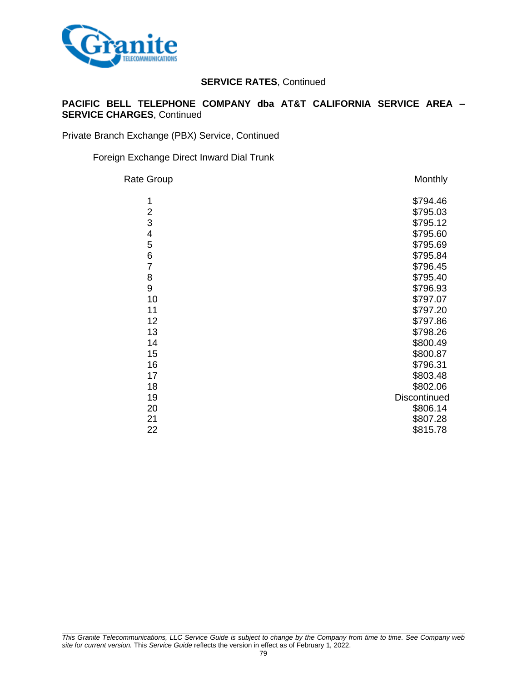

### **PACIFIC BELL TELEPHONE COMPANY dba AT&T CALIFORNIA SERVICE AREA – SERVICE CHARGES**, Continued

Private Branch Exchange (PBX) Service, Continued

#### Foreign Exchange Direct Inward Dial Trunk

| <b>Rate Group</b> | Monthly      |
|-------------------|--------------|
| 1                 | \$794.46     |
| $\overline{2}$    | \$795.03     |
| 3                 | \$795.12     |
| 4                 | \$795.60     |
| 5                 | \$795.69     |
| 6                 | \$795.84     |
| $\overline{7}$    | \$796.45     |
| 8                 | \$795.40     |
| 9                 | \$796.93     |
| 10                | \$797.07     |
| 11                | \$797.20     |
| 12                | \$797.86     |
| 13                | \$798.26     |
| 14                | \$800.49     |
| 15                | \$800.87     |
| 16                | \$796.31     |
| 17                | \$803.48     |
| 18                | \$802.06     |
| 19                | Discontinued |
| 20                | \$806.14     |
| 21                | \$807.28     |
| 22                | \$815.78     |
|                   |              |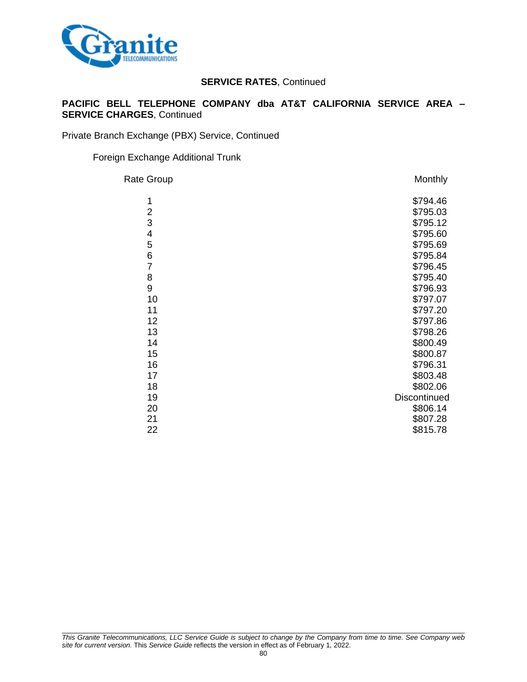

### **PACIFIC BELL TELEPHONE COMPANY dba AT&T CALIFORNIA SERVICE AREA – SERVICE CHARGES**, Continued

Private Branch Exchange (PBX) Service, Continued

#### Foreign Exchange Additional Trunk

| <b>Rate Group</b> | Monthly      |
|-------------------|--------------|
| 1                 | \$794.46     |
| $\overline{c}$    | \$795.03     |
| 3                 | \$795.12     |
| 4                 | \$795.60     |
| 5                 | \$795.69     |
| 6                 | \$795.84     |
| $\overline{7}$    | \$796.45     |
| 8                 | \$795.40     |
| 9                 | \$796.93     |
| 10                | \$797.07     |
| 11                | \$797.20     |
| 12                | \$797.86     |
| 13                | \$798.26     |
| 14                | \$800.49     |
| 15                | \$800.87     |
| 16                | \$796.31     |
| 17                | \$803.48     |
| 18                | \$802.06     |
| 19                | Discontinued |
| 20                | \$806.14     |
| 21                | \$807.28     |
| 22                | \$815.78     |
|                   |              |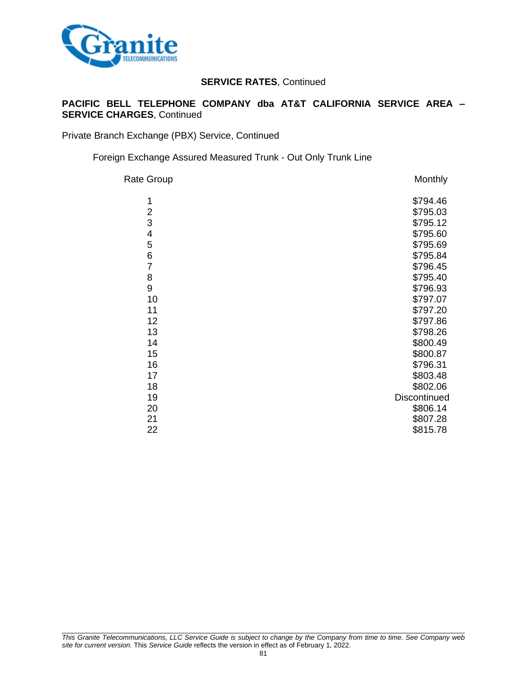

### **PACIFIC BELL TELEPHONE COMPANY dba AT&T CALIFORNIA SERVICE AREA – SERVICE CHARGES**, Continued

Private Branch Exchange (PBX) Service, Continued

Foreign Exchange Assured Measured Trunk - Out Only Trunk Line

| <b>Rate Group</b> | Monthly      |
|-------------------|--------------|
| 1                 | \$794.46     |
| $\overline{c}$    | \$795.03     |
| 3                 | \$795.12     |
| 4                 | \$795.60     |
| 5                 | \$795.69     |
| 6                 | \$795.84     |
| $\overline{7}$    | \$796.45     |
| 8                 | \$795.40     |
| 9                 | \$796.93     |
| 10                | \$797.07     |
| 11                | \$797.20     |
| 12                | \$797.86     |
| 13                | \$798.26     |
| 14                | \$800.49     |
| 15                | \$800.87     |
| 16                | \$796.31     |
| 17                | \$803.48     |
| 18                | \$802.06     |
| 19                | Discontinued |
| 20                | \$806.14     |
| 21                | \$807.28     |
| 22                | \$815.78     |
|                   |              |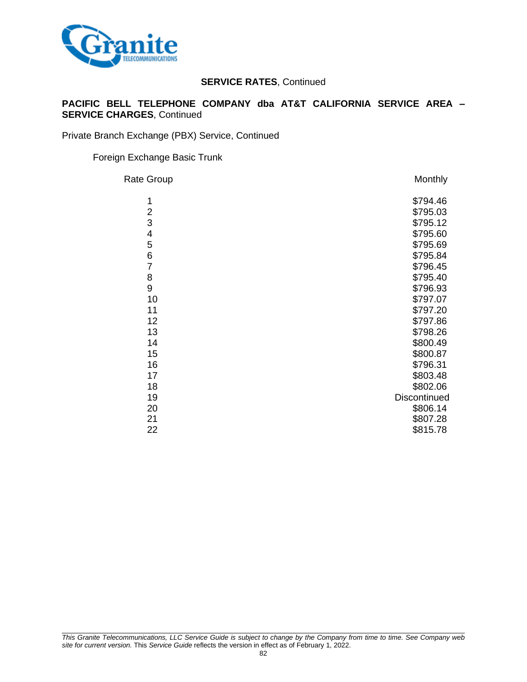

### **PACIFIC BELL TELEPHONE COMPANY dba AT&T CALIFORNIA SERVICE AREA – SERVICE CHARGES**, Continued

Private Branch Exchange (PBX) Service, Continued

#### Foreign Exchange Basic Trunk

| Rate Group              | Monthly      |
|-------------------------|--------------|
| 1                       | \$794.46     |
| $\overline{\mathbf{c}}$ | \$795.03     |
| 3                       | \$795.12     |
| 4                       | \$795.60     |
| 5                       | \$795.69     |
| 6                       | \$795.84     |
| $\overline{7}$          | \$796.45     |
| 8                       | \$795.40     |
| 9                       | \$796.93     |
| 10                      | \$797.07     |
| 11                      | \$797.20     |
| 12                      | \$797.86     |
| 13                      | \$798.26     |
| 14                      | \$800.49     |
| 15                      | \$800.87     |
| 16                      | \$796.31     |
| 17                      | \$803.48     |
| 18                      | \$802.06     |
| 19                      | Discontinued |
| 20                      | \$806.14     |
| 21                      | \$807.28     |
| 22                      | \$815.78     |
|                         |              |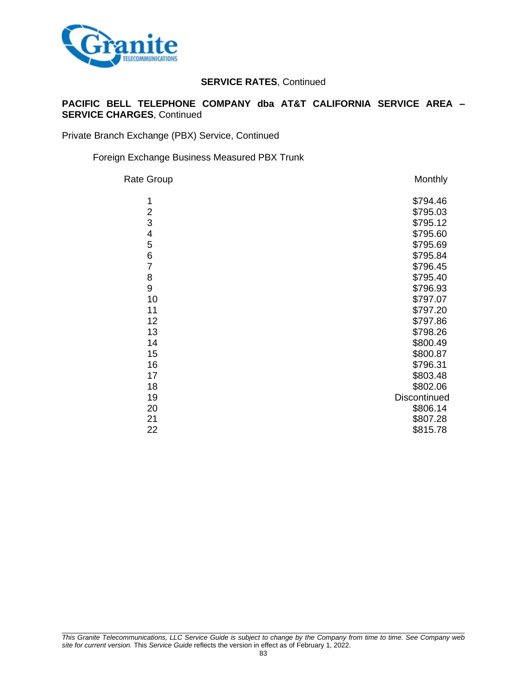

### **PACIFIC BELL TELEPHONE COMPANY dba AT&T CALIFORNIA SERVICE AREA – SERVICE CHARGES**, Continued

Private Branch Exchange (PBX) Service, Continued

#### Foreign Exchange Business Measured PBX Trunk

| <b>Rate Group</b> | Monthly             |
|-------------------|---------------------|
| 1                 | \$794.46            |
| 2                 | \$795.03            |
| 3                 | \$795.12            |
| 4                 | \$795.60            |
| 5                 | \$795.69            |
| 6                 | \$795.84            |
| $\overline{7}$    | \$796.45            |
| 8                 | \$795.40            |
| 9                 | \$796.93            |
| 10                | \$797.07            |
| 11                | \$797.20            |
| 12                | \$797.86            |
| 13                | \$798.26            |
| 14                | \$800.49            |
| 15                | \$800.87            |
| 16                | \$796.31            |
| 17                | \$803.48            |
| 18                | \$802.06            |
| 19                | <b>Discontinued</b> |
| 20                | \$806.14            |
| 21                | \$807.28            |
| 22                | \$815.78            |
|                   |                     |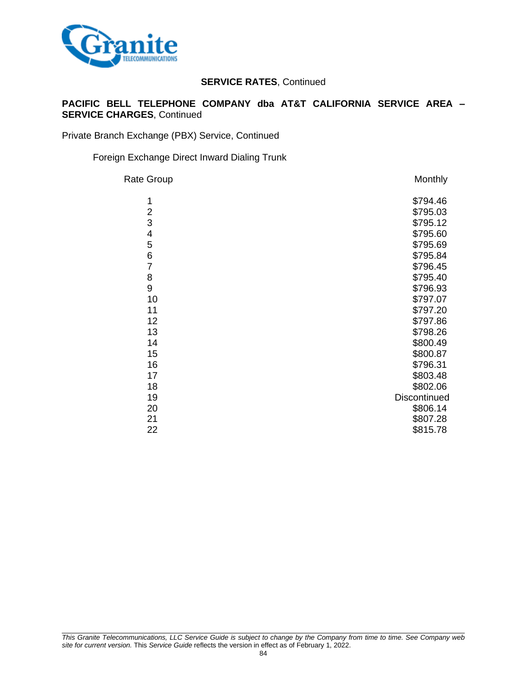

### **PACIFIC BELL TELEPHONE COMPANY dba AT&T CALIFORNIA SERVICE AREA – SERVICE CHARGES**, Continued

Private Branch Exchange (PBX) Service, Continued

#### Foreign Exchange Direct Inward Dialing Trunk

| Rate Group     | Monthly      |
|----------------|--------------|
| 1              | \$794.46     |
| $\overline{2}$ | \$795.03     |
| 3              | \$795.12     |
| 4              | \$795.60     |
| 5              | \$795.69     |
| 6              | \$795.84     |
| $\overline{7}$ | \$796.45     |
| 8              | \$795.40     |
| 9              | \$796.93     |
| 10             | \$797.07     |
| 11             | \$797.20     |
| 12             | \$797.86     |
| 13             | \$798.26     |
| 14             | \$800.49     |
| 15             | \$800.87     |
| 16             | \$796.31     |
| 17             | \$803.48     |
| 18             | \$802.06     |
| 19             | Discontinued |
| 20             | \$806.14     |
| 21             | \$807.28     |
| 22             | \$815.78     |
|                |              |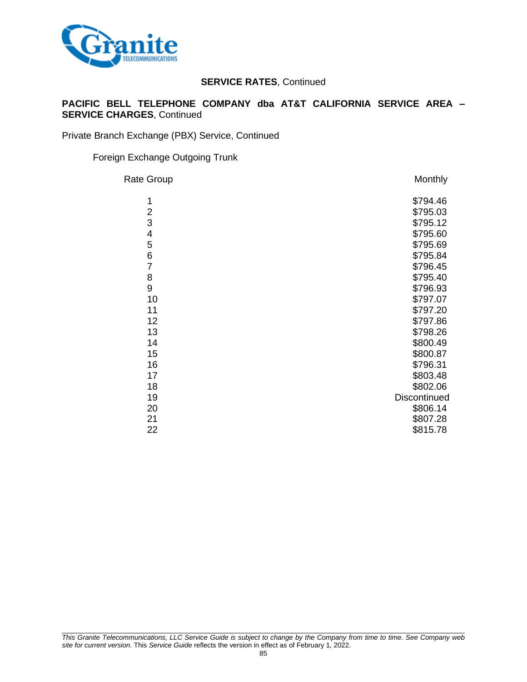

### **PACIFIC BELL TELEPHONE COMPANY dba AT&T CALIFORNIA SERVICE AREA – SERVICE CHARGES**, Continued

Private Branch Exchange (PBX) Service, Continued

#### Foreign Exchange Outgoing Trunk

| <b>Rate Group</b> | Monthly      |
|-------------------|--------------|
| 1                 | \$794.46     |
| $\overline{2}$    | \$795.03     |
| 3                 | \$795.12     |
| 4                 | \$795.60     |
| 5                 | \$795.69     |
| 6                 | \$795.84     |
| $\overline{7}$    | \$796.45     |
| 8                 | \$795.40     |
| 9                 | \$796.93     |
| 10                | \$797.07     |
| 11                | \$797.20     |
| 12                | \$797.86     |
| 13                | \$798.26     |
| 14                | \$800.49     |
| 15                | \$800.87     |
| 16                | \$796.31     |
| 17                | \$803.48     |
| 18                | \$802.06     |
| 19                | Discontinued |
| 20                | \$806.14     |
| 21                | \$807.28     |
| 22                | \$815.78     |
|                   |              |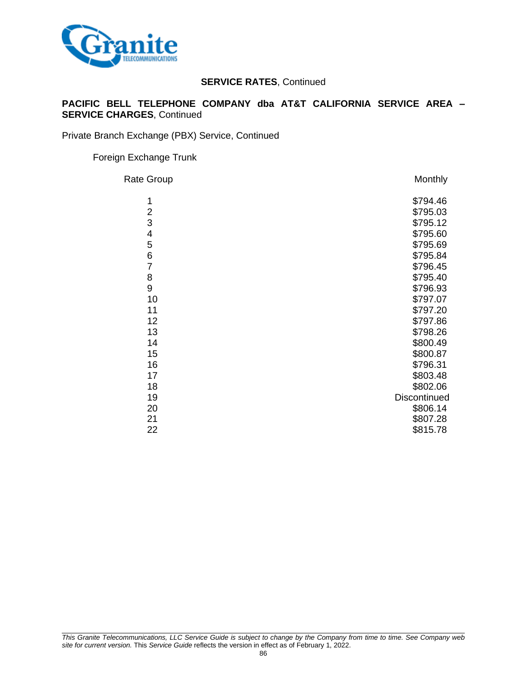

### **PACIFIC BELL TELEPHONE COMPANY dba AT&T CALIFORNIA SERVICE AREA – SERVICE CHARGES**, Continued

Private Branch Exchange (PBX) Service, Continued

#### Foreign Exchange Trunk

| Rate Group     | Monthly      |
|----------------|--------------|
| 1              | \$794.46     |
| $\overline{2}$ | \$795.03     |
| 3              | \$795.12     |
| $\overline{4}$ | \$795.60     |
| 5              | \$795.69     |
| 6              | \$795.84     |
| $\overline{7}$ | \$796.45     |
| 8              | \$795.40     |
| 9              | \$796.93     |
| 10             | \$797.07     |
| 11             | \$797.20     |
| 12             | \$797.86     |
| 13             | \$798.26     |
| 14             | \$800.49     |
| 15             | \$800.87     |
| 16             | \$796.31     |
| 17             | \$803.48     |
| 18             | \$802.06     |
| 19             | Discontinued |
| 20             | \$806.14     |
| 21             | \$807.28     |
| 22             | \$815.78     |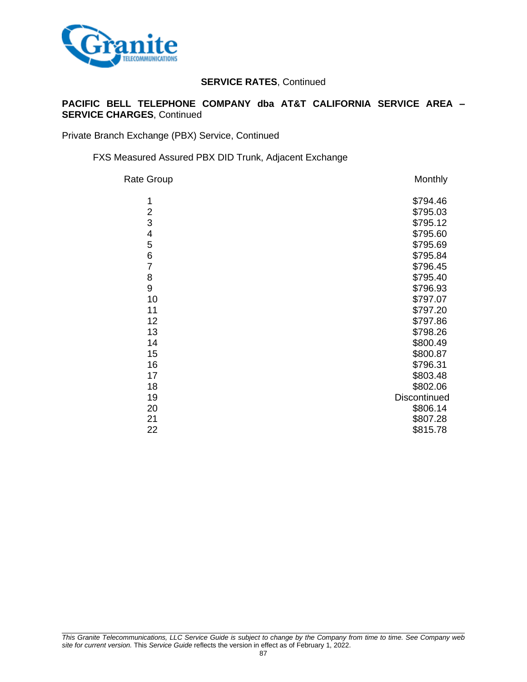

### **PACIFIC BELL TELEPHONE COMPANY dba AT&T CALIFORNIA SERVICE AREA – SERVICE CHARGES**, Continued

Private Branch Exchange (PBX) Service, Continued

FXS Measured Assured PBX DID Trunk, Adjacent Exchange

| <b>Rate Group</b> | Monthly      |
|-------------------|--------------|
| 1                 | \$794.46     |
| $\overline{2}$    | \$795.03     |
| 3                 | \$795.12     |
| 4                 | \$795.60     |
| 5                 | \$795.69     |
| 6                 | \$795.84     |
| $\overline{7}$    | \$796.45     |
| 8                 | \$795.40     |
| 9                 | \$796.93     |
| 10                | \$797.07     |
| 11                | \$797.20     |
| 12                | \$797.86     |
| 13                | \$798.26     |
| 14                | \$800.49     |
| 15                | \$800.87     |
| 16                | \$796.31     |
| 17                | \$803.48     |
| 18                | \$802.06     |
| 19                | Discontinued |
| 20                | \$806.14     |
| 21                | \$807.28     |
| 22                | \$815.78     |
|                   |              |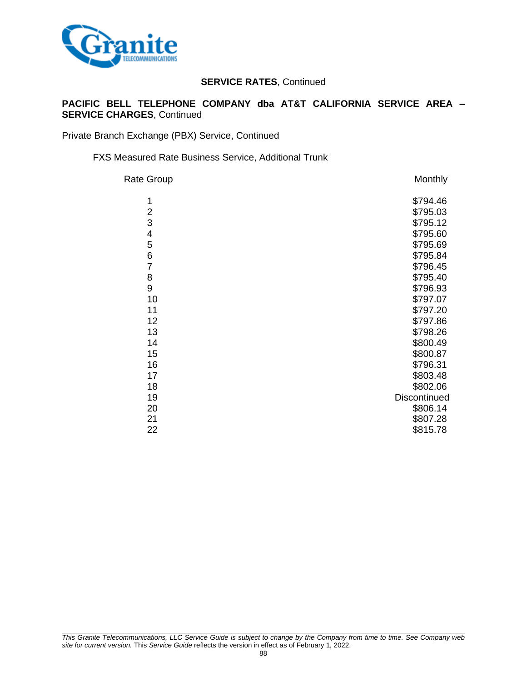

### **PACIFIC BELL TELEPHONE COMPANY dba AT&T CALIFORNIA SERVICE AREA – SERVICE CHARGES**, Continued

Private Branch Exchange (PBX) Service, Continued

FXS Measured Rate Business Service, Additional Trunk

| Rate Group     | Monthly      |
|----------------|--------------|
| 1              | \$794.46     |
| $\overline{2}$ | \$795.03     |
| 3              | \$795.12     |
| 4              | \$795.60     |
| 5              | \$795.69     |
| 6              | \$795.84     |
| $\overline{7}$ | \$796.45     |
| 8              | \$795.40     |
| 9              | \$796.93     |
| 10             | \$797.07     |
| 11             | \$797.20     |
| 12             | \$797.86     |
| 13             | \$798.26     |
| 14             | \$800.49     |
| 15             | \$800.87     |
| 16             | \$796.31     |
| 17             | \$803.48     |
| 18             | \$802.06     |
| 19             | Discontinued |
| 20             | \$806.14     |
| 21             | \$807.28     |
| 22             | \$815.78     |
|                |              |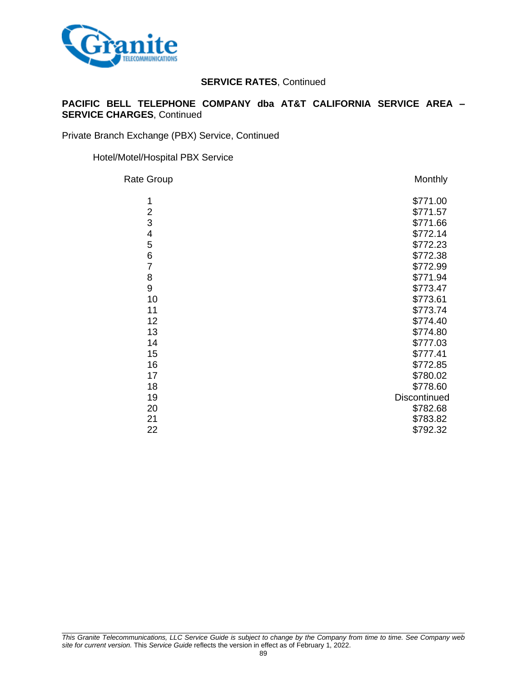

### **PACIFIC BELL TELEPHONE COMPANY dba AT&T CALIFORNIA SERVICE AREA – SERVICE CHARGES**, Continued

Private Branch Exchange (PBX) Service, Continued

#### Hotel/Motel/Hospital PBX Service

| Rate Group     | Monthly      |
|----------------|--------------|
| 1              | \$771.00     |
| $\overline{2}$ | \$771.57     |
| 3              | \$771.66     |
| 4              | \$772.14     |
| 5              | \$772.23     |
| 6              | \$772.38     |
| $\overline{7}$ | \$772.99     |
| 8              | \$771.94     |
| 9              | \$773.47     |
| 10             | \$773.61     |
| 11             | \$773.74     |
| 12             | \$774.40     |
| 13             | \$774.80     |
| 14             | \$777.03     |
| 15             | \$777.41     |
| 16             | \$772.85     |
| 17             | \$780.02     |
| 18             | \$778.60     |
| 19             | Discontinued |
| 20             | \$782.68     |
| 21             | \$783.82     |
| 22             | \$792.32     |
|                |              |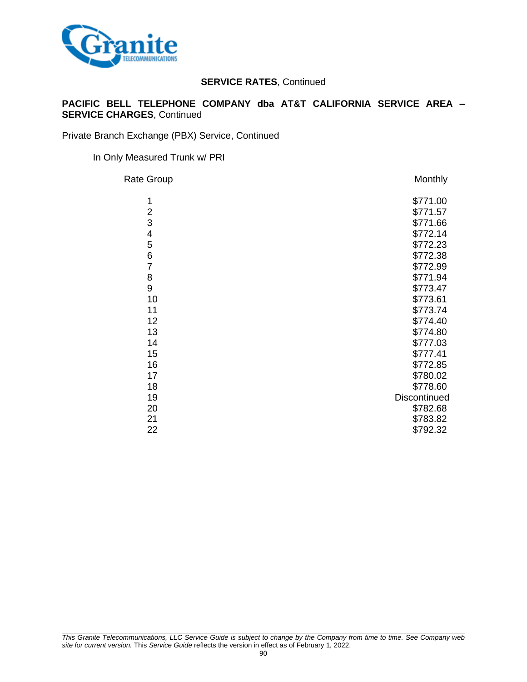

### **PACIFIC BELL TELEPHONE COMPANY dba AT&T CALIFORNIA SERVICE AREA – SERVICE CHARGES**, Continued

Private Branch Exchange (PBX) Service, Continued

#### In Only Measured Trunk w/ PRI

| Rate Group     | Monthly      |
|----------------|--------------|
| 1              | \$771.00     |
| $\overline{2}$ | \$771.57     |
| 3              | \$771.66     |
| 4              | \$772.14     |
| 5              | \$772.23     |
| 6              | \$772.38     |
| $\overline{7}$ | \$772.99     |
| 8              | \$771.94     |
| 9              | \$773.47     |
| 10             | \$773.61     |
| 11             | \$773.74     |
| 12             | \$774.40     |
| 13             | \$774.80     |
| 14             | \$777.03     |
| 15             | \$777.41     |
| 16             | \$772.85     |
| 17             | \$780.02     |
| 18             | \$778.60     |
| 19             | Discontinued |
| 20             | \$782.68     |
| 21             | \$783.82     |
| 22             | \$792.32     |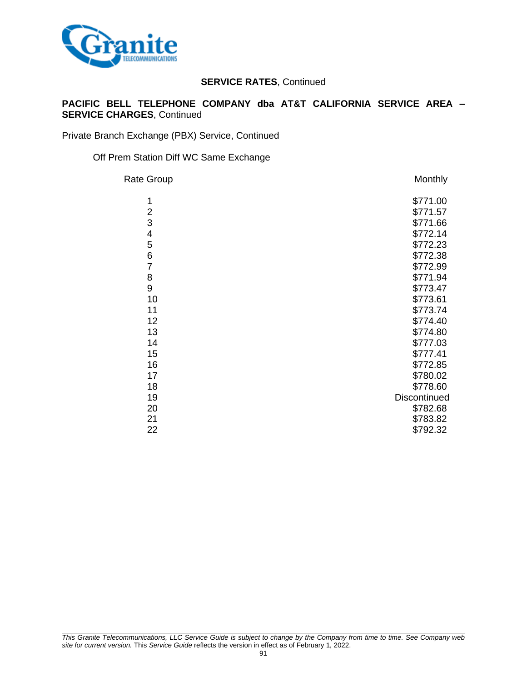

### **PACIFIC BELL TELEPHONE COMPANY dba AT&T CALIFORNIA SERVICE AREA – SERVICE CHARGES**, Continued

Private Branch Exchange (PBX) Service, Continued

Off Prem Station Diff WC Same Exchange

| Rate Group     | Monthly      |
|----------------|--------------|
| 1              | \$771.00     |
| $\overline{2}$ | \$771.57     |
| 3              | \$771.66     |
| 4              | \$772.14     |
| 5              | \$772.23     |
| 6              | \$772.38     |
| $\overline{7}$ | \$772.99     |
| 8              | \$771.94     |
| 9              | \$773.47     |
| 10             | \$773.61     |
| 11             | \$773.74     |
| 12             | \$774.40     |
| 13             | \$774.80     |
| 14             | \$777.03     |
| 15             | \$777.41     |
| 16             | \$772.85     |
| 17             | \$780.02     |
| 18             | \$778.60     |
| 19             | Discontinued |
| 20             | \$782.68     |
| 21             | \$783.82     |
| 22             | \$792.32     |
|                |              |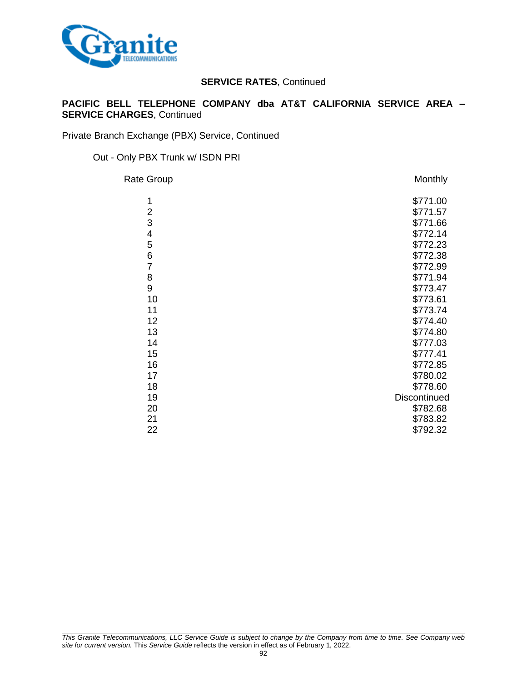

### **PACIFIC BELL TELEPHONE COMPANY dba AT&T CALIFORNIA SERVICE AREA – SERVICE CHARGES**, Continued

Private Branch Exchange (PBX) Service, Continued

Out - Only PBX Trunk w/ ISDN PRI

| Rate Group     | Monthly      |
|----------------|--------------|
| 1              | \$771.00     |
| $\overline{2}$ | \$771.57     |
| 3              | \$771.66     |
| 4              | \$772.14     |
| 5              | \$772.23     |
| 6              | \$772.38     |
| $\overline{7}$ | \$772.99     |
| 8              | \$771.94     |
| 9              | \$773.47     |
| 10             | \$773.61     |
| 11             | \$773.74     |
| 12             | \$774.40     |
| 13             | \$774.80     |
| 14             | \$777.03     |
| 15             | \$777.41     |
| 16             | \$772.85     |
| 17             | \$780.02     |
| 18             | \$778.60     |
| 19             | Discontinued |
| 20             | \$782.68     |
| 21             | \$783.82     |
| 22             | \$792.32     |
|                |              |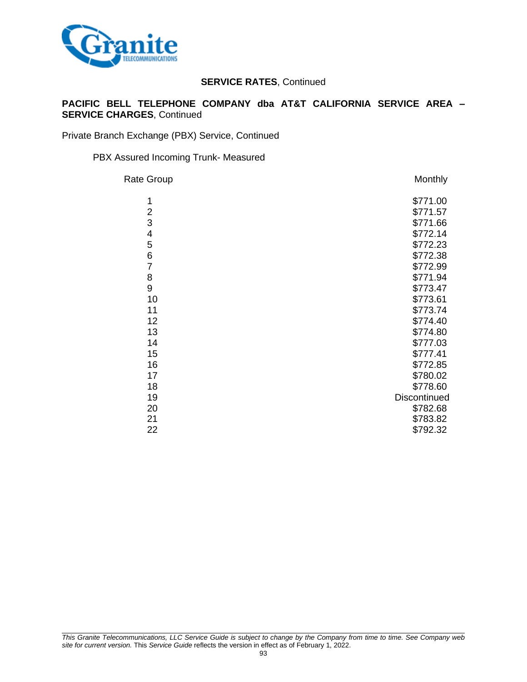

### **PACIFIC BELL TELEPHONE COMPANY dba AT&T CALIFORNIA SERVICE AREA – SERVICE CHARGES**, Continued

Private Branch Exchange (PBX) Service, Continued

#### PBX Assured Incoming Trunk- Measured

| Rate Group       | Monthly      |
|------------------|--------------|
| 1                | \$771.00     |
| $\overline{2}$   | \$771.57     |
| 3                | \$771.66     |
| 4                | \$772.14     |
| 5                | \$772.23     |
| 6                | \$772.38     |
| $\overline{7}$   | \$772.99     |
| 8                | \$771.94     |
| $\boldsymbol{9}$ | \$773.47     |
| 10               | \$773.61     |
| 11               | \$773.74     |
| 12               | \$774.40     |
| 13               | \$774.80     |
| 14               | \$777.03     |
| 15               | \$777.41     |
| 16               | \$772.85     |
| 17               | \$780.02     |
| 18               | \$778.60     |
| 19               | Discontinued |
| 20               | \$782.68     |
| 21               | \$783.82     |
| 22               | \$792.32     |
|                  |              |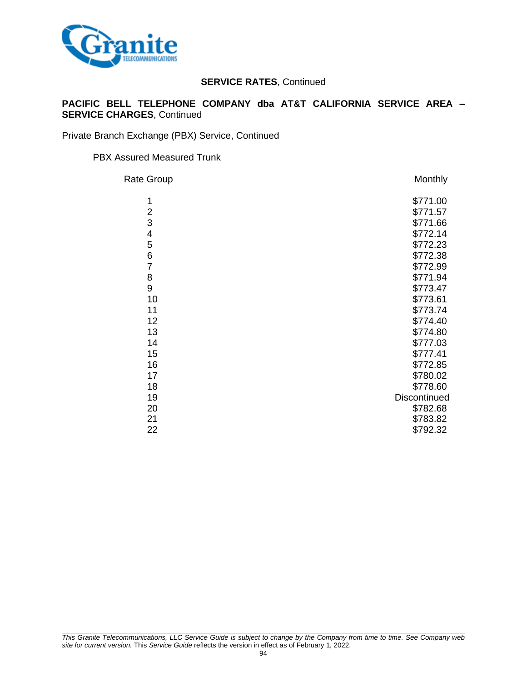

### **PACIFIC BELL TELEPHONE COMPANY dba AT&T CALIFORNIA SERVICE AREA – SERVICE CHARGES**, Continued

Private Branch Exchange (PBX) Service, Continued

#### PBX Assured Measured Trunk

| Rate Group     | Monthly      |
|----------------|--------------|
| 1              | \$771.00     |
| $\overline{2}$ | \$771.57     |
| 3              | \$771.66     |
| 4              | \$772.14     |
| 5              | \$772.23     |
| 6              | \$772.38     |
| $\overline{7}$ | \$772.99     |
| 8              | \$771.94     |
| 9              | \$773.47     |
| 10             | \$773.61     |
| 11             | \$773.74     |
| 12             | \$774.40     |
| 13             | \$774.80     |
| 14             | \$777.03     |
| 15             | \$777.41     |
| 16             | \$772.85     |
| 17             | \$780.02     |
| 18             | \$778.60     |
| 19             | Discontinued |
| 20             | \$782.68     |
| 21             | \$783.82     |
| 22             | \$792.32     |
|                |              |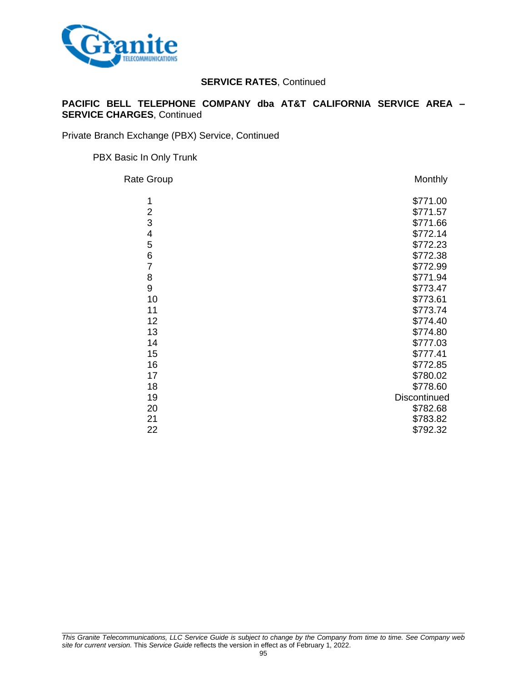

### **PACIFIC BELL TELEPHONE COMPANY dba AT&T CALIFORNIA SERVICE AREA – SERVICE CHARGES**, Continued

Private Branch Exchange (PBX) Service, Continued

#### PBX Basic In Only Trunk

| Rate Group     | Monthly      |
|----------------|--------------|
| 1              | \$771.00     |
| $\overline{2}$ | \$771.57     |
| 3              | \$771.66     |
| 4              | \$772.14     |
| 5              | \$772.23     |
| 6              | \$772.38     |
| $\overline{7}$ | \$772.99     |
| 8              | \$771.94     |
| 9              | \$773.47     |
| 10             | \$773.61     |
| 11             | \$773.74     |
| 12             | \$774.40     |
| 13             | \$774.80     |
| 14             | \$777.03     |
| 15             | \$777.41     |
| 16             | \$772.85     |
| 17             | \$780.02     |
| 18             | \$778.60     |
| 19             | Discontinued |
| 20             | \$782.68     |
| 21             | \$783.82     |
| 22             | \$792.32     |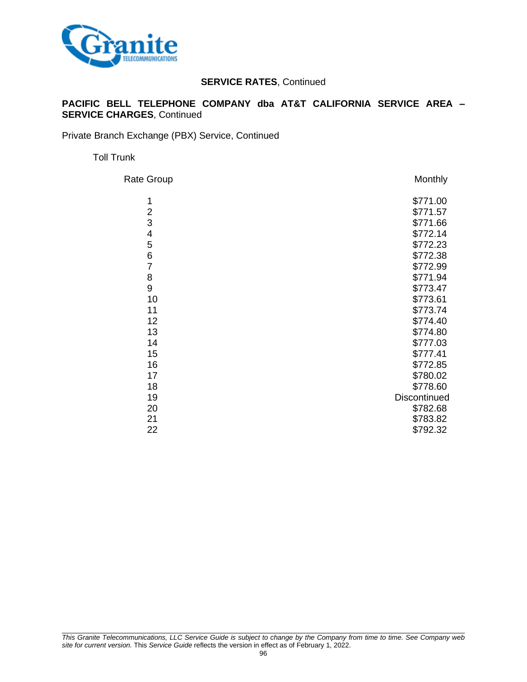

### **PACIFIC BELL TELEPHONE COMPANY dba AT&T CALIFORNIA SERVICE AREA – SERVICE CHARGES**, Continued

Private Branch Exchange (PBX) Service, Continued

Toll Trunk

| Rate Group     | Monthly      |
|----------------|--------------|
| 1              | \$771.00     |
| $\overline{2}$ | \$771.57     |
| 3              | \$771.66     |
| 4              | \$772.14     |
| 5              | \$772.23     |
| 6              | \$772.38     |
| $\overline{7}$ | \$772.99     |
| 8              | \$771.94     |
| 9              | \$773.47     |
| 10             | \$773.61     |
| 11             | \$773.74     |
| 12             | \$774.40     |
| 13             | \$774.80     |
| 14             | \$777.03     |
| 15             | \$777.41     |
| 16             | \$772.85     |
| 17             | \$780.02     |
| 18             | \$778.60     |
| 19             | Discontinued |
| 20             | \$782.68     |
| 21             | \$783.82     |
| 22             | \$792.32     |
|                |              |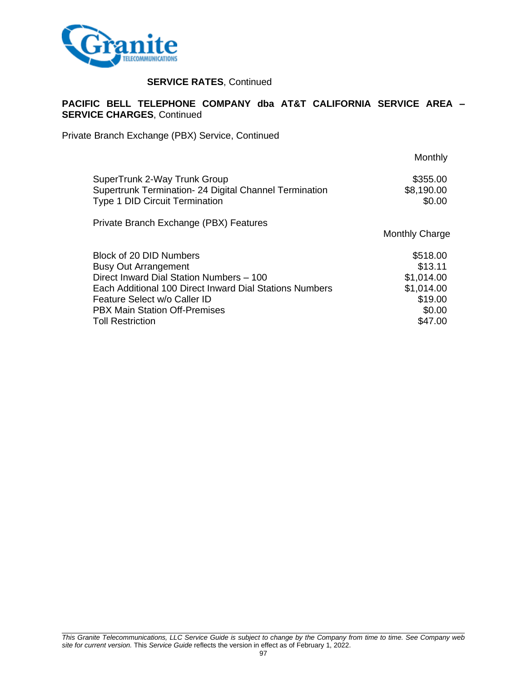

#### **PACIFIC BELL TELEPHONE COMPANY dba AT&T CALIFORNIA SERVICE AREA – SERVICE CHARGES**, Continued

Private Branch Exchange (PBX) Service, Continued

|                                                         | Monthly               |
|---------------------------------------------------------|-----------------------|
| SuperTrunk 2-Way Trunk Group                            | \$355.00              |
| Supertrunk Termination- 24 Digital Channel Termination  | \$8,190.00            |
| Type 1 DID Circuit Termination                          | \$0.00                |
| Private Branch Exchange (PBX) Features                  | <b>Monthly Charge</b> |
| Block of 20 DID Numbers                                 | \$518.00              |
| <b>Busy Out Arrangement</b>                             | \$13.11               |
| Direct Inward Dial Station Numbers - 100                | \$1,014.00            |
| Each Additional 100 Direct Inward Dial Stations Numbers | \$1,014.00            |
| Feature Select w/o Caller ID                            | \$19.00               |
| <b>PBX Main Station Off-Premises</b>                    | \$0.00                |
| <b>Toll Restriction</b>                                 | \$47.00               |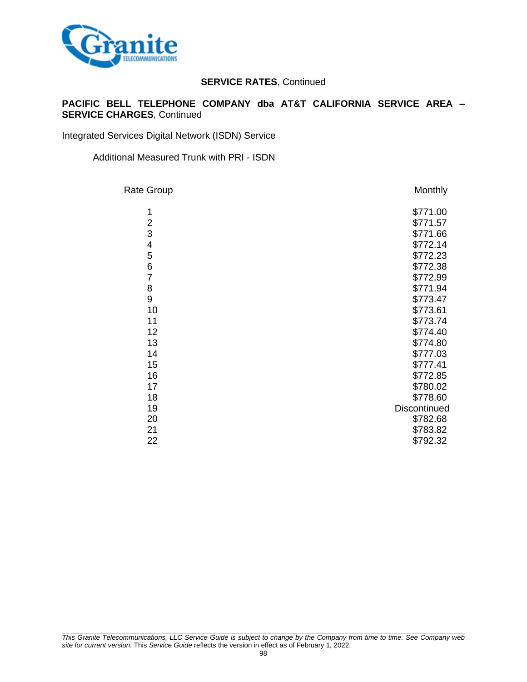

### **PACIFIC BELL TELEPHONE COMPANY dba AT&T CALIFORNIA SERVICE AREA – SERVICE CHARGES**, Continued

Integrated Services Digital Network (ISDN) Service

Additional Measured Trunk with PRI - ISDN

| Rate Group     | Monthly      |
|----------------|--------------|
| 1              | \$771.00     |
| $\overline{2}$ | \$771.57     |
| 3              | \$771.66     |
| 4              | \$772.14     |
| 5              | \$772.23     |
| 6              | \$772.38     |
| $\overline{7}$ | \$772.99     |
| 8              | \$771.94     |
| 9              | \$773.47     |
| 10             | \$773.61     |
| 11             | \$773.74     |
| 12             | \$774.40     |
| 13             | \$774.80     |
| 14             | \$777.03     |
| 15             | \$777.41     |
| 16             | \$772.85     |
| 17             | \$780.02     |
| 18             | \$778.60     |
| 19             | Discontinued |
| 20             | \$782.68     |
| 21             | \$783.82     |
| 22             | \$792.32     |
|                |              |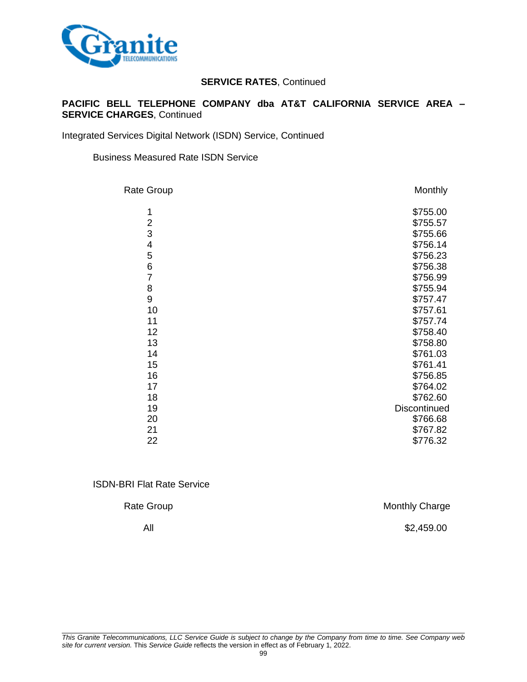

### **PACIFIC BELL TELEPHONE COMPANY dba AT&T CALIFORNIA SERVICE AREA – SERVICE CHARGES**, Continued

Integrated Services Digital Network (ISDN) Service, Continued

Business Measured Rate ISDN Service

| Rate Group              | Monthly      |
|-------------------------|--------------|
| 1                       | \$755.00     |
| $\overline{\mathbf{c}}$ | \$755.57     |
| 3                       | \$755.66     |
| 4                       | \$756.14     |
| 5                       | \$756.23     |
| 6                       | \$756.38     |
| $\overline{7}$          | \$756.99     |
| 8                       | \$755.94     |
| 9                       | \$757.47     |
| 10                      | \$757.61     |
| 11                      | \$757.74     |
| 12                      | \$758.40     |
| 13                      | \$758.80     |
| 14                      | \$761.03     |
| 15                      | \$761.41     |
| 16                      | \$756.85     |
| 17                      | \$764.02     |
| 18                      | \$762.60     |
| 19                      | Discontinued |
| 20                      | \$766.68     |
| 21                      | \$767.82     |
| 22                      | \$776.32     |
|                         |              |

ISDN-BRI Flat Rate Service

Rate Group **Monthly Charge Monthly Charge** 

All \$2,459.00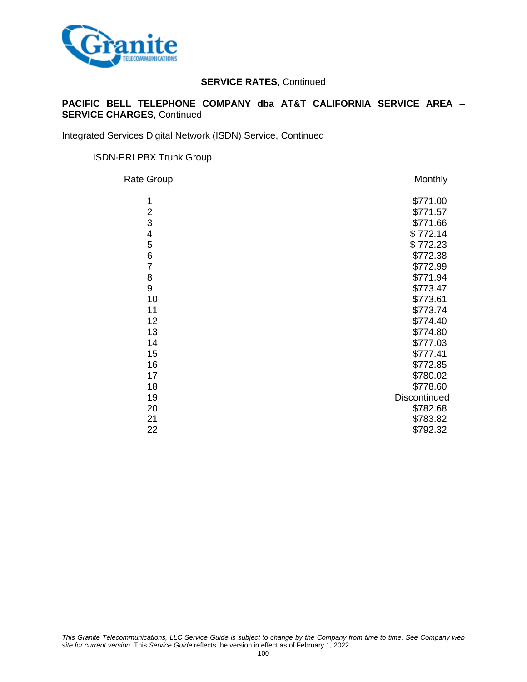

### **PACIFIC BELL TELEPHONE COMPANY dba AT&T CALIFORNIA SERVICE AREA – SERVICE CHARGES**, Continued

Integrated Services Digital Network (ISDN) Service, Continued

#### ISDN-PRI PBX Trunk Group

| Rate Group     | <b>Monthly</b> |
|----------------|----------------|
| 1              | \$771.00       |
| $\overline{2}$ | \$771.57       |
| 3              | \$771.66       |
| 4              | \$772.14       |
| 5              | \$772.23       |
| 6              | \$772.38       |
| $\overline{7}$ | \$772.99       |
| 8              | \$771.94       |
| 9              | \$773.47       |
| 10             | \$773.61       |
| 11             | \$773.74       |
| 12             | \$774.40       |
| 13             | \$774.80       |
| 14             | \$777.03       |
| 15             | \$777.41       |
| 16             | \$772.85       |
| 17             | \$780.02       |
| 18             | \$778.60       |
| 19             | Discontinued   |
| 20             | \$782.68       |
| 21             | \$783.82       |
| 22             | \$792.32       |
|                |                |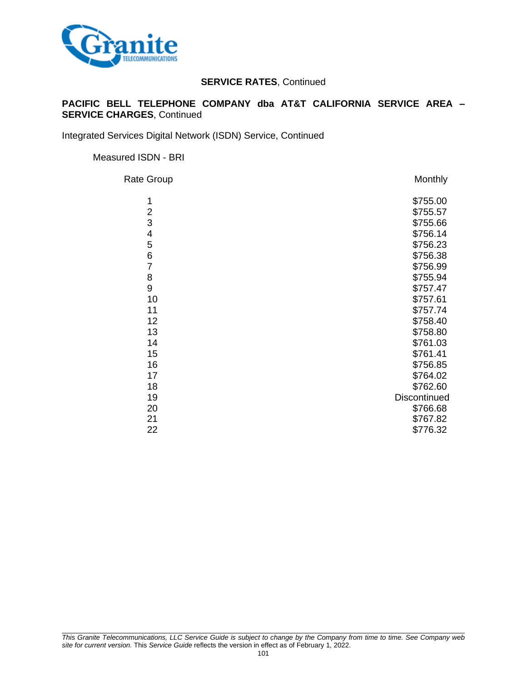

### **PACIFIC BELL TELEPHONE COMPANY dba AT&T CALIFORNIA SERVICE AREA – SERVICE CHARGES**, Continued

Integrated Services Digital Network (ISDN) Service, Continued

Measured ISDN - BRI

Rate Group **Monthly** 1 \$755.00 2<br>3<br>3<br>3<br>3  $3$ <br>4 \$755.66 4 \$756.14 5 \$756.23 6 \$756.38 7 \$756.99 8 \$755.94 9 \$757.47<br>10 \$757.61 10 \$757.61 11 \$757.74 12 \$758.40 13 \$758.80 14 \$761.03 15 \$761.41 16 \$756.85 17 \$764.02 18 \$762.60 19 Discontinued 20 \$766.68 21 \$767.82 22 \$776.32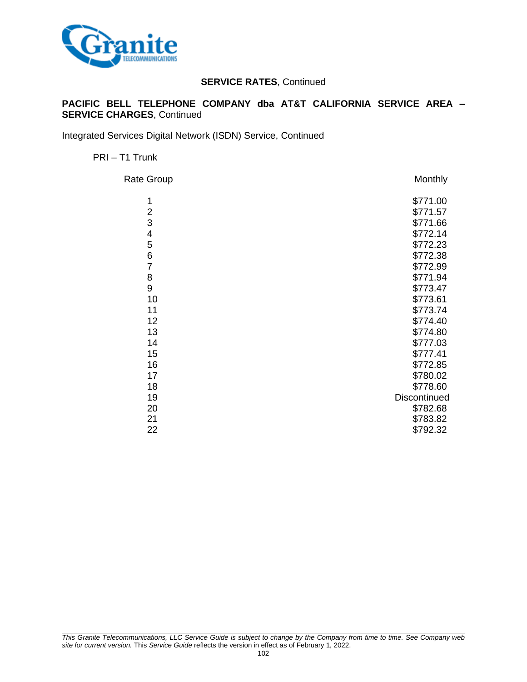

### **PACIFIC BELL TELEPHONE COMPANY dba AT&T CALIFORNIA SERVICE AREA – SERVICE CHARGES**, Continued

Integrated Services Digital Network (ISDN) Service, Continued

PRI – T1 Trunk

| Rate Group     | Monthly      |
|----------------|--------------|
| 1              | \$771.00     |
| $\overline{2}$ | \$771.57     |
| 3              | \$771.66     |
| 4              | \$772.14     |
| 5              | \$772.23     |
| 6              | \$772.38     |
| $\overline{7}$ | \$772.99     |
| 8              | \$771.94     |
| 9              | \$773.47     |
| 10             | \$773.61     |
| 11             | \$773.74     |
| 12             | \$774.40     |
| 13             | \$774.80     |
| 14             | \$777.03     |
| 15             | \$777.41     |
| 16             | \$772.85     |
| 17             | \$780.02     |
| 18             | \$778.60     |
| 19             | Discontinued |
| 20             | \$782.68     |
| 21             | \$783.82     |
| 22             | \$792.32     |
|                |              |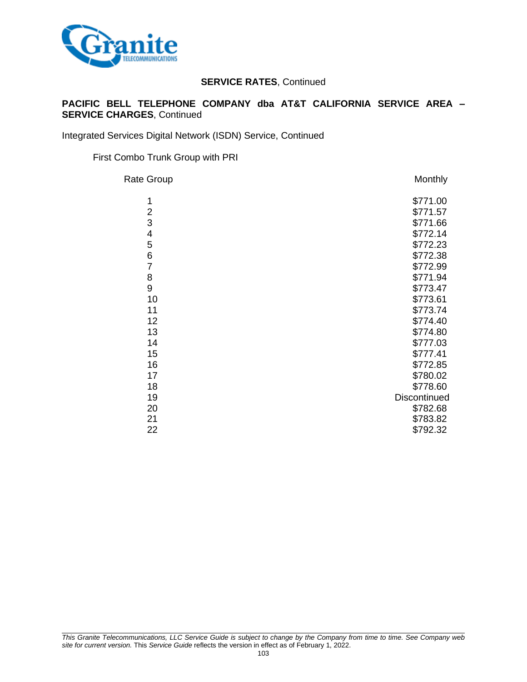

### **PACIFIC BELL TELEPHONE COMPANY dba AT&T CALIFORNIA SERVICE AREA – SERVICE CHARGES**, Continued

Integrated Services Digital Network (ISDN) Service, Continued

First Combo Trunk Group with PRI

| Rate Group     | Monthly      |
|----------------|--------------|
| 1              | \$771.00     |
| $\overline{2}$ | \$771.57     |
| 3              | \$771.66     |
| 4              | \$772.14     |
| 5              | \$772.23     |
| 6              | \$772.38     |
| $\overline{7}$ | \$772.99     |
| 8              | \$771.94     |
| 9              | \$773.47     |
| 10             | \$773.61     |
| 11             | \$773.74     |
| 12             | \$774.40     |
| 13             | \$774.80     |
| 14             | \$777.03     |
| 15             | \$777.41     |
| 16             | \$772.85     |
| 17             | \$780.02     |
| 18             | \$778.60     |
| 19             | Discontinued |
| 20             | \$782.68     |
| 21             | \$783.82     |
| 22             | \$792.32     |
|                |              |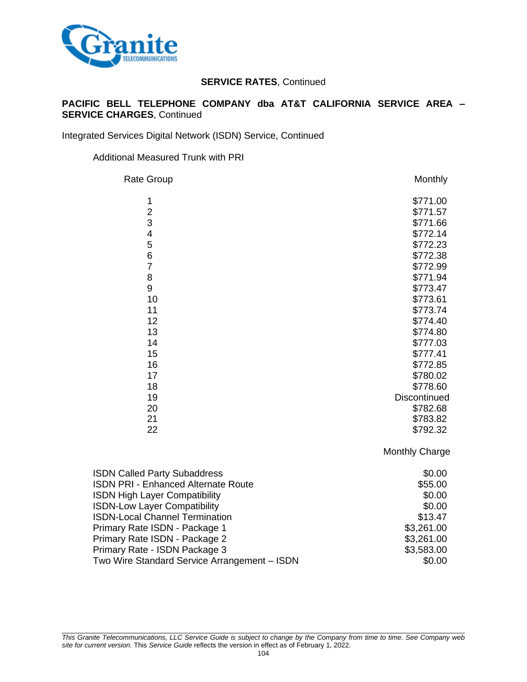

### **PACIFIC BELL TELEPHONE COMPANY dba AT&T CALIFORNIA SERVICE AREA – SERVICE CHARGES**, Continued

Integrated Services Digital Network (ISDN) Service, Continued

#### Additional Measured Trunk with PRI

| Monthly      |
|--------------|
| \$771.00     |
| \$771.57     |
| \$771.66     |
| \$772.14     |
| \$772.23     |
| \$772.38     |
| \$772.99     |
| \$771.94     |
| \$773.47     |
| \$773.61     |
| \$773.74     |
| \$774.40     |
| \$774.80     |
| \$777.03     |
| \$777.41     |
| \$772.85     |
| \$780.02     |
| \$778.60     |
| Discontinued |
| \$782.68     |
| \$783.82     |
| \$792.32     |
|              |

Monthly Charge

| <b>ISDN Called Party Subaddress</b>          | \$0.00     |
|----------------------------------------------|------------|
| <b>ISDN PRI - Enhanced Alternate Route</b>   | \$55.00    |
| <b>ISDN High Layer Compatibility</b>         | \$0.00     |
| <b>ISDN-Low Layer Compatibility</b>          | \$0.00     |
| <b>ISDN-Local Channel Termination</b>        | \$13.47    |
| Primary Rate ISDN - Package 1                | \$3,261.00 |
| Primary Rate ISDN - Package 2                | \$3,261.00 |
| Primary Rate - ISDN Package 3                | \$3,583.00 |
| Two Wire Standard Service Arrangement - ISDN | \$0.00     |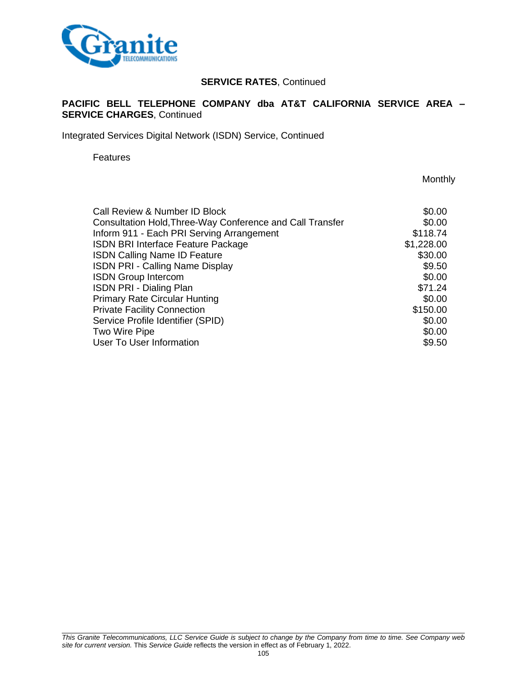

### **PACIFIC BELL TELEPHONE COMPANY dba AT&T CALIFORNIA SERVICE AREA – SERVICE CHARGES**, Continued

Integrated Services Digital Network (ISDN) Service, Continued

Features

**Monthly** 

| Call Review & Number ID Block                             | \$0.00     |
|-----------------------------------------------------------|------------|
| Consultation Hold, Three-Way Conference and Call Transfer | \$0.00     |
| Inform 911 - Each PRI Serving Arrangement                 | \$118.74   |
| <b>ISDN BRI Interface Feature Package</b>                 | \$1,228.00 |
| <b>ISDN Calling Name ID Feature</b>                       | \$30.00    |
| <b>ISDN PRI - Calling Name Display</b>                    | \$9.50     |
| <b>ISDN Group Intercom</b>                                | \$0.00     |
| <b>ISDN PRI - Dialing Plan</b>                            | \$71.24    |
| <b>Primary Rate Circular Hunting</b>                      | \$0.00     |
| <b>Private Facility Connection</b>                        | \$150.00   |
| Service Profile Identifier (SPID)                         | \$0.00     |
| Two Wire Pipe                                             | \$0.00     |
| <b>User To User Information</b>                           | \$9.50     |
|                                                           |            |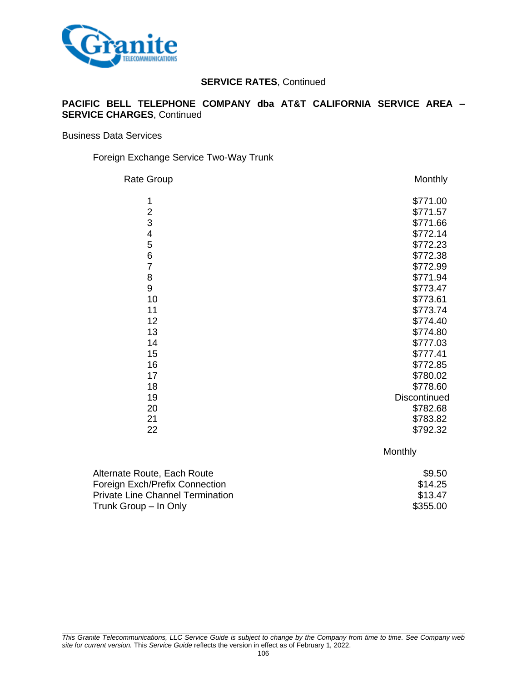

#### **PACIFIC BELL TELEPHONE COMPANY dba AT&T CALIFORNIA SERVICE AREA – SERVICE CHARGES**, Continued

Business Data Services

#### Foreign Exchange Service Two-Way Trunk

| <b>Rate Group</b> | Monthly             |
|-------------------|---------------------|
| 1                 | \$771.00            |
| $\overline{c}$    | \$771.57            |
| 3                 | \$771.66            |
| 4                 | \$772.14            |
| 5                 | \$772.23            |
| 6                 | \$772.38            |
| $\overline{7}$    | \$772.99            |
| 8                 | \$771.94            |
| 9                 | \$773.47            |
| 10                | \$773.61            |
| 11                | \$773.74            |
| 12                | \$774.40            |
| 13                | \$774.80            |
| 14                | \$777.03            |
| 15                | \$777.41            |
| 16                | \$772.85            |
| 17                | \$780.02            |
| 18                | \$778.60            |
| 19                | <b>Discontinued</b> |
| 20                | \$782.68            |
| 21                | \$783.82            |
| 22                | \$792.32            |
|                   |                     |

**Monthly** 

| Alternate Route, Each Route             | \$9.50   |
|-----------------------------------------|----------|
| Foreign Exch/Prefix Connection          | \$14.25  |
| <b>Private Line Channel Termination</b> | \$13.47  |
| Trunk Group – In Only                   | \$355.00 |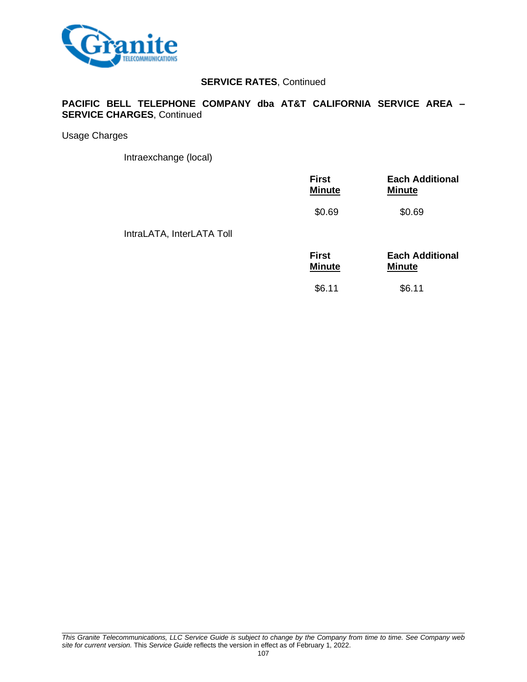

### **PACIFIC BELL TELEPHONE COMPANY dba AT&T CALIFORNIA SERVICE AREA – SERVICE CHARGES**, Continued

Usage Charges

Intraexchange (local)

|                           | <b>First</b><br><b>Minute</b> | <b>Each Additional</b><br><b>Minute</b> |
|---------------------------|-------------------------------|-----------------------------------------|
|                           | \$0.69                        | \$0.69                                  |
| IntraLATA, InterLATA Toll |                               |                                         |
|                           | <b>First</b><br><b>Minute</b> | <b>Each Additional</b><br><b>Minute</b> |
|                           | \$6.11                        | \$6.11                                  |
|                           |                               |                                         |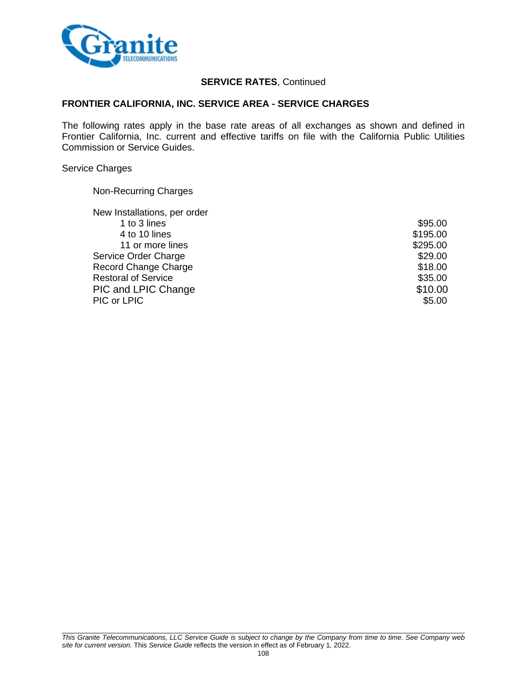

#### **FRONTIER CALIFORNIA, INC. SERVICE AREA - SERVICE CHARGES**

The following rates apply in the base rate areas of all exchanges as shown and defined in Frontier California, Inc. current and effective tariffs on file with the California Public Utilities Commission or Service Guides.

#### Service Charges

Non-Recurring Charges

| New Installations, per order |          |
|------------------------------|----------|
| 1 to 3 lines                 | \$95.00  |
| 4 to 10 lines                | \$195.00 |
| 11 or more lines             | \$295.00 |
| Service Order Charge         | \$29.00  |
| Record Change Charge         | \$18.00  |
| <b>Restoral of Service</b>   | \$35.00  |
| PIC and LPIC Change          | \$10.00  |
| PIC or LPIC                  | \$5.00   |
|                              |          |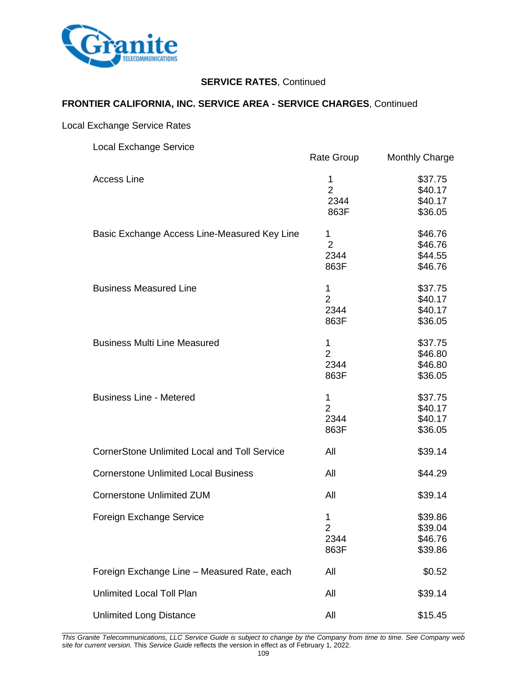

## **FRONTIER CALIFORNIA, INC. SERVICE AREA - SERVICE CHARGES**, Continued

## Local Exchange Service Rates

| <b>Local Exchange Service</b>                       | Rate Group                          | <b>Monthly Charge</b>                    |
|-----------------------------------------------------|-------------------------------------|------------------------------------------|
| <b>Access Line</b>                                  | 1<br>$\overline{2}$<br>2344<br>863F | \$37.75<br>\$40.17<br>\$40.17<br>\$36.05 |
| Basic Exchange Access Line-Measured Key Line        | 1<br>$\overline{2}$<br>2344<br>863F | \$46.76<br>\$46.76<br>\$44.55<br>\$46.76 |
| <b>Business Measured Line</b>                       | 1<br>$\overline{2}$<br>2344<br>863F | \$37.75<br>\$40.17<br>\$40.17<br>\$36.05 |
| <b>Business Multi Line Measured</b>                 | 1<br>$\overline{2}$<br>2344<br>863F | \$37.75<br>\$46.80<br>\$46.80<br>\$36.05 |
| <b>Business Line - Metered</b>                      | 1<br>$\overline{2}$<br>2344<br>863F | \$37.75<br>\$40.17<br>\$40.17<br>\$36.05 |
| <b>CornerStone Unlimited Local and Toll Service</b> | All                                 | \$39.14                                  |
| <b>Cornerstone Unlimited Local Business</b>         | All                                 | \$44.29                                  |
| <b>Cornerstone Unlimited ZUM</b>                    | All                                 | \$39.14                                  |
| Foreign Exchange Service                            | 1<br>2<br>2344<br>863F              | \$39.86<br>\$39.04<br>\$46.76<br>\$39.86 |
| Foreign Exchange Line - Measured Rate, each         | All                                 | \$0.52                                   |
| <b>Unlimited Local Toll Plan</b>                    | All                                 | \$39.14                                  |
| <b>Unlimited Long Distance</b>                      | All                                 | \$15.45                                  |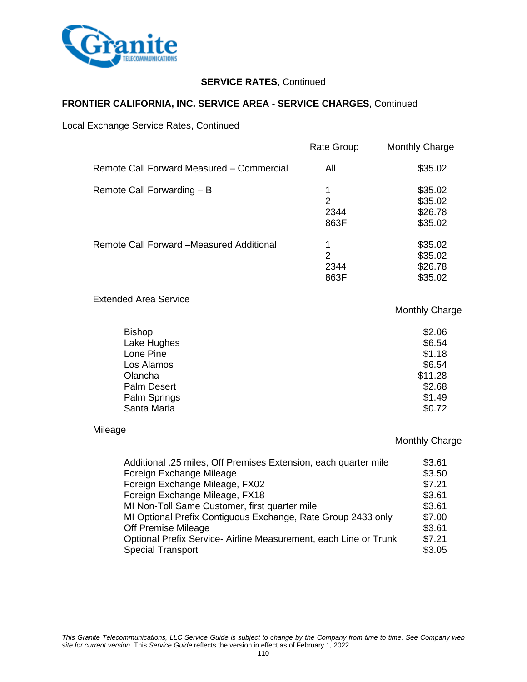

## **FRONTIER CALIFORNIA, INC. SERVICE AREA - SERVICE CHARGES**, Continued

Local Exchange Service Rates, Continued

|                                           | <b>Rate Group</b>      | <b>Monthly Charge</b>                    |
|-------------------------------------------|------------------------|------------------------------------------|
| Remote Call Forward Measured - Commercial | All                    | \$35.02                                  |
| Remote Call Forwarding - B                | 2<br>2344<br>863F      | \$35.02<br>\$35.02<br>\$26.78<br>\$35.02 |
| Remote Call Forward -Measured Additional  | 1<br>2<br>2344<br>863F | \$35.02<br>\$35.02<br>\$26.78<br>\$35.02 |

Extended Area Service

## Monthly Charge

| <b>Bishop</b> | \$2.06  |
|---------------|---------|
| Lake Hughes   | \$6.54  |
| Lone Pine     | \$1.18  |
| Los Alamos    | \$6.54  |
| Olancha       | \$11.28 |
| Palm Desert   | \$2.68  |
| Palm Springs  | \$1.49  |
| Santa Maria   | \$0.72  |

#### Mileage

| Additional .25 miles, Off Premises Extension, each quarter mile  | \$3.61 |
|------------------------------------------------------------------|--------|
| Foreign Exchange Mileage                                         | \$3.50 |
| Foreign Exchange Mileage, FX02                                   | \$7.21 |
| Foreign Exchange Mileage, FX18                                   | \$3.61 |
| MI Non-Toll Same Customer, first quarter mile                    | \$3.61 |
| MI Optional Prefix Contiguous Exchange, Rate Group 2433 only     | \$7.00 |
| Off Premise Mileage                                              | \$3.61 |
| Optional Prefix Service- Airline Measurement, each Line or Trunk | \$7.21 |
| <b>Special Transport</b>                                         | \$3.05 |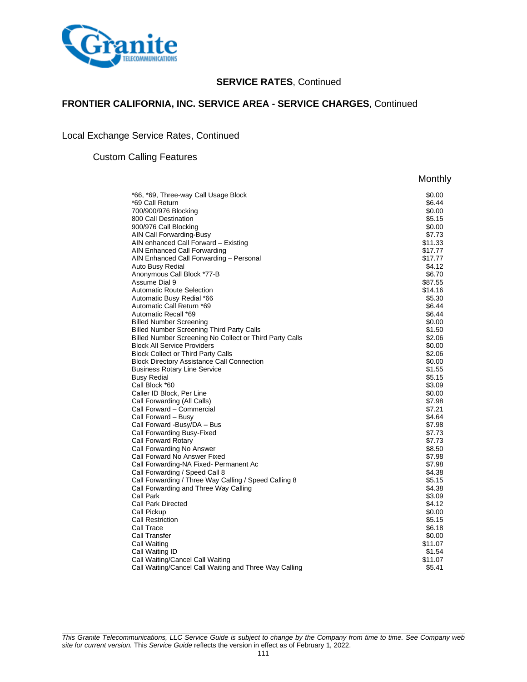

Monthly

## **FRONTIER CALIFORNIA, INC. SERVICE AREA - SERVICE CHARGES**, Continued

Local Exchange Service Rates, Continued

#### Custom Calling Features

| *66, *69, Three-way Call Usage Block                      | \$0.00           |
|-----------------------------------------------------------|------------------|
| *69 Call Return                                           | \$6.44           |
| 700/900/976 Blocking                                      | \$0.00           |
| 800 Call Destination                                      | \$5.15           |
| 900/976 Call Blocking                                     | \$0.00           |
| AIN Call Forwarding-Busy                                  | \$7.73           |
| AIN enhanced Call Forward - Existing                      | \$11.33          |
| AIN Enhanced Call Forwarding                              | \$17.77          |
| AIN Enhanced Call Forwarding - Personal                   | \$17.77          |
| Auto Busy Redial                                          | \$4.12           |
| Anonymous Call Block *77-B                                | \$6.70           |
| Assume Dial 9                                             | \$87.55          |
| <b>Automatic Route Selection</b>                          | \$14.16          |
| Automatic Busy Redial *66                                 | \$5.30           |
| Automatic Call Return *69                                 | \$6.44           |
| Automatic Recall *69                                      | \$6.44           |
| <b>Billed Number Screening</b>                            | \$0.00           |
| <b>Billed Number Screening Third Party Calls</b>          | \$1.50           |
| Billed Number Screening No Collect or Third Party Calls   | \$2.06           |
| <b>Block All Service Providers</b>                        | \$0.00           |
| <b>Block Collect or Third Party Calls</b>                 | \$2.06           |
| <b>Block Directory Assistance Call Connection</b>         | \$0.00           |
| <b>Business Rotary Line Service</b>                       | \$1.55           |
| <b>Busy Redial</b>                                        | \$5.15           |
| Call Block *60                                            | \$3.09           |
| Caller ID Block, Per Line                                 | \$0.00           |
| Call Forwarding (All Calls)<br>Call Forward - Commercial  | \$7.98           |
|                                                           | \$7.21<br>\$4.64 |
| Call Forward - Busy                                       | \$7.98           |
| Call Forward -Busy/DA – Bus<br>Call Forwarding Busy-Fixed | \$7.73           |
| Call Forward Rotary                                       | \$7.73           |
| Call Forwarding No Answer                                 | \$8.50           |
| Call Forward No Answer Fixed                              | \$7.98           |
| Call Forwarding-NA Fixed- Permanent Ac                    | \$7.98           |
| Call Forwarding / Speed Call 8                            | \$4.38           |
| Call Forwarding / Three Way Calling / Speed Calling 8     | \$5.15           |
| Call Forwarding and Three Way Calling                     | \$4.38           |
| Call Park                                                 | \$3.09           |
| Call Park Directed                                        | \$4.12           |
| Call Pickup                                               | \$0.00           |
| <b>Call Restriction</b>                                   | \$5.15           |
| Call Trace                                                | \$6.18           |
| Call Transfer                                             | \$0.00           |
| Call Waiting                                              | \$11.07          |
| Call Waiting ID                                           | \$1.54           |
| Call Waiting/Cancel Call Waiting                          | \$11.07          |
| Call Waiting/Cancel Call Waiting and Three Way Calling    | \$5.41           |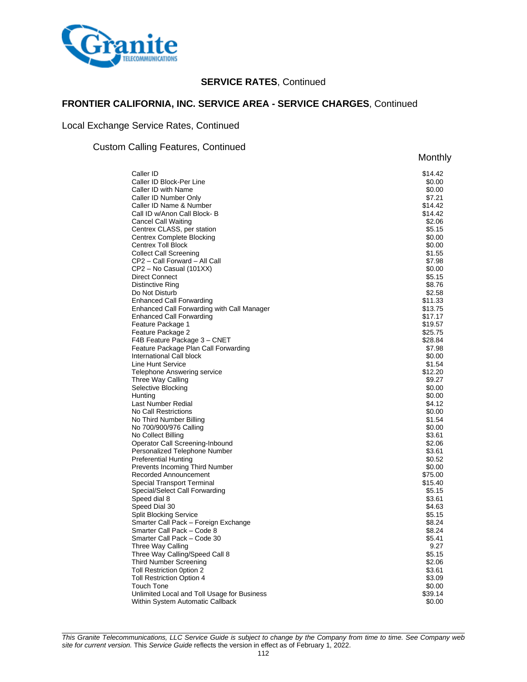

## **FRONTIER CALIFORNIA, INC. SERVICE AREA - SERVICE CHARGES**, Continued

## Local Exchange Service Rates, Continued

#### Custom Calling Features, Continued

| oaiiing i calaroo, ooritiinada                                                | Monthly            |
|-------------------------------------------------------------------------------|--------------------|
| Caller ID                                                                     | \$14.42            |
| Caller ID Block-Per Line                                                      | \$0.00             |
| Caller ID with Name                                                           | \$0.00             |
| Caller ID Number Only                                                         | \$7.21             |
| Caller ID Name & Number                                                       | \$14.42            |
| Call ID w/Anon Call Block-B                                                   | \$14.42            |
| <b>Cancel Call Waiting</b>                                                    | \$2.06             |
| Centrex CLASS, per station                                                    | \$5.15             |
| Centrex Complete Blocking                                                     | \$0.00             |
| <b>Centrex Toll Block</b>                                                     | \$0.00             |
| <b>Collect Call Screening</b>                                                 | \$1.55             |
| CP2 - Call Forward - All Call                                                 | \$7.98             |
| CP2 – No Casual (101XX)                                                       | \$0.00             |
| <b>Direct Connect</b>                                                         | \$5.15             |
| Distinctive Ring                                                              | \$8.76             |
| Do Not Disturb                                                                | \$2.58             |
| <b>Enhanced Call Forwarding</b>                                               | \$11.33            |
| Enhanced Call Forwarding with Call Manager<br><b>Enhanced Call Forwarding</b> | \$13.75<br>\$17.17 |
| Feature Package 1                                                             | \$19.57            |
| Feature Package 2                                                             | \$25.75            |
| F4B Feature Package 3 - CNET                                                  | \$28.84            |
| Feature Package Plan Call Forwarding                                          | \$7.98             |
| International Call block                                                      | \$0.00             |
| Line Hunt Service                                                             | \$1.54             |
| <b>Telephone Answering service</b>                                            | \$12.20            |
| Three Way Calling                                                             | \$9.27             |
| Selective Blocking                                                            | \$0.00             |
| Hunting                                                                       | \$0.00             |
| Last Number Redial                                                            | \$4.12             |
| No Call Restrictions                                                          | \$0.00             |
| No Third Number Billing                                                       | \$1.54             |
| No 700/900/976 Calling                                                        | \$0.00             |
| No Collect Billing                                                            | \$3.61             |
| Operator Call Screening-Inbound                                               | \$2.06             |
| Personalized Telephone Number                                                 | \$3.61             |
| <b>Preferential Hunting</b>                                                   | \$0.52             |
| Prevents Incoming Third Number                                                | \$0.00             |
| Recorded Announcement                                                         | \$75.00            |
| <b>Special Transport Terminal</b>                                             | \$15.40<br>\$5.15  |
| Special/Select Call Forwarding<br>Speed dial 8                                | \$3.61             |
| Speed Dial 30                                                                 | \$4.63             |
| <b>Split Blocking Service</b>                                                 | \$5.15             |
| Smarter Call Pack - Foreign Exchange                                          | \$8.24             |
| Smarter Call Pack - Code 8                                                    | \$8.24             |
| Smarter Call Pack - Code 30                                                   | \$5.41             |
| Three Way Calling                                                             | 9.27               |
| Three Way Calling/Speed Call 8                                                | \$5.15             |
| <b>Third Number Screening</b>                                                 | \$2.06             |
| Toll Restriction 0ption 2                                                     | \$3.61             |
| <b>Toll Restriction Option 4</b>                                              | \$3.09             |
| <b>Touch Tone</b>                                                             | \$0.00             |
| Unlimited Local and Toll Usage for Business                                   | \$39.14            |
| Within System Automatic Callback                                              | \$0.00             |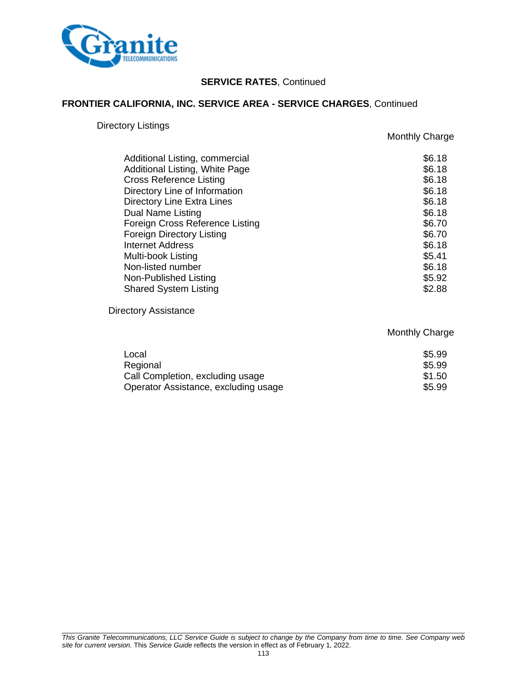

## **FRONTIER CALIFORNIA, INC. SERVICE AREA - SERVICE CHARGES**, Continued

## Directory Listings

Monthly Charge

| Additional Listing, commercial    | \$6.18           |
|-----------------------------------|------------------|
| Additional Listing, White Page    | \$6.18<br>\$6.18 |
| <b>Cross Reference Listing</b>    |                  |
| Directory Line of Information     | \$6.18           |
| <b>Directory Line Extra Lines</b> | \$6.18           |
| Dual Name Listing                 | \$6.18           |
| Foreign Cross Reference Listing   | \$6.70           |
| <b>Foreign Directory Listing</b>  | \$6.70           |
| <b>Internet Address</b>           | \$6.18           |
| Multi-book Listing                | \$5.41           |
| Non-listed number                 | \$6.18           |
| Non-Published Listing             | \$5.92           |
| <b>Shared System Listing</b>      | \$2.88           |

Directory Assistance

| Local                                | \$5.99 |
|--------------------------------------|--------|
| Regional                             | \$5.99 |
| Call Completion, excluding usage     | \$1.50 |
| Operator Assistance, excluding usage | \$5.99 |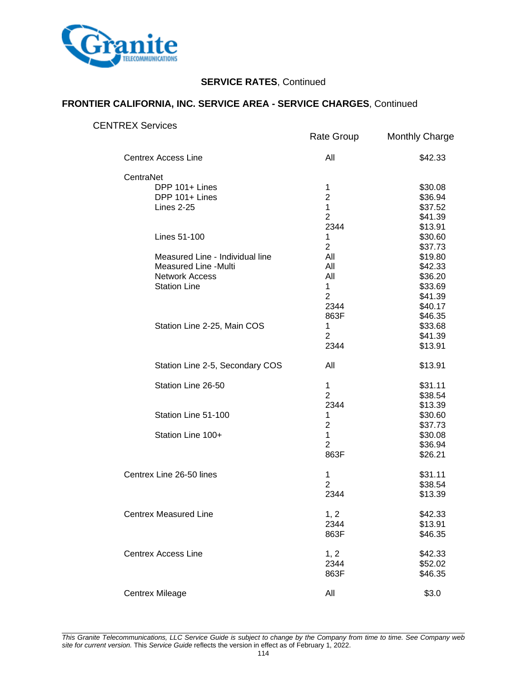

## **FRONTIER CALIFORNIA, INC. SERVICE AREA - SERVICE CHARGES**, Continued

| <b>CENTREX Services</b>                                                                                 |                                                                                       |                                                                                      |
|---------------------------------------------------------------------------------------------------------|---------------------------------------------------------------------------------------|--------------------------------------------------------------------------------------|
|                                                                                                         | Rate Group                                                                            | <b>Monthly Charge</b>                                                                |
| <b>Centrex Access Line</b>                                                                              | All                                                                                   | \$42.33                                                                              |
| CentraNet<br>DPP 101+ Lines<br>DPP 101+ Lines<br><b>Lines 2-25</b><br>Lines 51-100                      | 1<br>$\overline{2}$<br>$\mathbf{1}$<br>$\overline{2}$<br>2344<br>$\mathbf{1}$         | \$30.08<br>\$36.94<br>\$37.52<br>\$41.39<br>\$13.91<br>\$30.60                       |
| Measured Line - Individual line<br>Measured Line -Multi<br><b>Network Access</b><br><b>Station Line</b> | $\overline{2}$<br>All<br>All<br>All<br>$\mathbf{1}$<br>$\overline{2}$<br>2344<br>863F | \$37.73<br>\$19.80<br>\$42.33<br>\$36.20<br>\$33.69<br>\$41.39<br>\$40.17<br>\$46.35 |
| Station Line 2-25, Main COS                                                                             | $\mathbf{1}$<br>$\overline{2}$<br>2344                                                | \$33.68<br>\$41.39<br>\$13.91                                                        |
| Station Line 2-5, Secondary COS                                                                         | All                                                                                   | \$13.91                                                                              |
| Station Line 26-50                                                                                      | $\mathbf 1$<br>$\overline{2}$<br>2344                                                 | \$31.11<br>\$38.54<br>\$13.39                                                        |
| Station Line 51-100                                                                                     | 1<br>$\overline{2}$                                                                   | \$30.60<br>\$37.73                                                                   |
| Station Line 100+                                                                                       | $\mathbf{1}$<br>$\overline{2}$<br>863F                                                | \$30.08<br>\$36.94<br>\$26.21                                                        |
| Centrex Line 26-50 lines                                                                                | $\mathbf{1}$<br>$\overline{2}$<br>2344                                                | \$31.11<br>\$38.54<br>\$13.39                                                        |
| <b>Centrex Measured Line</b>                                                                            | 1, 2<br>2344<br>863F                                                                  | \$42.33<br>\$13.91<br>\$46.35                                                        |
| <b>Centrex Access Line</b>                                                                              | 1, 2<br>2344<br>863F                                                                  | \$42.33<br>\$52.02<br>\$46.35                                                        |
| <b>Centrex Mileage</b>                                                                                  | All                                                                                   | \$3.0                                                                                |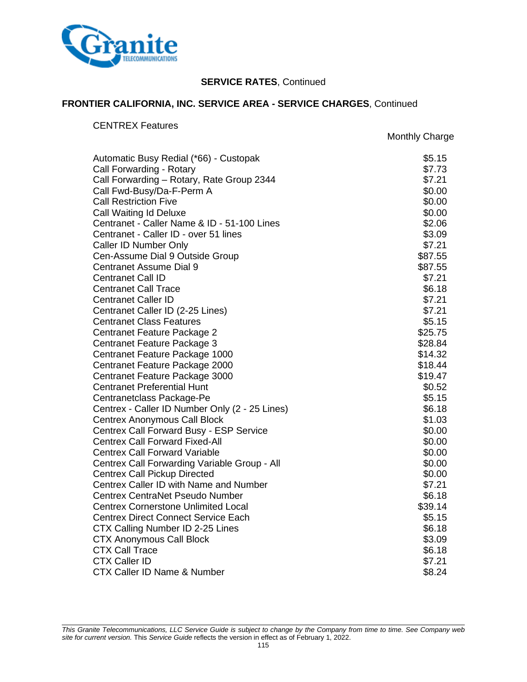

## **FRONTIER CALIFORNIA, INC. SERVICE AREA - SERVICE CHARGES**, Continued

## CENTREX Features

Monthly Charge

| Automatic Busy Redial (*66) - Custopak         | \$5.15  |
|------------------------------------------------|---------|
| Call Forwarding - Rotary                       | \$7.73  |
| Call Forwarding - Rotary, Rate Group 2344      | \$7.21  |
| Call Fwd-Busy/Da-F-Perm A                      | \$0.00  |
| <b>Call Restriction Five</b>                   | \$0.00  |
| Call Waiting Id Deluxe                         | \$0.00  |
| Centranet - Caller Name & ID - 51-100 Lines    | \$2.06  |
| Centranet - Caller ID - over 51 lines          | \$3.09  |
| Caller ID Number Only                          | \$7.21  |
| Cen-Assume Dial 9 Outside Group                | \$87.55 |
| <b>Centranet Assume Dial 9</b>                 | \$87.55 |
| <b>Centranet Call ID</b>                       | \$7.21  |
| <b>Centranet Call Trace</b>                    | \$6.18  |
| <b>Centranet Caller ID</b>                     | \$7.21  |
| Centranet Caller ID (2-25 Lines)               | \$7.21  |
| <b>Centranet Class Features</b>                | \$5.15  |
| Centranet Feature Package 2                    | \$25.75 |
| Centranet Feature Package 3                    | \$28.84 |
| Centranet Feature Package 1000                 | \$14.32 |
| Centranet Feature Package 2000                 | \$18.44 |
| Centranet Feature Package 3000                 | \$19.47 |
| <b>Centranet Preferential Hunt</b>             | \$0.52  |
| Centranetclass Package-Pe                      | \$5.15  |
| Centrex - Caller ID Number Only (2 - 25 Lines) | \$6.18  |
| <b>Centrex Anonymous Call Block</b>            | \$1.03  |
| <b>Centrex Call Forward Busy - ESP Service</b> | \$0.00  |
| <b>Centrex Call Forward Fixed-All</b>          | \$0.00  |
| <b>Centrex Call Forward Variable</b>           | \$0.00  |
| Centrex Call Forwarding Variable Group - All   | \$0.00  |
| <b>Centrex Call Pickup Directed</b>            | \$0.00  |
| Centrex Caller ID with Name and Number         | \$7.21  |
| <b>Centrex CentraNet Pseudo Number</b>         | \$6.18  |
| <b>Centrex Cornerstone Unlimited Local</b>     | \$39.14 |
| <b>Centrex Direct Connect Service Each</b>     | \$5.15  |
| CTX Calling Number ID 2-25 Lines               | \$6.18  |
| <b>CTX Anonymous Call Block</b>                | \$3.09  |
| <b>CTX Call Trace</b>                          | \$6.18  |
| <b>CTX Caller ID</b>                           | \$7.21  |
| <b>CTX Caller ID Name &amp; Number</b>         | \$8.24  |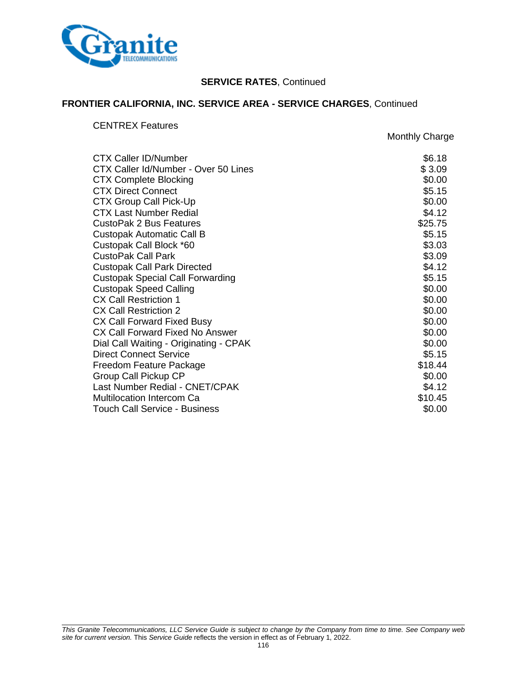

## **FRONTIER CALIFORNIA, INC. SERVICE AREA - SERVICE CHARGES**, Continued

CENTREX Features

Monthly Charge

| <b>CTX Caller ID/Number</b>             | \$6.18  |
|-----------------------------------------|---------|
| CTX Caller Id/Number - Over 50 Lines    | \$3.09  |
| <b>CTX Complete Blocking</b>            | \$0.00  |
| <b>CTX Direct Connect</b>               | \$5.15  |
| <b>CTX Group Call Pick-Up</b>           | \$0.00  |
| <b>CTX Last Number Redial</b>           | \$4.12  |
| <b>CustoPak 2 Bus Features</b>          | \$25.75 |
| Custopak Automatic Call B               | \$5.15  |
| Custopak Call Block *60                 | \$3.03  |
| <b>CustoPak Call Park</b>               | \$3.09  |
| <b>Custopak Call Park Directed</b>      | \$4.12  |
| <b>Custopak Special Call Forwarding</b> | \$5.15  |
| <b>Custopak Speed Calling</b>           | \$0.00  |
| <b>CX Call Restriction 1</b>            | \$0.00  |
| <b>CX Call Restriction 2</b>            | \$0.00  |
| CX Call Forward Fixed Busy              | \$0.00  |
| CX Call Forward Fixed No Answer         | \$0.00  |
| Dial Call Waiting - Originating - CPAK  | \$0.00  |
| <b>Direct Connect Service</b>           | \$5.15  |
| Freedom Feature Package                 | \$18.44 |
| Group Call Pickup CP                    | \$0.00  |
| Last Number Redial - CNET/CPAK          | \$4.12  |
| <b>Multilocation Intercom Ca</b>        | \$10.45 |
| <b>Touch Call Service - Business</b>    | \$0.00  |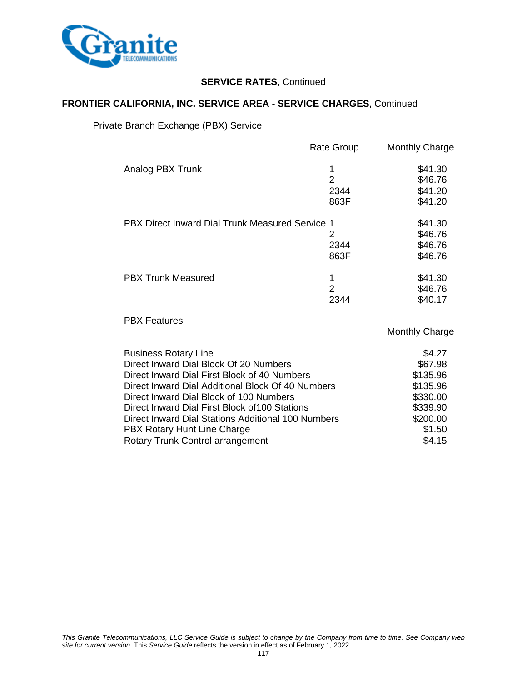

## **FRONTIER CALIFORNIA, INC. SERVICE AREA - SERVICE CHARGES**, Continued

Private Branch Exchange (PBX) Service

|                                                 | Rate Group     | <b>Monthly Charge</b> |
|-------------------------------------------------|----------------|-----------------------|
| Analog PBX Trunk                                |                | \$41.30               |
|                                                 | $\overline{2}$ | \$46.76               |
|                                                 | 2344           | \$41.20               |
|                                                 | 863F           | \$41.20               |
| PBX Direct Inward Dial Trunk Measured Service 1 |                | \$41.30               |
|                                                 | 2              | \$46.76               |
|                                                 | 2344           | \$46.76               |
|                                                 | 863F           | \$46.76               |
| <b>PBX Trunk Measured</b>                       | 1              | \$41.30               |
|                                                 | 2              | \$46.76               |
|                                                 | 2344           | \$40.17               |
| <b>PBX Features</b>                             |                |                       |

| <b>Business Rotary Line</b>                        | \$4.27   |
|----------------------------------------------------|----------|
| Direct Inward Dial Block Of 20 Numbers             | \$67.98  |
| Direct Inward Dial First Block of 40 Numbers       | \$135.96 |
| Direct Inward Dial Additional Block Of 40 Numbers  | \$135.96 |
| Direct Inward Dial Block of 100 Numbers            | \$330.00 |
| Direct Inward Dial First Block of 100 Stations     | \$339.90 |
| Direct Inward Dial Stations Additional 100 Numbers | \$200.00 |
| PBX Rotary Hunt Line Charge                        | \$1.50   |
| Rotary Trunk Control arrangement                   | \$4.15   |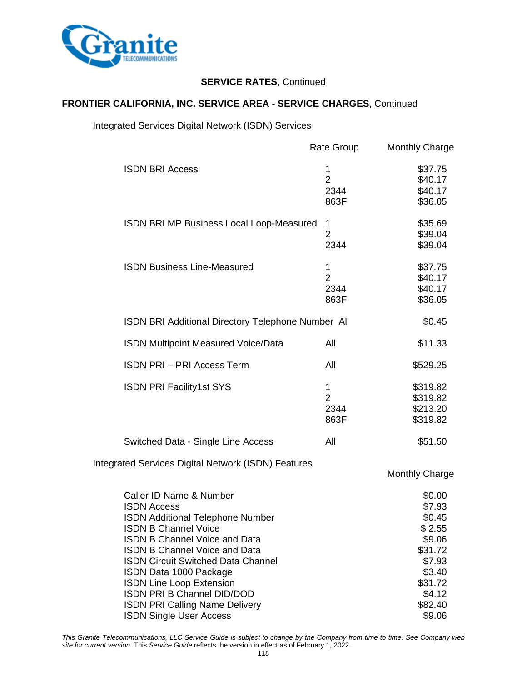

## **FRONTIER CALIFORNIA, INC. SERVICE AREA - SERVICE CHARGES**, Continued

## Integrated Services Digital Network (ISDN) Services

|                                                            | Rate Group     | <b>Monthly Charge</b> |
|------------------------------------------------------------|----------------|-----------------------|
| <b>ISDN BRI Access</b>                                     | 1              | \$37.75               |
|                                                            | $\overline{2}$ | \$40.17               |
|                                                            | 2344           | \$40.17               |
|                                                            | 863F           | \$36.05               |
| ISDN BRI MP Business Local Loop-Measured                   | 1              | \$35.69               |
|                                                            | $\overline{2}$ | \$39.04               |
|                                                            | 2344           | \$39.04               |
| <b>ISDN Business Line-Measured</b>                         | 1              | \$37.75               |
|                                                            | $\overline{2}$ | \$40.17               |
|                                                            | 2344           | \$40.17               |
|                                                            | 863F           | \$36.05               |
| ISDN BRI Additional Directory Telephone Number All         |                | \$0.45                |
| <b>ISDN Multipoint Measured Voice/Data</b>                 | All            | \$11.33               |
| <b>ISDN PRI - PRI Access Term</b>                          | All            | \$529.25              |
| <b>ISDN PRI Facility1st SYS</b>                            | 1              | \$319.82              |
|                                                            | $\overline{2}$ | \$319.82              |
|                                                            | 2344           | \$213.20              |
|                                                            | 863F           | \$319.82              |
| Switched Data - Single Line Access                         | All            | \$51.50               |
| <b>Integrated Services Digital Network (ISDN) Features</b> |                |                       |
|                                                            |                | <b>Monthly Charge</b> |
| Caller ID Name & Number                                    |                | \$0.00                |
| <b>ISDN Access</b>                                         |                | \$7.93                |
| <b>ISDN Additional Telephone Number</b>                    |                | \$0.45                |
| <b>ISDN B Channel Voice</b>                                |                | \$2.55                |
| <b>ISDN B Channel Voice and Data</b>                       |                | \$9.06                |
| <b>ISDN B Channel Voice and Data</b>                       |                | \$31.72               |
| <b>ISDN Circuit Switched Data Channel</b>                  |                | \$7.93                |
| ISDN Data 1000 Package                                     |                | \$3.40                |
| <b>ISDN Line Loop Extension</b>                            |                | \$31.72               |
| <b>ISDN PRI B Channel DID/DOD</b>                          |                | \$4.12                |
| <b>ISDN PRI Calling Name Delivery</b>                      |                | \$82.40               |
| <b>ISDN Single User Access</b>                             |                | \$9.06                |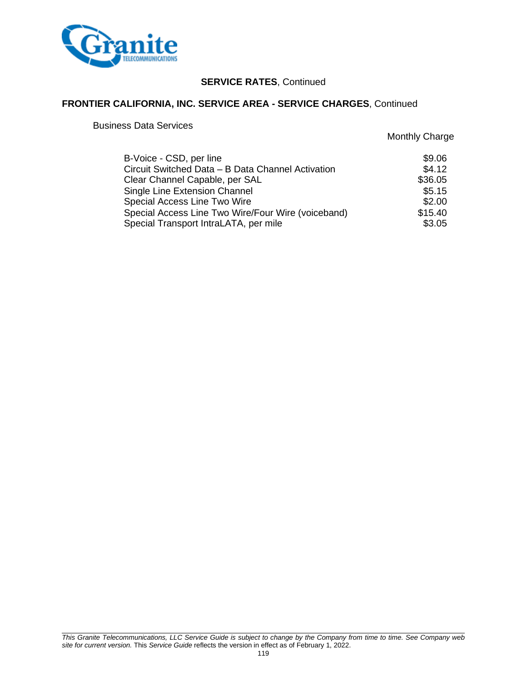

## **FRONTIER CALIFORNIA, INC. SERVICE AREA - SERVICE CHARGES**, Continued

Business Data Services

| B-Voice - CSD, per line                            | \$9.06  |
|----------------------------------------------------|---------|
| Circuit Switched Data - B Data Channel Activation  | \$4.12  |
| Clear Channel Capable, per SAL                     | \$36.05 |
| Single Line Extension Channel                      | \$5.15  |
| Special Access Line Two Wire                       | \$2.00  |
| Special Access Line Two Wire/Four Wire (voiceband) | \$15.40 |
| Special Transport IntraLATA, per mile              | \$3.05  |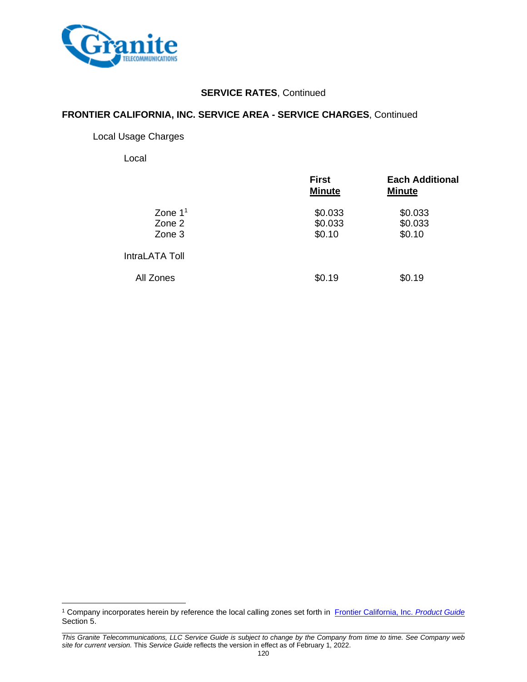

### **FRONTIER CALIFORNIA, INC. SERVICE AREA - SERVICE CHARGES**, Continued

#### Local Usage Charges

Local

|                               | <b>First</b><br><b>Minute</b> | <b>Each Additional</b><br><b>Minute</b> |
|-------------------------------|-------------------------------|-----------------------------------------|
| Zone $11$<br>Zone 2<br>Zone 3 | \$0.033<br>\$0.033<br>\$0.10  | \$0.033<br>\$0.033<br>\$0.10            |
| IntraLATA Toll                |                               |                                         |
| All Zones                     | \$0.19                        | \$0.19                                  |

<sup>1</sup> Company incorporates herein by reference the local calling zones set forth in [Frontier California, Inc.](http://carrier.frontiercorp.com/crtf/tariffs/u/288/CA/local/Product_Guide.pdf) *Product Guide* Section 5.

*This Granite Telecommunications, LLC Service Guide is subject to change by the Company from time to time. See Company web site for current version.* This *Service Guide* reflects the version in effect as of February 1, 2022.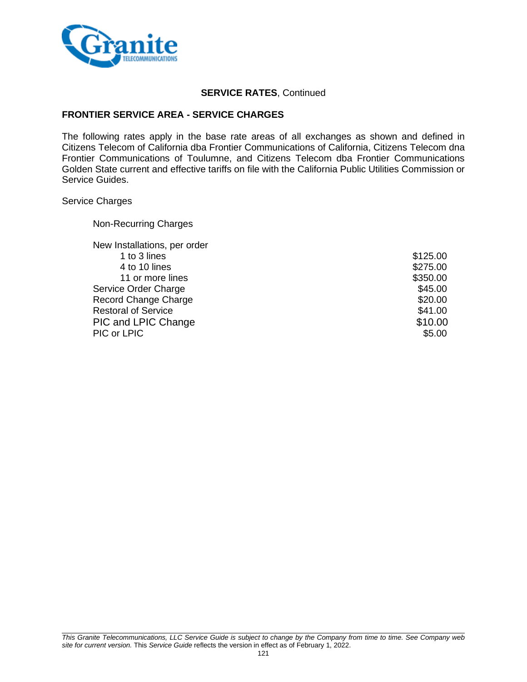

### **FRONTIER SERVICE AREA - SERVICE CHARGES**

The following rates apply in the base rate areas of all exchanges as shown and defined in Citizens Telecom of California dba Frontier Communications of California, Citizens Telecom dna Frontier Communications of Toulumne, and Citizens Telecom dba Frontier Communications Golden State current and effective tariffs on file with the California Public Utilities Commission or Service Guides.

#### Service Charges

| <b>Non-Recurring Charges</b> |  |
|------------------------------|--|
|------------------------------|--|

| New Installations, per order |          |
|------------------------------|----------|
| 1 to 3 lines                 | \$125.00 |
| 4 to 10 lines                | \$275.00 |
| 11 or more lines             | \$350.00 |
| Service Order Charge         | \$45.00  |
| <b>Record Change Charge</b>  | \$20.00  |
| <b>Restoral of Service</b>   | \$41.00  |
| PIC and LPIC Change          | \$10.00  |
| PIC or LPIC                  | \$5.00   |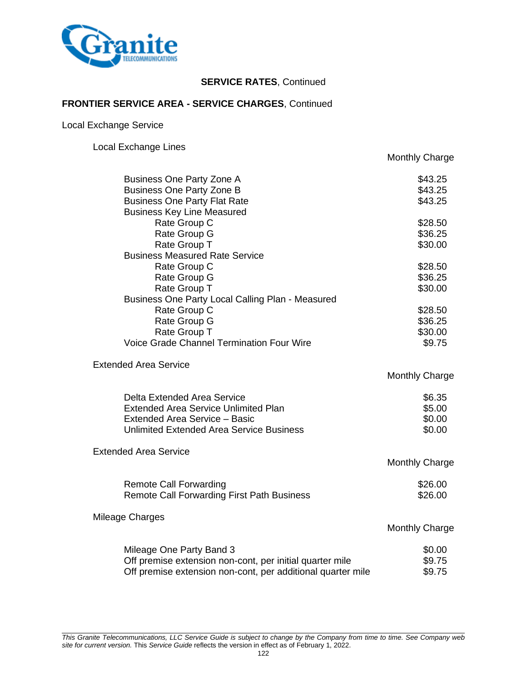

### **FRONTIER SERVICE AREA - SERVICE CHARGES**, Continued

Local Exchange Service

Local Exchange Lines

|                                                             | <b>Monthly Charge</b> |
|-------------------------------------------------------------|-----------------------|
| <b>Business One Party Zone A</b>                            | \$43.25               |
| <b>Business One Party Zone B</b>                            | \$43.25               |
| <b>Business One Party Flat Rate</b>                         | \$43.25               |
| <b>Business Key Line Measured</b>                           |                       |
| Rate Group C                                                | \$28.50               |
| Rate Group G                                                | \$36.25               |
| Rate Group T                                                | \$30.00               |
| <b>Business Measured Rate Service</b>                       |                       |
| Rate Group C                                                | \$28.50               |
| Rate Group G                                                | \$36.25               |
| Rate Group T                                                | \$30.00               |
| Business One Party Local Calling Plan - Measured            |                       |
| Rate Group C                                                | \$28.50               |
| Rate Group G                                                | \$36.25               |
| Rate Group T                                                | \$30.00               |
| <b>Voice Grade Channel Termination Four Wire</b>            | \$9.75                |
| <b>Extended Area Service</b>                                |                       |
|                                                             | <b>Monthly Charge</b> |
| Delta Extended Area Service                                 | \$6.35                |
| <b>Extended Area Service Unlimited Plan</b>                 | \$5.00                |
| Extended Area Service - Basic                               | \$0.00                |
| <b>Unlimited Extended Area Service Business</b>             | \$0.00                |
| <b>Extended Area Service</b>                                |                       |
|                                                             | Monthly Charge        |
| <b>Remote Call Forwarding</b>                               | \$26.00               |
| Remote Call Forwarding First Path Business                  | \$26.00               |
| Mileage Charges                                             |                       |
|                                                             | <b>Monthly Charge</b> |
| Mileage One Party Band 3                                    | \$0.00                |
| Off premise extension non-cont, per initial quarter mile    | \$9.75                |
| Off premise extension non-cont, per additional quarter mile | \$9.75                |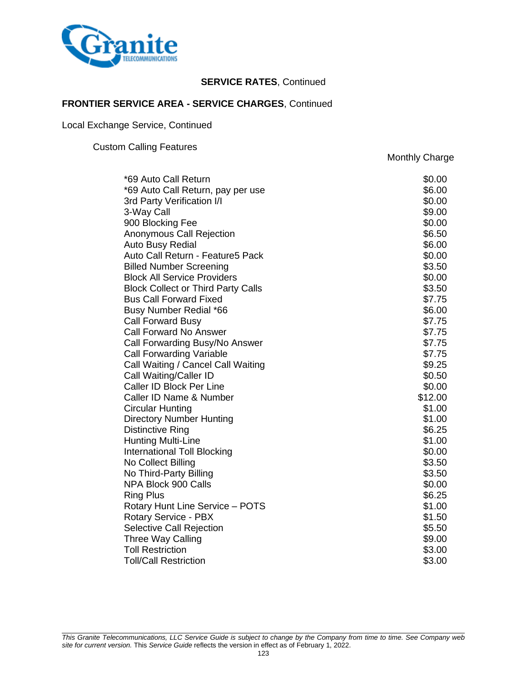

Monthly Charge

### **FRONTIER SERVICE AREA - SERVICE CHARGES**, Continued

Local Exchange Service, Continued

Custom Calling Features

\*69 Auto Call Return \$0.00 \*69 Auto Call Return, pay per use \$6.00 3rd Party Verification I/I  $$0.00$ 3-Way Call \$9.00 900 Blocking Fee  $$0.00$ Anonymous Call Rejection **\$6.50 \$6.50** Auto Busy Redial **\$6.00 6.000** Auto Call Return - Feature5 Pack \$0.00 Billed Number Screening **\$3.50** and \$3.50 Block All Service Providers \$0.00 Block Collect or Third Party Calls **\$3.50** \$3.50 Bus Call Forward Fixed  $$7.75$ Busy Number Redial \*66  $\overline{\phantom{0}}$  56.00 Call Forward Busy \$7.75 Call Forward No Answer  $\sim$  87.75 Call Forwarding Busy/No Answer  $$7.75$ Call Forwarding Variable  $$7.75$ Call Waiting / Cancel Call Waiting **\$9.25** Call Waiting/Caller ID \$0.50 Caller ID Block Per Line  $$0.00$ Caller ID Name & Number  $$12.00$ Circular Hunting \$1.00 Directory Number Hunting **\$1.00** Distinctive Ring **but a set of the set of the set of the set of the set of the set of the set of the set of the set of the set of the set of the set of the set of the set of the set of the set of the set of the set of the** Hunting Multi-Line  $$1.00$ International Toll Blocking **but a strategie of the strategie of the strategie of the strategie of the strategie of the strategie of the strategie of the strategie of the strategie of the strategie of the strategie of the** No Collect Billing \$3.50 No Third-Party Billing **\$3.50** NPA Block 900 Calls \$0.00 NPA Block 900 Calls \$0.00  $\sim$ Ring Plus **36.25** Rotary Hunt Line Service – POTS  $$1.00$ Rotary Service - PBX  $$1.50$ Selective Call Rejection  $$5.50$ Three Way Calling  $\sim$  89.00 Toll Restriction  $$3.00$ Toll/Call Restriction  $$3.00$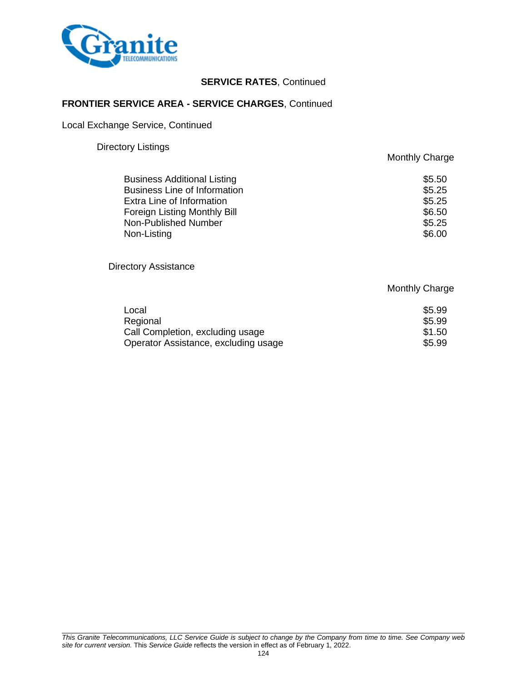

### **FRONTIER SERVICE AREA - SERVICE CHARGES**, Continued

Local Exchange Service, Continued

#### Directory Listings

|                                     | <b>Monthly Charge</b> |
|-------------------------------------|-----------------------|
| <b>Business Additional Listing</b>  | \$5.50                |
| <b>Business Line of Information</b> | \$5.25                |
| Extra Line of Information           | \$5.25                |
| Foreign Listing Monthly Bill        | \$6.50                |
| Non-Published Number                | \$5.25                |
| Non-Listing                         | \$6.00                |
|                                     |                       |

Directory Assistance

|                                      | <b>Monthly Charge</b> |
|--------------------------------------|-----------------------|
| Local                                | \$5.99                |
| Regional                             | \$5.99                |
| Call Completion, excluding usage     | \$1.50                |
| Operator Assistance, excluding usage | \$5.99                |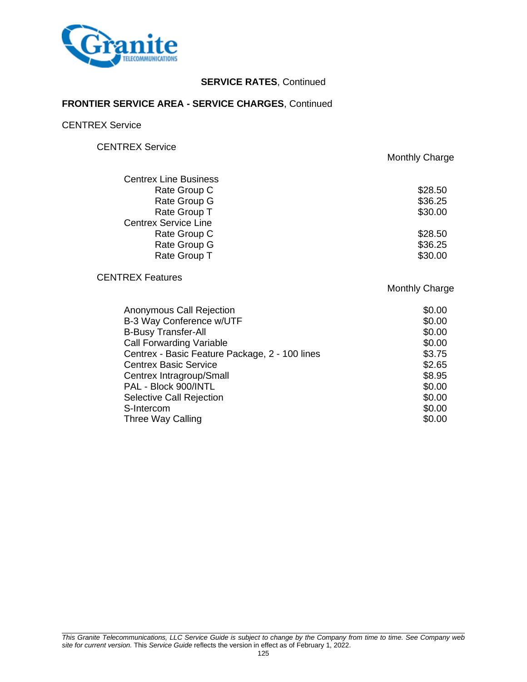

### **FRONTIER SERVICE AREA - SERVICE CHARGES**, Continued

CENTREX Service

CENTREX Service

Monthly Charge

| <b>Centrex Line Business</b> |         |
|------------------------------|---------|
| Rate Group C                 | \$28.50 |
| Rate Group G                 | \$36.25 |
| Rate Group T                 | \$30.00 |
| <b>Centrex Service Line</b>  |         |
| Rate Group C                 | \$28.50 |
| Rate Group G                 | \$36.25 |
| Rate Group T                 | \$30.00 |
|                              |         |

# CENTREX Features

| Anonymous Call Rejection                       | \$0.00 |
|------------------------------------------------|--------|
| B-3 Way Conference w/UTF                       | \$0.00 |
| <b>B-Busy Transfer-All</b>                     | \$0.00 |
| <b>Call Forwarding Variable</b>                | \$0.00 |
| Centrex - Basic Feature Package, 2 - 100 lines | \$3.75 |
| <b>Centrex Basic Service</b>                   | \$2.65 |
| Centrex Intragroup/Small                       | \$8.95 |
| PAL - Block 900/INTL                           | \$0.00 |
| Selective Call Rejection                       | \$0.00 |
| S-Intercom                                     | \$0.00 |
| Three Way Calling                              | \$0.00 |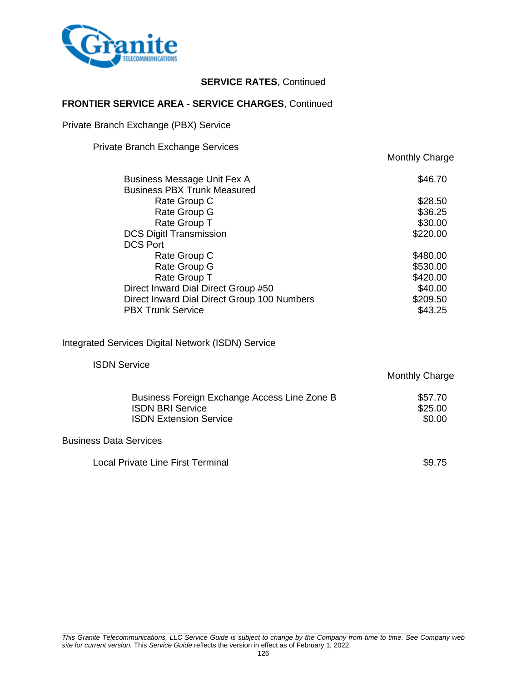

### **FRONTIER SERVICE AREA - SERVICE CHARGES**, Continued

Private Branch Exchange (PBX) Service

Private Branch Exchange Services

|                               |                                                                   | <b>Monthly Charge</b> |
|-------------------------------|-------------------------------------------------------------------|-----------------------|
|                               | Business Message Unit Fex A<br><b>Business PBX Trunk Measured</b> | \$46.70               |
|                               | Rate Group C                                                      | \$28.50               |
|                               | Rate Group G                                                      | \$36.25               |
|                               | Rate Group T                                                      | \$30.00               |
|                               | <b>DCS DigitI Transmission</b><br><b>DCS Port</b>                 | \$220.00              |
|                               | Rate Group C                                                      | \$480.00              |
|                               | Rate Group G                                                      | \$530.00              |
|                               | Rate Group T                                                      | \$420.00              |
|                               | Direct Inward Dial Direct Group #50                               | \$40.00               |
|                               | Direct Inward Dial Direct Group 100 Numbers                       | \$209.50              |
|                               | <b>PBX Trunk Service</b>                                          | \$43.25               |
|                               | Integrated Services Digital Network (ISDN) Service                |                       |
| <b>ISDN Service</b>           |                                                                   |                       |
|                               |                                                                   | <b>Monthly Charge</b> |
|                               | Business Foreign Exchange Access Line Zone B                      | \$57.70               |
|                               | <b>ISDN BRI Service</b>                                           | \$25.00               |
|                               | <b>ISDN Extension Service</b>                                     | \$0.00                |
| <b>Business Data Services</b> |                                                                   |                       |
|                               |                                                                   |                       |

Local Private Line First Terminal **\$9.75**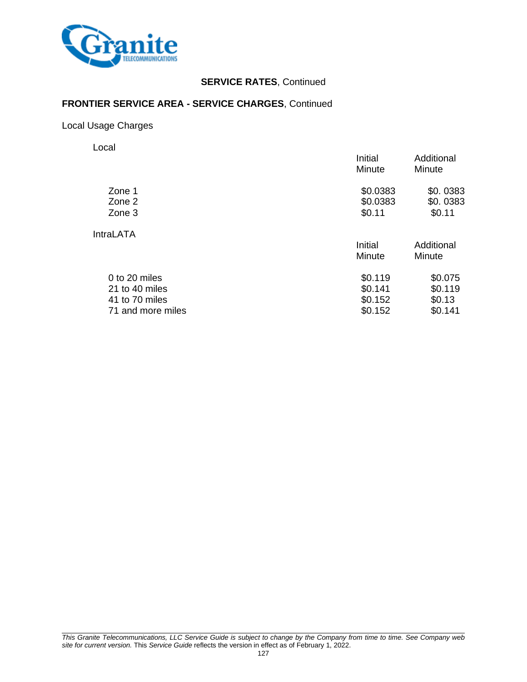

### **FRONTIER SERVICE AREA - SERVICE CHARGES**, Continued

Local Usage Charges

Local

|                   | Initial<br>Minute | Additional<br>Minute |
|-------------------|-------------------|----------------------|
| Zone 1            | \$0.0383          | \$0.0383             |
| Zone 2            | \$0.0383          | \$0.0383             |
| Zone 3            | \$0.11            | \$0.11               |
| <b>IntraLATA</b>  |                   |                      |
|                   | Initial           | Additional           |
|                   | Minute            | Minute               |
| 0 to 20 miles     | \$0.119           | \$0.075              |
| 21 to 40 miles    | \$0.141           | \$0.119              |
| 41 to 70 miles    | \$0.152           | \$0.13               |
| 71 and more miles | \$0.152           | \$0.141              |
|                   |                   |                      |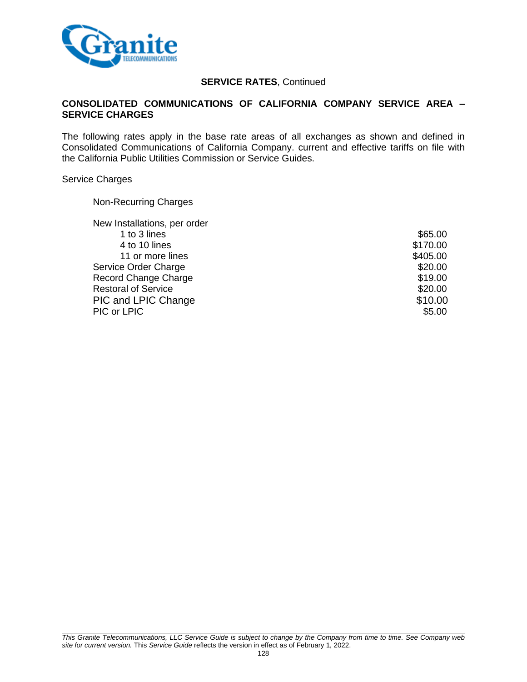

### **CONSOLIDATED COMMUNICATIONS OF CALIFORNIA COMPANY SERVICE AREA – SERVICE CHARGES**

The following rates apply in the base rate areas of all exchanges as shown and defined in Consolidated Communications of California Company. current and effective tariffs on file with the California Public Utilities Commission or Service Guides.

#### Service Charges

Non-Recurring Charges

| \$65.00  |
|----------|
| \$170.00 |
| \$405.00 |
| \$20.00  |
| \$19.00  |
| \$20.00  |
| \$10.00  |
| \$5.00   |
|          |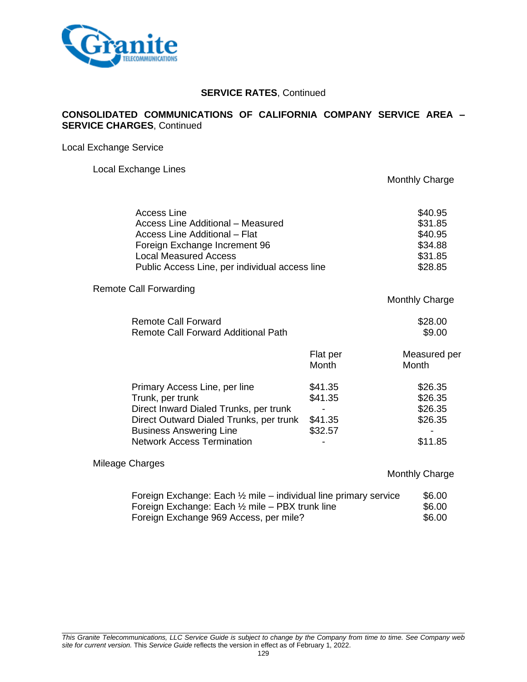

### **CONSOLIDATED COMMUNICATIONS OF CALIFORNIA COMPANY SERVICE AREA – SERVICE CHARGES**, Continued

Local Exchange Service

#### Local Exchange Lines

| Access Line<br>Access Line Additional - Measured<br>Access Line Additional - Flat<br>Foreign Exchange Increment 96<br><b>Local Measured Access</b><br>Public Access Line, per individual access line          |                                          | \$40.95<br>\$31.85<br>\$40.95<br>\$34.88<br>\$31.85<br>\$28.85 |
|---------------------------------------------------------------------------------------------------------------------------------------------------------------------------------------------------------------|------------------------------------------|----------------------------------------------------------------|
| <b>Remote Call Forwarding</b>                                                                                                                                                                                 |                                          | Monthly Charge                                                 |
| <b>Remote Call Forward</b><br><b>Remote Call Forward Additional Path</b>                                                                                                                                      |                                          | \$28.00<br>\$9.00                                              |
|                                                                                                                                                                                                               | Flat per<br>Month                        | Measured per<br>Month                                          |
| Primary Access Line, per line<br>Trunk, per trunk<br>Direct Inward Dialed Trunks, per trunk<br>Direct Outward Dialed Trunks, per trunk<br><b>Business Answering Line</b><br><b>Network Access Termination</b> | \$41.35<br>\$41.35<br>\$41.35<br>\$32.57 | \$26.35<br>\$26.35<br>\$26.35<br>\$26.35<br>\$11.85            |
| Mileage Charges                                                                                                                                                                                               |                                          | <b>Monthly Charge</b>                                          |

| Foreign Exchange: Each $\frac{1}{2}$ mile – individual line primary service | \$6.00 |
|-----------------------------------------------------------------------------|--------|
| Foreign Exchange: Each $\frac{1}{2}$ mile – PBX trunk line                  | \$6.00 |
| Foreign Exchange 969 Access, per mile?                                      | \$6.00 |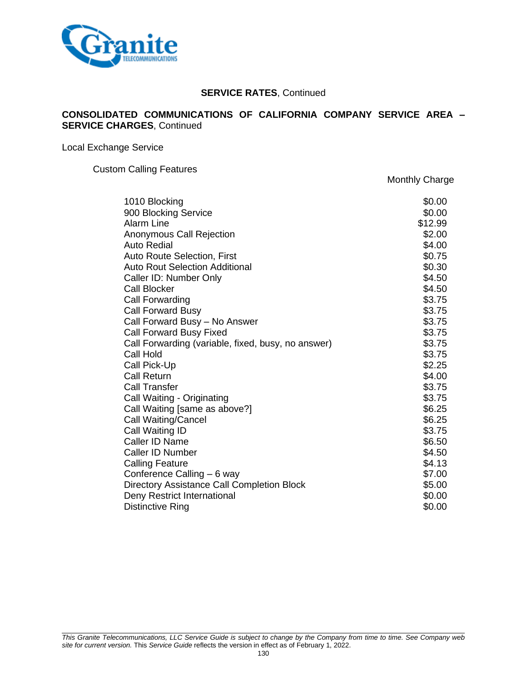

#### **CONSOLIDATED COMMUNICATIONS OF CALIFORNIA COMPANY SERVICE AREA – SERVICE CHARGES**, Continued

Local Exchange Service

Custom Calling Features

1010 Blocking \$0.00 900 Blocking Service \$0.00 Alarm Line \$12.99 Anonymous Call Rejection  $$2.00$ Auto Redial **6.000 and 7.000 and 7.000 and 7.000 and 7.000 and 7.000 and 7.000 and 7.000 and 7.000 and 7.000 and 7.000 and 7.000 and 7.000 and 7.000 and 7.000 and 7.000 and 7.000 and 7.000 and 7.000 and 7.000 and 7.000 and** Auto Route Selection, First  $$0.75$ Auto Rout Selection Additional  $\sim$  80.30 Caller ID: Number Only **\$4.50** Call Blocker  $$4.50$ Call Forwarding \$3.75 Call Forward Busy **63.75** Call Forward Busy – No Answer **\$3.75** Call Forward Busy Fixed **\$3.75** Call Forwarding (variable, fixed, busy, no answer) \$3.75 Call Hold **\$3.75** Call Pick-Up \$2.25 Call Return \$4.00 Call Transfer \$3.75 Call Waiting - Originating **\$3.75** Call Waiting [same as above?] \$6.25 Call Waiting/Cancel **\$6.25** Call Waiting ID \$3.75 Caller ID Name \$6.50 Caller ID Number \$4.50 Calling Feature  $$4.13$ Conference Calling – 6 way \$7.00 Directory Assistance Call Completion Block \$5.00 **Deny Restrict International 10.000 \$0.000 \$0.00 \$0.00** Distinctive Ring \$0.00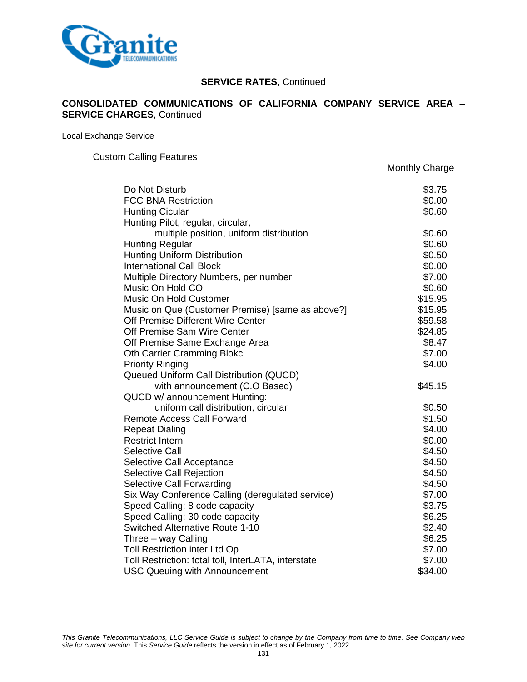

### **CONSOLIDATED COMMUNICATIONS OF CALIFORNIA COMPANY SERVICE AREA – SERVICE CHARGES**, Continued

Local Exchange Service

Custom Calling Features

| Do Not Disturb                                      | \$3.75  |
|-----------------------------------------------------|---------|
| <b>FCC BNA Restriction</b>                          | \$0.00  |
| <b>Hunting Cicular</b>                              | \$0.60  |
| Hunting Pilot, regular, circular,                   |         |
| multiple position, uniform distribution             | \$0.60  |
| <b>Hunting Regular</b>                              | \$0.60  |
| <b>Hunting Uniform Distribution</b>                 | \$0.50  |
| <b>International Call Block</b>                     | \$0.00  |
| Multiple Directory Numbers, per number              | \$7.00  |
| Music On Hold CO                                    | \$0.60  |
| Music On Hold Customer                              | \$15.95 |
| Music on Que (Customer Premise) [same as above?]    | \$15.95 |
| Off Premise Different Wire Center                   | \$59.58 |
| Off Premise Sam Wire Center                         | \$24.85 |
| Off Premise Same Exchange Area                      | \$8.47  |
| <b>Oth Carrier Cramming Blokc</b>                   | \$7.00  |
| <b>Priority Ringing</b>                             | \$4.00  |
| Queued Uniform Call Distribution (QUCD)             |         |
| with announcement (C.O Based)                       | \$45.15 |
| QUCD w/ announcement Hunting:                       |         |
| uniform call distribution, circular                 | \$0.50  |
| <b>Remote Access Call Forward</b>                   | \$1.50  |
| <b>Repeat Dialing</b>                               | \$4.00  |
| <b>Restrict Intern</b>                              | \$0.00  |
| <b>Selective Call</b>                               | \$4.50  |
| Selective Call Acceptance                           | \$4.50  |
| Selective Call Rejection                            | \$4.50  |
| Selective Call Forwarding                           | \$4.50  |
| Six Way Conference Calling (deregulated service)    | \$7.00  |
| Speed Calling: 8 code capacity                      | \$3.75  |
| Speed Calling: 30 code capacity                     | \$6.25  |
| <b>Switched Alternative Route 1-10</b>              | \$2.40  |
| Three - way Calling                                 | \$6.25  |
| Toll Restriction inter Ltd Op                       | \$7.00  |
| Toll Restriction: total toll, InterLATA, interstate | \$7.00  |
| <b>USC Queuing with Announcement</b>                | \$34.00 |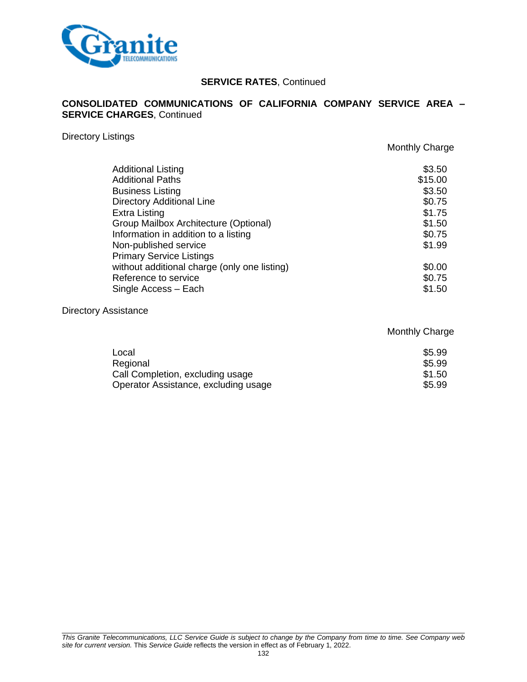

### **CONSOLIDATED COMMUNICATIONS OF CALIFORNIA COMPANY SERVICE AREA – SERVICE CHARGES**, Continued

#### Directory Listings

Monthly Charge

Monthly Charge

| <b>Additional Listing</b><br><b>Additional Paths</b><br><b>Business Listing</b> | \$3.50<br>\$15.00<br>\$3.50 |
|---------------------------------------------------------------------------------|-----------------------------|
| <b>Directory Additional Line</b>                                                | \$0.75                      |
| <b>Extra Listing</b>                                                            | \$1.75                      |
| Group Mailbox Architecture (Optional)                                           | \$1.50                      |
| Information in addition to a listing                                            | \$0.75                      |
| Non-published service                                                           | \$1.99                      |
| <b>Primary Service Listings</b>                                                 |                             |
| without additional charge (only one listing)                                    | \$0.00                      |
| Reference to service                                                            | \$0.75                      |
| Single Access - Each                                                            | \$1.50                      |
|                                                                                 |                             |

#### Directory Assistance

# $\sim$   $\sim$  5.99 Regional \$5.99 Call Completion, excluding usage  $$1.50$ Operator Assistance, excluding usage \$5.99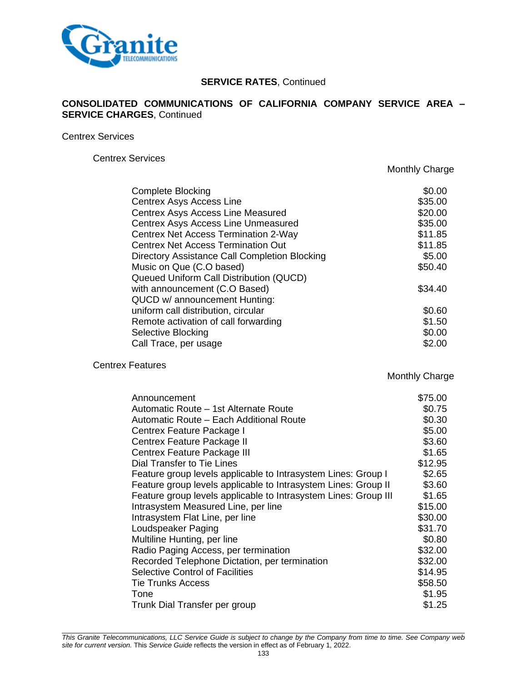

### **CONSOLIDATED COMMUNICATIONS OF CALIFORNIA COMPANY SERVICE AREA – SERVICE CHARGES**, Continued

Centrex Services

Centrex Services

Monthly Charge

| <b>Complete Blocking</b>                      | \$0.00  |
|-----------------------------------------------|---------|
| <b>Centrex Asys Access Line</b>               | \$35.00 |
| Centrex Asys Access Line Measured             | \$20.00 |
| Centrex Asys Access Line Unmeasured           | \$35.00 |
| Centrex Net Access Termination 2-Way          | \$11.85 |
| <b>Centrex Net Access Termination Out</b>     | \$11.85 |
| Directory Assistance Call Completion Blocking | \$5.00  |
| Music on Que (C.O based)                      | \$50.40 |
| Queued Uniform Call Distribution (QUCD)       |         |
| with announcement (C.O Based)                 | \$34.40 |
| QUCD w/ announcement Hunting:                 |         |
| uniform call distribution, circular           | \$0.60  |
| Remote activation of call forwarding          | \$1.50  |
| Selective Blocking                            | \$0.00  |
| Call Trace, per usage                         | \$2.00  |

Centrex Features

Monthly Charge

| Announcement                                                    | \$75.00 |
|-----------------------------------------------------------------|---------|
| Automatic Route – 1st Alternate Route                           | \$0.75  |
| Automatic Route - Each Additional Route                         | \$0.30  |
| Centrex Feature Package I                                       | \$5.00  |
| Centrex Feature Package II                                      | \$3.60  |
| Centrex Feature Package III                                     | \$1.65  |
| Dial Transfer to Tie Lines                                      | \$12.95 |
| Feature group levels applicable to Intrasystem Lines: Group I   | \$2.65  |
| Feature group levels applicable to Intrasystem Lines: Group II  | \$3.60  |
| Feature group levels applicable to Intrasystem Lines: Group III | \$1.65  |
| Intrasystem Measured Line, per line                             | \$15.00 |
| Intrasystem Flat Line, per line                                 | \$30.00 |
| Loudspeaker Paging                                              | \$31.70 |
| Multiline Hunting, per line                                     | \$0.80  |
| Radio Paging Access, per termination                            | \$32.00 |
| Recorded Telephone Dictation, per termination                   | \$32.00 |
| <b>Selective Control of Facilities</b>                          | \$14.95 |
| <b>Tie Trunks Access</b>                                        | \$58.50 |
| Tone                                                            | \$1.95  |
| Trunk Dial Transfer per group                                   | \$1.25  |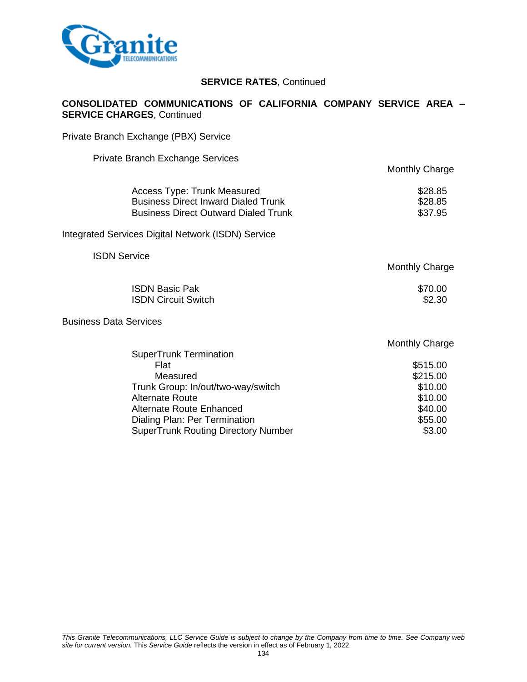

### **CONSOLIDATED COMMUNICATIONS OF CALIFORNIA COMPANY SERVICE AREA – SERVICE CHARGES**, Continued

Private Branch Exchange (PBX) Service

Private Branch Exchange Services

| <b>Monthly Charge</b> |
|-----------------------|
| \$28.85               |
| \$28.85               |
| \$37.95               |
|                       |

Integrated Services Digital Network (ISDN) Service

ISDN Service

Monthly Charge

| <b>ISDN Basic Pak</b>      | \$70.00 |
|----------------------------|---------|
| <b>ISDN Circuit Switch</b> | \$2.30  |

Business Data Services

|                                            | <b>Monthly Charge</b> |
|--------------------------------------------|-----------------------|
| <b>SuperTrunk Termination</b>              |                       |
| Flat                                       | \$515.00              |
| Measured                                   | \$215.00              |
| Trunk Group: In/out/two-way/switch         | \$10.00               |
| <b>Alternate Route</b>                     | \$10.00               |
| Alternate Route Enhanced                   | \$40.00               |
| Dialing Plan: Per Termination              | \$55.00               |
| <b>SuperTrunk Routing Directory Number</b> | \$3.00                |
|                                            |                       |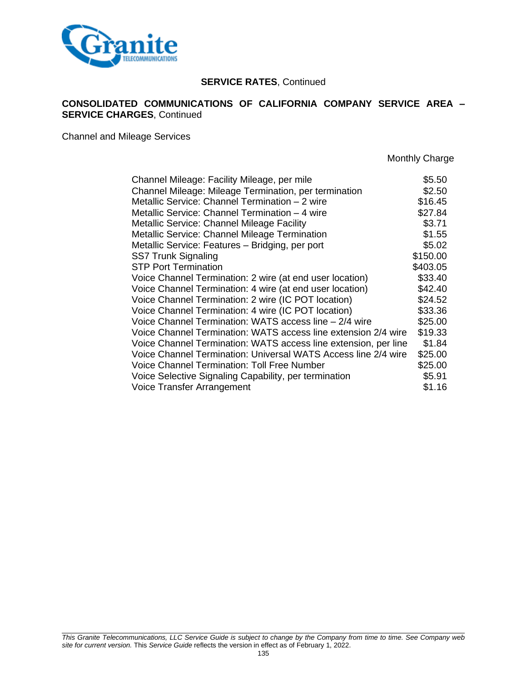

### **CONSOLIDATED COMMUNICATIONS OF CALIFORNIA COMPANY SERVICE AREA – SERVICE CHARGES**, Continued

Channel and Mileage Services

| Channel Mileage: Facility Mileage, per mile                     | \$5.50   |
|-----------------------------------------------------------------|----------|
| Channel Mileage: Mileage Termination, per termination           | \$2.50   |
| Metallic Service: Channel Termination - 2 wire                  | \$16.45  |
| Metallic Service: Channel Termination - 4 wire                  | \$27.84  |
| Metallic Service: Channel Mileage Facility                      | \$3.71   |
| <b>Metallic Service: Channel Mileage Termination</b>            | \$1.55   |
| Metallic Service: Features - Bridging, per port                 | \$5.02   |
| <b>SS7 Trunk Signaling</b>                                      | \$150.00 |
| <b>STP Port Termination</b>                                     | \$403.05 |
| Voice Channel Termination: 2 wire (at end user location)        | \$33.40  |
| Voice Channel Termination: 4 wire (at end user location)        | \$42.40  |
| Voice Channel Termination: 2 wire (IC POT location)             | \$24.52  |
| Voice Channel Termination: 4 wire (IC POT location)             | \$33.36  |
| Voice Channel Termination: WATS access line - 2/4 wire          | \$25.00  |
| Voice Channel Termination: WATS access line extension 2/4 wire  | \$19.33  |
| Voice Channel Termination: WATS access line extension, per line | \$1.84   |
| Voice Channel Termination: Universal WATS Access line 2/4 wire  | \$25.00  |
| <b>Voice Channel Termination: Toll Free Number</b>              | \$25.00  |
| Voice Selective Signaling Capability, per termination           | \$5.91   |
| Voice Transfer Arrangement                                      | \$1.16   |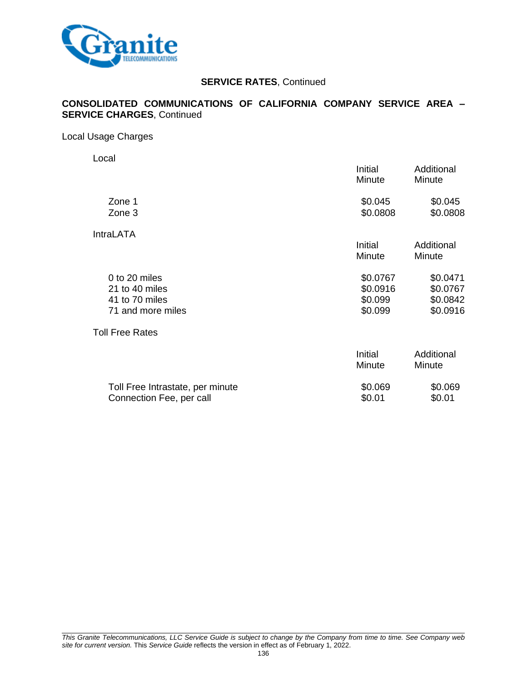

### **CONSOLIDATED COMMUNICATIONS OF CALIFORNIA COMPANY SERVICE AREA – SERVICE CHARGES**, Continued

#### Local Usage Charges

Local

|                                                                        | Initial<br>Minute                          | Additional<br>Minute                         |
|------------------------------------------------------------------------|--------------------------------------------|----------------------------------------------|
| Zone 1<br>Zone 3                                                       | \$0.045<br>\$0.0808                        | \$0.045<br>\$0.0808                          |
| <b>IntraLATA</b>                                                       | Initial<br>Minute                          | Additional<br>Minute                         |
| 0 to 20 miles<br>21 to 40 miles<br>41 to 70 miles<br>71 and more miles | \$0.0767<br>\$0.0916<br>\$0.099<br>\$0.099 | \$0.0471<br>\$0.0767<br>\$0.0842<br>\$0.0916 |
| <b>Toll Free Rates</b>                                                 |                                            |                                              |
|                                                                        | Initial<br>Minute                          | Additional<br>Minute                         |
| Toll Free Intrastate, per minute                                       | \$0.069                                    | \$0.069                                      |

Connection Fee, per call  $$0.01$  \$0.01 \$0.01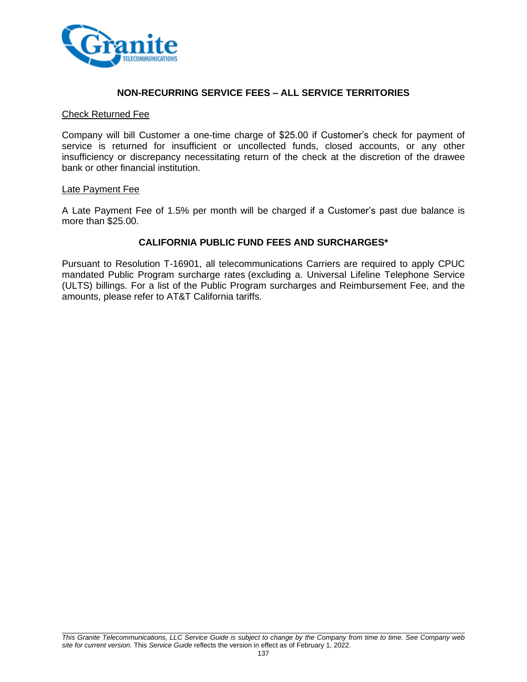

### **NON-RECURRING SERVICE FEES – ALL SERVICE TERRITORIES**

#### Check Returned Fee

Company will bill Customer a one-time charge of \$25.00 if Customer's check for payment of service is returned for insufficient or uncollected funds, closed accounts, or any other insufficiency or discrepancy necessitating return of the check at the discretion of the drawee bank or other financial institution.

#### Late Payment Fee

A Late Payment Fee of 1.5% per month will be charged if a Customer's past due balance is more than \$25.00.

### **CALIFORNIA PUBLIC FUND FEES AND SURCHARGES\***

Pursuant to Resolution T-16901, all telecommunications Carriers are required to apply CPUC mandated Public Program surcharge rates (excluding a. Universal Lifeline Telephone Service (ULTS) billings. For a list of the Public Program surcharges and Reimbursement Fee, and the amounts, please refer to AT&T California tariffs.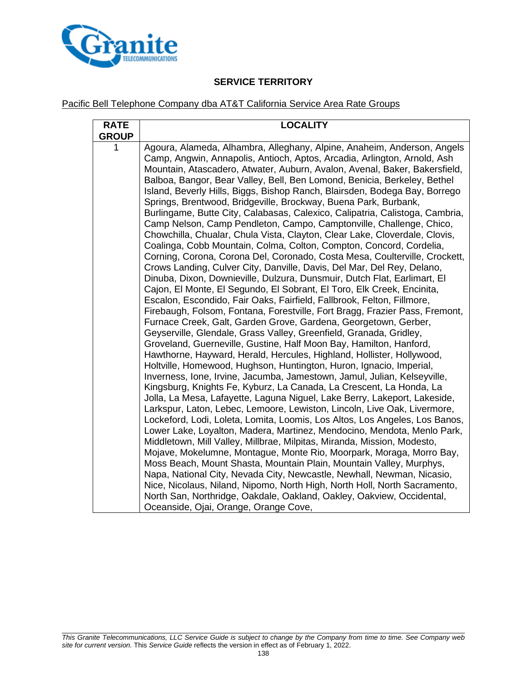

# **SERVICE TERRITORY**

### Pacific Bell Telephone Company dba AT&T California Service Area Rate Groups

| <b>RATE</b><br><b>GROUP</b> | <b>LOCALITY</b>                                                                                                                                                                                                                                                                                                                                                                                                                                                                                                                                                                                                                                                                                                                                                                                                                                                                                                                                                                                                                                                                                                                                                                                                                                                                                                                                                                                                                                                                                                                                                                                                                                                                                                                                                                                                                                                                                                                                                                                                                                                                                                                                                                                                                                                                                                                                                                                                                                                                                                                                  |  |  |
|-----------------------------|--------------------------------------------------------------------------------------------------------------------------------------------------------------------------------------------------------------------------------------------------------------------------------------------------------------------------------------------------------------------------------------------------------------------------------------------------------------------------------------------------------------------------------------------------------------------------------------------------------------------------------------------------------------------------------------------------------------------------------------------------------------------------------------------------------------------------------------------------------------------------------------------------------------------------------------------------------------------------------------------------------------------------------------------------------------------------------------------------------------------------------------------------------------------------------------------------------------------------------------------------------------------------------------------------------------------------------------------------------------------------------------------------------------------------------------------------------------------------------------------------------------------------------------------------------------------------------------------------------------------------------------------------------------------------------------------------------------------------------------------------------------------------------------------------------------------------------------------------------------------------------------------------------------------------------------------------------------------------------------------------------------------------------------------------------------------------------------------------------------------------------------------------------------------------------------------------------------------------------------------------------------------------------------------------------------------------------------------------------------------------------------------------------------------------------------------------------------------------------------------------------------------------------------------------|--|--|
| 1                           | Agoura, Alameda, Alhambra, Alleghany, Alpine, Anaheim, Anderson, Angels<br>Camp, Angwin, Annapolis, Antioch, Aptos, Arcadia, Arlington, Arnold, Ash<br>Mountain, Atascadero, Atwater, Auburn, Avalon, Avenal, Baker, Bakersfield,<br>Balboa, Bangor, Bear Valley, Bell, Ben Lomond, Benicia, Berkeley, Bethel<br>Island, Beverly Hills, Biggs, Bishop Ranch, Blairsden, Bodega Bay, Borrego<br>Springs, Brentwood, Bridgeville, Brockway, Buena Park, Burbank,<br>Burlingame, Butte City, Calabasas, Calexico, Calipatria, Calistoga, Cambria,<br>Camp Nelson, Camp Pendleton, Campo, Camptonville, Challenge, Chico,<br>Chowchilla, Chualar, Chula Vista, Clayton, Clear Lake, Cloverdale, Clovis,<br>Coalinga, Cobb Mountain, Colma, Colton, Compton, Concord, Cordelia,<br>Corning, Corona, Corona Del, Coronado, Costa Mesa, Coulterville, Crockett,<br>Crows Landing, Culver City, Danville, Davis, Del Mar, Del Rey, Delano,<br>Dinuba, Dixon, Downieville, Dulzura, Dunsmuir, Dutch Flat, Earlimart, El<br>Cajon, El Monte, El Segundo, El Sobrant, El Toro, Elk Creek, Encinita,<br>Escalon, Escondido, Fair Oaks, Fairfield, Fallbrook, Felton, Fillmore,<br>Firebaugh, Folsom, Fontana, Forestville, Fort Bragg, Frazier Pass, Fremont,<br>Furnace Creek, Galt, Garden Grove, Gardena, Georgetown, Gerber,<br>Geyserville, Glendale, Grass Valley, Greenfield, Granada, Gridley,<br>Groveland, Guerneville, Gustine, Half Moon Bay, Hamilton, Hanford,<br>Hawthorne, Hayward, Herald, Hercules, Highland, Hollister, Hollywood,<br>Holtville, Homewood, Hughson, Huntington, Huron, Ignacio, Imperial,<br>Inverness, Ione, Irvine, Jacumba, Jamestown, Jamul, Julian, Kelseyville,<br>Kingsburg, Knights Fe, Kyburz, La Canada, La Crescent, La Honda, La<br>Jolla, La Mesa, Lafayette, Laguna Niguel, Lake Berry, Lakeport, Lakeside,<br>Larkspur, Laton, Lebec, Lemoore, Lewiston, Lincoln, Live Oak, Livermore,<br>Lockeford, Lodi, Loleta, Lomita, Loomis, Los Altos, Los Angeles, Los Banos,<br>Lower Lake, Loyalton, Madera, Martinez, Mendocino, Mendota, Menlo Park,<br>Middletown, Mill Valley, Millbrae, Milpitas, Miranda, Mission, Modesto,<br>Mojave, Mokelumne, Montague, Monte Rio, Moorpark, Moraga, Morro Bay,<br>Moss Beach, Mount Shasta, Mountain Plain, Mountain Valley, Murphys,<br>Napa, National City, Nevada City, Newcastle, Newhall, Newman, Nicasio,<br>Nice, Nicolaus, Niland, Nipomo, North High, North Holl, North Sacramento,<br>North San, Northridge, Oakdale, Oakland, Oakley, Oakview, Occidental, |  |  |
|                             | Oceanside, Ojai, Orange, Orange Cove,                                                                                                                                                                                                                                                                                                                                                                                                                                                                                                                                                                                                                                                                                                                                                                                                                                                                                                                                                                                                                                                                                                                                                                                                                                                                                                                                                                                                                                                                                                                                                                                                                                                                                                                                                                                                                                                                                                                                                                                                                                                                                                                                                                                                                                                                                                                                                                                                                                                                                                            |  |  |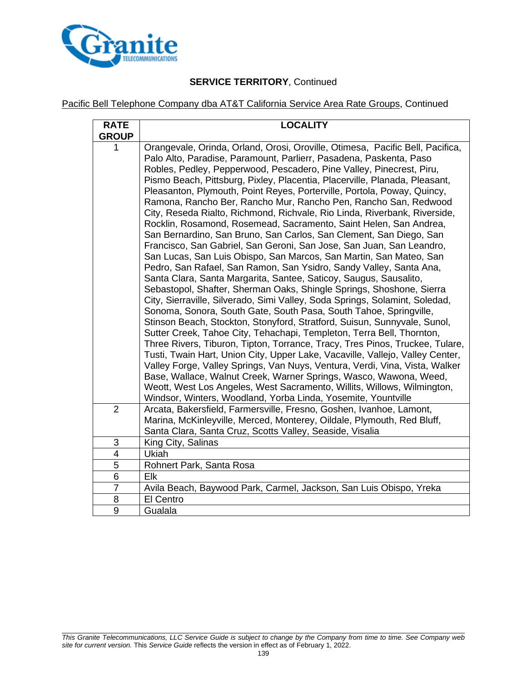

# **SERVICE TERRITORY**, Continued

## Pacific Bell Telephone Company dba AT&T California Service Area Rate Groups, Continued

| <b>RATE</b><br><b>GROUP</b> | <b>LOCALITY</b>                                                                                                                                                                                                                                                                                                                                                                                                                                                                                                                                                                                                                                                                                                                                                                                                                                                                                                                                                                                                                                                                                                                                                                                                                                                                                                                                                                                                                                                                                                                                                                                                                                                                                                                                                                                                            |  |  |
|-----------------------------|----------------------------------------------------------------------------------------------------------------------------------------------------------------------------------------------------------------------------------------------------------------------------------------------------------------------------------------------------------------------------------------------------------------------------------------------------------------------------------------------------------------------------------------------------------------------------------------------------------------------------------------------------------------------------------------------------------------------------------------------------------------------------------------------------------------------------------------------------------------------------------------------------------------------------------------------------------------------------------------------------------------------------------------------------------------------------------------------------------------------------------------------------------------------------------------------------------------------------------------------------------------------------------------------------------------------------------------------------------------------------------------------------------------------------------------------------------------------------------------------------------------------------------------------------------------------------------------------------------------------------------------------------------------------------------------------------------------------------------------------------------------------------------------------------------------------------|--|--|
| 1                           | Orangevale, Orinda, Orland, Orosi, Oroville, Otimesa, Pacific Bell, Pacifica,<br>Palo Alto, Paradise, Paramount, Parlierr, Pasadena, Paskenta, Paso<br>Robles, Pedley, Pepperwood, Pescadero, Pine Valley, Pinecrest, Piru,<br>Pismo Beach, Pittsburg, Pixley, Placentia, Placerville, Planada, Pleasant,<br>Pleasanton, Plymouth, Point Reyes, Porterville, Portola, Poway, Quincy,<br>Ramona, Rancho Ber, Rancho Mur, Rancho Pen, Rancho San, Redwood<br>City, Reseda Rialto, Richmond, Richvale, Rio Linda, Riverbank, Riverside,<br>Rocklin, Rosamond, Rosemead, Sacramento, Saint Helen, San Andrea,<br>San Bernardino, San Bruno, San Carlos, San Clement, San Diego, San<br>Francisco, San Gabriel, San Geroni, San Jose, San Juan, San Leandro,<br>San Lucas, San Luis Obispo, San Marcos, San Martin, San Mateo, San<br>Pedro, San Rafael, San Ramon, San Ysidro, Sandy Valley, Santa Ana,<br>Santa Clara, Santa Margarita, Santee, Saticoy, Saugus, Sausalito,<br>Sebastopol, Shafter, Sherman Oaks, Shingle Springs, Shoshone, Sierra<br>City, Sierraville, Silverado, Simi Valley, Soda Springs, Solamint, Soledad,<br>Sonoma, Sonora, South Gate, South Pasa, South Tahoe, Springville,<br>Stinson Beach, Stockton, Stonyford, Stratford, Suisun, Sunnyvale, Sunol,<br>Sutter Creek, Tahoe City, Tehachapi, Templeton, Terra Bell, Thornton,<br>Three Rivers, Tiburon, Tipton, Torrance, Tracy, Tres Pinos, Truckee, Tulare,<br>Tusti, Twain Hart, Union City, Upper Lake, Vacaville, Vallejo, Valley Center,<br>Valley Forge, Valley Springs, Van Nuys, Ventura, Verdi, Vina, Vista, Walker<br>Base, Wallace, Walnut Creek, Warner Springs, Wasco, Wawona, Weed,<br>Weott, West Los Angeles, West Sacramento, Willits, Willows, Wilmington,<br>Windsor, Winters, Woodland, Yorba Linda, Yosemite, Yountville |  |  |
| $\overline{2}$              | Arcata, Bakersfield, Farmersville, Fresno, Goshen, Ivanhoe, Lamont,<br>Marina, McKinleyville, Merced, Monterey, Oildale, Plymouth, Red Bluff,<br>Santa Clara, Santa Cruz, Scotts Valley, Seaside, Visalia                                                                                                                                                                                                                                                                                                                                                                                                                                                                                                                                                                                                                                                                                                                                                                                                                                                                                                                                                                                                                                                                                                                                                                                                                                                                                                                                                                                                                                                                                                                                                                                                                  |  |  |
| 3                           | King City, Salinas                                                                                                                                                                                                                                                                                                                                                                                                                                                                                                                                                                                                                                                                                                                                                                                                                                                                                                                                                                                                                                                                                                                                                                                                                                                                                                                                                                                                                                                                                                                                                                                                                                                                                                                                                                                                         |  |  |
| $\overline{4}$              | Ukiah                                                                                                                                                                                                                                                                                                                                                                                                                                                                                                                                                                                                                                                                                                                                                                                                                                                                                                                                                                                                                                                                                                                                                                                                                                                                                                                                                                                                                                                                                                                                                                                                                                                                                                                                                                                                                      |  |  |
| 5                           | Rohnert Park, Santa Rosa                                                                                                                                                                                                                                                                                                                                                                                                                                                                                                                                                                                                                                                                                                                                                                                                                                                                                                                                                                                                                                                                                                                                                                                                                                                                                                                                                                                                                                                                                                                                                                                                                                                                                                                                                                                                   |  |  |
| 6                           | Elk                                                                                                                                                                                                                                                                                                                                                                                                                                                                                                                                                                                                                                                                                                                                                                                                                                                                                                                                                                                                                                                                                                                                                                                                                                                                                                                                                                                                                                                                                                                                                                                                                                                                                                                                                                                                                        |  |  |
| $\overline{7}$              | Avila Beach, Baywood Park, Carmel, Jackson, San Luis Obispo, Yreka                                                                                                                                                                                                                                                                                                                                                                                                                                                                                                                                                                                                                                                                                                                                                                                                                                                                                                                                                                                                                                                                                                                                                                                                                                                                                                                                                                                                                                                                                                                                                                                                                                                                                                                                                         |  |  |
| 8                           | El Centro                                                                                                                                                                                                                                                                                                                                                                                                                                                                                                                                                                                                                                                                                                                                                                                                                                                                                                                                                                                                                                                                                                                                                                                                                                                                                                                                                                                                                                                                                                                                                                                                                                                                                                                                                                                                                  |  |  |
| 9                           | Gualala                                                                                                                                                                                                                                                                                                                                                                                                                                                                                                                                                                                                                                                                                                                                                                                                                                                                                                                                                                                                                                                                                                                                                                                                                                                                                                                                                                                                                                                                                                                                                                                                                                                                                                                                                                                                                    |  |  |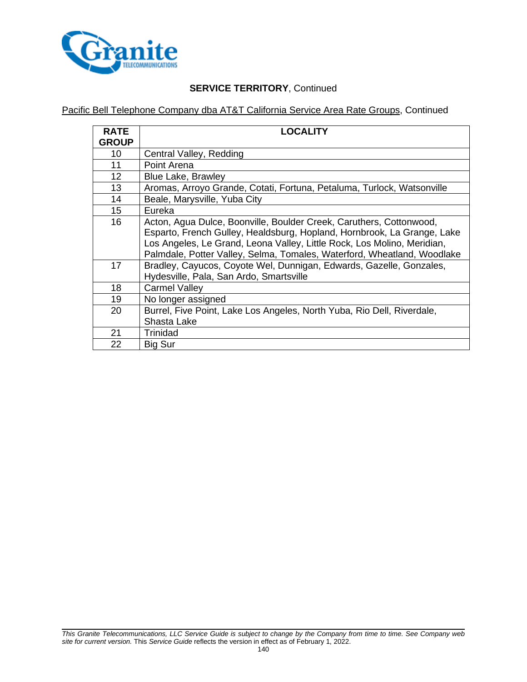

# **SERVICE TERRITORY**, Continued

Pacific Bell Telephone Company dba AT&T California Service Area Rate Groups, Continued

| <b>RATE</b><br><b>GROUP</b> | <b>LOCALITY</b>                                                                                                                                                                                                                                                                                      |  |  |
|-----------------------------|------------------------------------------------------------------------------------------------------------------------------------------------------------------------------------------------------------------------------------------------------------------------------------------------------|--|--|
| 10                          | Central Valley, Redding                                                                                                                                                                                                                                                                              |  |  |
| 11                          | Point Arena                                                                                                                                                                                                                                                                                          |  |  |
| 12                          | <b>Blue Lake, Brawley</b>                                                                                                                                                                                                                                                                            |  |  |
| 13                          | Aromas, Arroyo Grande, Cotati, Fortuna, Petaluma, Turlock, Watsonville                                                                                                                                                                                                                               |  |  |
| 14                          | Beale, Marysville, Yuba City                                                                                                                                                                                                                                                                         |  |  |
| 15                          | Eureka                                                                                                                                                                                                                                                                                               |  |  |
| 16                          | Acton, Agua Dulce, Boonville, Boulder Creek, Caruthers, Cottonwood,<br>Esparto, French Gulley, Healdsburg, Hopland, Hornbrook, La Grange, Lake<br>Los Angeles, Le Grand, Leona Valley, Little Rock, Los Molino, Meridian,<br>Palmdale, Potter Valley, Selma, Tomales, Waterford, Wheatland, Woodlake |  |  |
| 17                          | Bradley, Cayucos, Coyote Wel, Dunnigan, Edwards, Gazelle, Gonzales,<br>Hydesville, Pala, San Ardo, Smartsville                                                                                                                                                                                       |  |  |
| 18                          | <b>Carmel Valley</b>                                                                                                                                                                                                                                                                                 |  |  |
| 19                          | No longer assigned                                                                                                                                                                                                                                                                                   |  |  |
| 20                          | Burrel, Five Point, Lake Los Angeles, North Yuba, Rio Dell, Riverdale,<br>Shasta Lake                                                                                                                                                                                                                |  |  |
| 21                          | Trinidad                                                                                                                                                                                                                                                                                             |  |  |
| 22                          | <b>Big Sur</b>                                                                                                                                                                                                                                                                                       |  |  |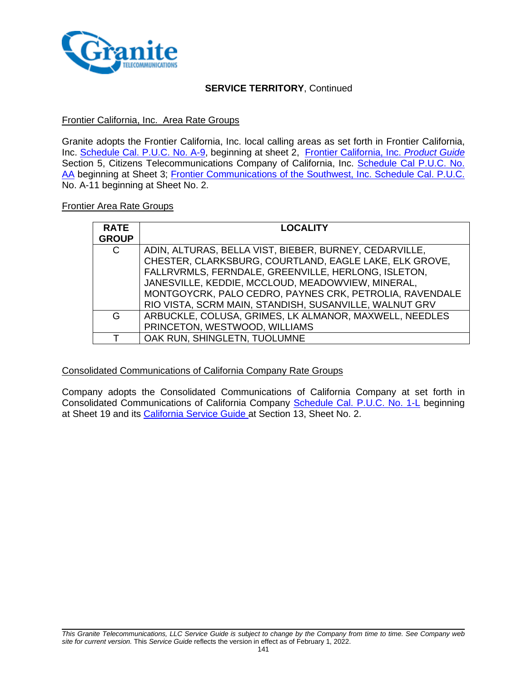

### **SERVICE TERRITORY**, Continued

### Frontier California, Inc. Area Rate Groups

Granite adopts the Frontier California, Inc. local calling areas as set forth in Frontier California, Inc. [Schedule Cal. P.U.C.](http://carrier.frontiercorp.com/crtf/tariffs/u/288/CA/local/FTR_Local_Tariff.pdf) No. A-9, beginning at sheet 2, [Frontier California, Inc.](http://carrier.frontiercorp.com/crtf/tariffs/u/288/CA/local/Product_Guide.pdf) *Product Guide* Section 5, Citizens Telecommunications Company of California, Inc. Schedule Cal P.U.C. No. [AA](http://carrier.frontiercorp.com/crtf/tariffs/u/38/CA/local/Tariff.pdf) beginning at Sheet 3; [Frontier Communications of the Southwest, Inc.](http://carrier.frontiercorp.com/crtf/tariffs/u/250/CA/local/Local_Tariff.pdf) Schedule Cal. P.U.C. No. A-11 beginning at Sheet No. 2.

#### Frontier Area Rate Groups

| <b>RATE</b><br><b>GROUP</b> | <b>LOCALITY</b>                                         |
|-----------------------------|---------------------------------------------------------|
| C                           | ADIN, ALTURAS, BELLA VIST, BIEBER, BURNEY, CEDARVILLE,  |
|                             | CHESTER, CLARKSBURG, COURTLAND, EAGLE LAKE, ELK GROVE,  |
|                             | FALLRVRMLS, FERNDALE, GREENVILLE, HERLONG, ISLETON,     |
|                             | JANESVILLE, KEDDIE, MCCLOUD, MEADOWVIEW, MINERAL,       |
|                             | MONTGOYCRK, PALO CEDRO, PAYNES CRK, PETROLIA, RAVENDALE |
|                             | RIO VISTA, SCRM MAIN, STANDISH, SUSANVILLE, WALNUT GRV  |
| G                           | ARBUCKLE, COLUSA, GRIMES, LK ALMANOR, MAXWELL, NEEDLES  |
|                             | PRINCETON, WESTWOOD, WILLIAMS                           |
|                             | OAK RUN, SHINGLETN, TUOLUMNE                            |

#### Consolidated Communications of California Company Rate Groups

Company adopts the Consolidated Communications of California Company at set forth in Consolidated Communications of California Company [Schedule Cal. P.U.C. No. 1-L](https://www.consolidated.com/Portals/0/Support/Service%20Terms%20%26%20Policies/Tariffs%20%26%20Service%20Catalogs/California/CCCA%20ILEC/Effective%20Tariffs/CCCA-1L-010117.pdf) beginning at Sheet 19 and its [California Service Guide](https://www.consolidated.com/Portals/0/Support/Service%20Terms%20%26%20Policies/Tariffs%20%26%20Service%20Catalogs/California/CCCA%20ILEC/Service%20Guides/CCCA-SG-030116.pdf) at Section 13, Sheet No. 2.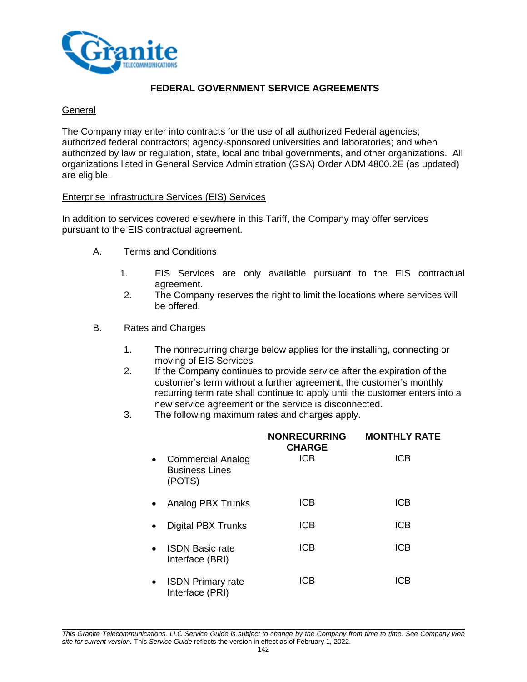

## **FEDERAL GOVERNMENT SERVICE AGREEMENTS**

### **General**

The Company may enter into contracts for the use of all authorized Federal agencies; authorized federal contractors; agency-sponsored universities and laboratories; and when authorized by law or regulation, state, local and tribal governments, and other organizations. All organizations listed in General Service Administration (GSA) Order ADM 4800.2E (as updated) are eligible.

### Enterprise Infrastructure Services (EIS) Services

In addition to services covered elsewhere in this Tariff, the Company may offer services pursuant to the EIS contractual agreement.

- A. Terms and Conditions
	- 1. EIS Services are only available pursuant to the EIS contractual agreement.
	- 2. The Company reserves the right to limit the locations where services will be offered.
- B. Rates and Charges
	- 1. The nonrecurring charge below applies for the installing, connecting or moving of EIS Services.
	- 2. If the Company continues to provide service after the expiration of the customer's term without a further agreement, the customer's monthly recurring term rate shall continue to apply until the customer enters into a new service agreement or the service is disconnected.
	- 3. The following maximum rates and charges apply.

|           |                                                             | <b>NONRECURRING</b><br><b>CHARGE</b> | <b>MONTHLY RATE</b> |
|-----------|-------------------------------------------------------------|--------------------------------------|---------------------|
| $\bullet$ | <b>Commercial Analog</b><br><b>Business Lines</b><br>(POTS) | <b>ICB</b>                           | ICB                 |
|           | Analog PBX Trunks                                           | <b>ICB</b>                           | ICB                 |
|           | <b>Digital PBX Trunks</b>                                   | <b>ICB</b>                           | <b>ICB</b>          |
|           | <b>ISDN Basic rate</b><br>Interface (BRI)                   | <b>ICB</b>                           | <b>ICB</b>          |
| ٠         | <b>ISDN Primary rate</b><br>Interface (PRI)                 | <b>ICB</b>                           | ICB                 |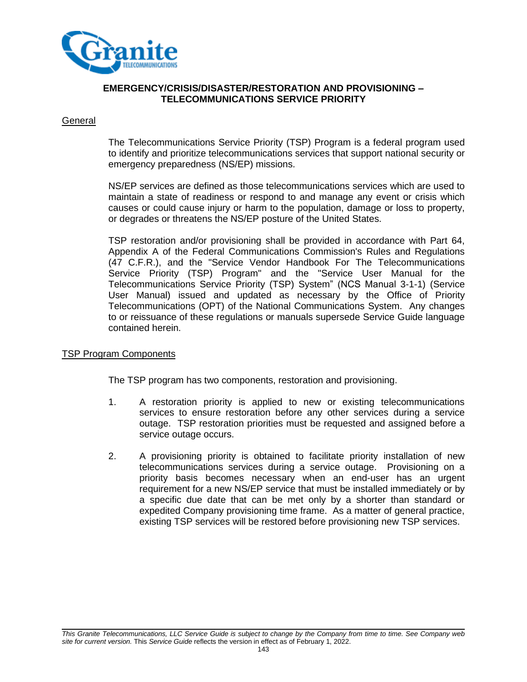

### **EMERGENCY/CRISIS/DISASTER/RESTORATION AND PROVISIONING – TELECOMMUNICATIONS SERVICE PRIORITY**

#### **General**

The Telecommunications Service Priority (TSP) Program is a federal program used to identify and prioritize telecommunications services that support national security or emergency preparedness (NS/EP) missions.

NS/EP services are defined as those telecommunications services which are used to maintain a state of readiness or respond to and manage any event or crisis which causes or could cause injury or harm to the population, damage or loss to property, or degrades or threatens the NS/EP posture of the United States.

TSP restoration and/or provisioning shall be provided in accordance with Part 64, Appendix A of the Federal Communications Commission's Rules and Regulations (47 C.F.R.), and the "Service Vendor Handbook For The Telecommunications Service Priority (TSP) Program" and the "Service User Manual for the Telecommunications Service Priority (TSP) System" (NCS Manual 3-1-1) (Service User Manual) issued and updated as necessary by the Office of Priority Telecommunications (OPT) of the National Communications System. Any changes to or reissuance of these regulations or manuals supersede Service Guide language contained herein.

#### TSP Program Components

The TSP program has two components, restoration and provisioning.

- 1. A restoration priority is applied to new or existing telecommunications services to ensure restoration before any other services during a service outage. TSP restoration priorities must be requested and assigned before a service outage occurs.
- 2. A provisioning priority is obtained to facilitate priority installation of new telecommunications services during a service outage. Provisioning on a priority basis becomes necessary when an end-user has an urgent requirement for a new NS/EP service that must be installed immediately or by a specific due date that can be met only by a shorter than standard or expedited Company provisioning time frame. As a matter of general practice, existing TSP services will be restored before provisioning new TSP services.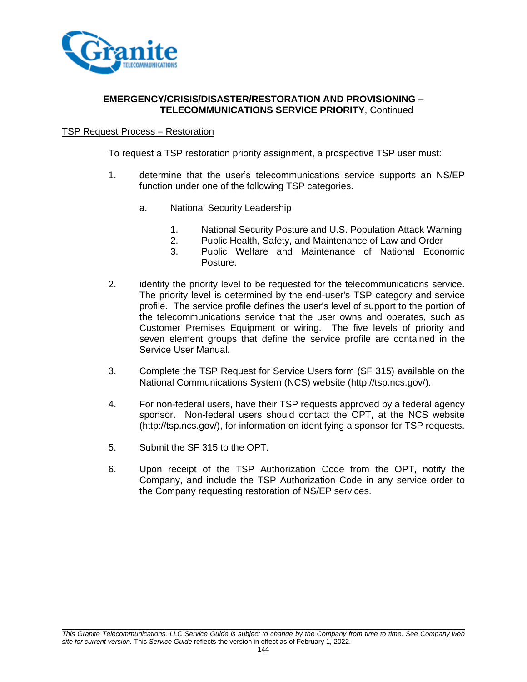

### **EMERGENCY/CRISIS/DISASTER/RESTORATION AND PROVISIONING – TELECOMMUNICATIONS SERVICE PRIORITY**, Continued

### TSP Request Process – Restoration

To request a TSP restoration priority assignment, a prospective TSP user must:

- 1. determine that the user's telecommunications service supports an NS/EP function under one of the following TSP categories.
	- a. National Security Leadership
		- 1. National Security Posture and U.S. Population Attack Warning
		- 2. Public Health, Safety, and Maintenance of Law and Order
		- 3. Public Welfare and Maintenance of National Economic Posture.
- 2. identify the priority level to be requested for the telecommunications service. The priority level is determined by the end-user's TSP category and service profile. The service profile defines the user's level of support to the portion of the telecommunications service that the user owns and operates, such as Customer Premises Equipment or wiring. The five levels of priority and seven element groups that define the service profile are contained in the Service User Manual.
- 3. Complete the TSP Request for Service Users form (SF 315) available on the National Communications System (NCS) website (http://tsp.ncs.gov/).
- 4. For non-federal users, have their TSP requests approved by a federal agency sponsor. Non-federal users should contact the OPT, at the NCS website (http://tsp.ncs.gov/), for information on identifying a sponsor for TSP requests.
- 5. Submit the SF 315 to the OPT.
- 6. Upon receipt of the TSP Authorization Code from the OPT, notify the Company, and include the TSP Authorization Code in any service order to the Company requesting restoration of NS/EP services.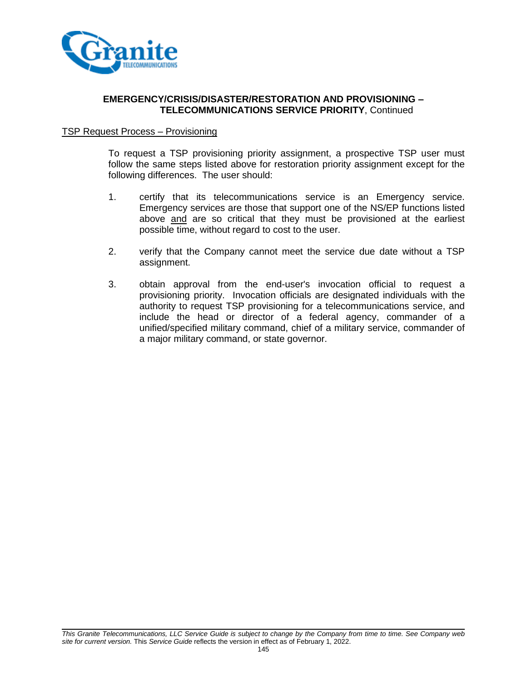

## TSP Request Process – Provisioning

To request a TSP provisioning priority assignment, a prospective TSP user must follow the same steps listed above for restoration priority assignment except for the following differences. The user should:

- 1. certify that its telecommunications service is an Emergency service. Emergency services are those that support one of the NS/EP functions listed above and are so critical that they must be provisioned at the earliest possible time, without regard to cost to the user.
- 2. verify that the Company cannot meet the service due date without a TSP assignment.
- 3. obtain approval from the end-user's invocation official to request a provisioning priority. Invocation officials are designated individuals with the authority to request TSP provisioning for a telecommunications service, and include the head or director of a federal agency, commander of a unified/specified military command, chief of a military service, commander of a major military command, or state governor.

*This Granite Telecommunications, LLC Service Guide is subject to change by the Company from time to time. See Company web site for current version.* This *Service Guide* reflects the version in effect as of February 1, 2022.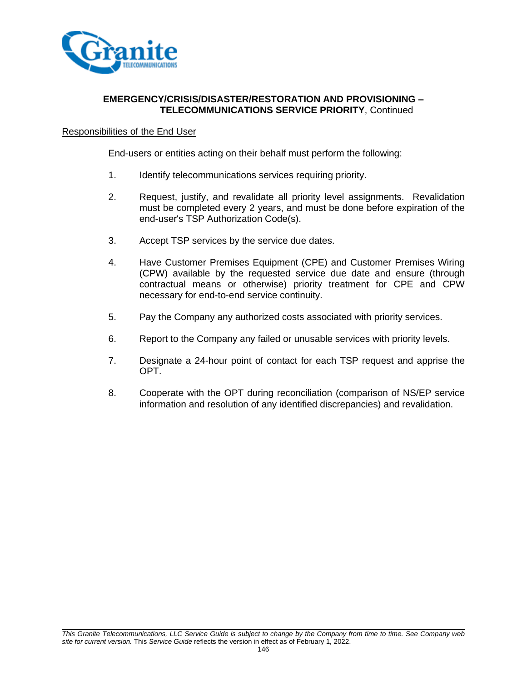

## Responsibilities of the End User

End-users or entities acting on their behalf must perform the following:

- 1. Identify telecommunications services requiring priority.
- 2. Request, justify, and revalidate all priority level assignments. Revalidation must be completed every 2 years, and must be done before expiration of the end-user's TSP Authorization Code(s).
- 3. Accept TSP services by the service due dates.
- 4. Have Customer Premises Equipment (CPE) and Customer Premises Wiring (CPW) available by the requested service due date and ensure (through contractual means or otherwise) priority treatment for CPE and CPW necessary for end-to-end service continuity.
- 5. Pay the Company any authorized costs associated with priority services.
- 6. Report to the Company any failed or unusable services with priority levels.
- 7. Designate a 24-hour point of contact for each TSP request and apprise the OPT.
- 8. Cooperate with the OPT during reconciliation (comparison of NS/EP service information and resolution of any identified discrepancies) and revalidation.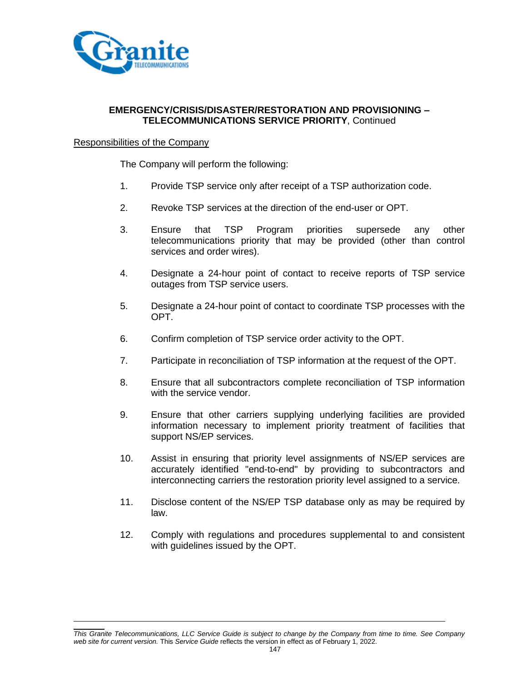

### Responsibilities of the Company

The Company will perform the following:

- 1. Provide TSP service only after receipt of a TSP authorization code.
- 2. Revoke TSP services at the direction of the end-user or OPT.
- 3. Ensure that TSP Program priorities supersede any other telecommunications priority that may be provided (other than control services and order wires).
- 4. Designate a 24-hour point of contact to receive reports of TSP service outages from TSP service users.
- 5. Designate a 24-hour point of contact to coordinate TSP processes with the OPT.
- 6. Confirm completion of TSP service order activity to the OPT.
- 7. Participate in reconciliation of TSP information at the request of the OPT.
- 8. Ensure that all subcontractors complete reconciliation of TSP information with the service vendor.
- 9. Ensure that other carriers supplying underlying facilities are provided information necessary to implement priority treatment of facilities that support NS/EP services.
- 10. Assist in ensuring that priority level assignments of NS/EP services are accurately identified "end-to-end" by providing to subcontractors and interconnecting carriers the restoration priority level assigned to a service.
- 11. Disclose content of the NS/EP TSP database only as may be required by law.
- 12. Comply with regulations and procedures supplemental to and consistent with guidelines issued by the OPT.

*This Granite Telecommunications, LLC Service Guide is subject to change by the Company from time to time. See Company web site for current version.* This *Service Guide* reflects the version in effect as of February 1, 2022.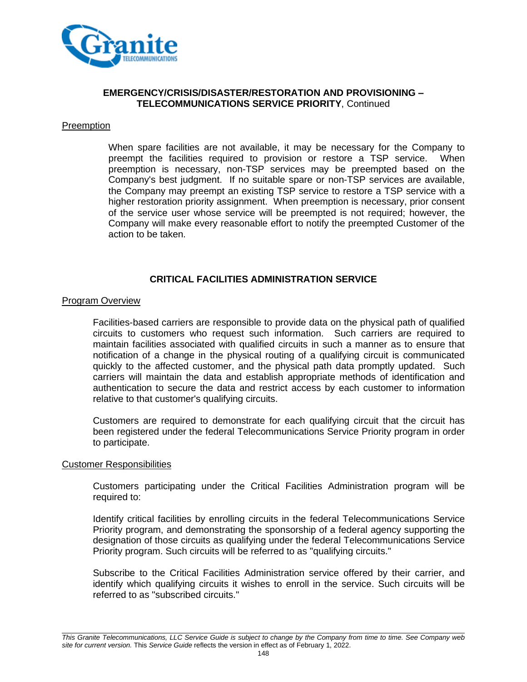

## **Preemption**

When spare facilities are not available, it may be necessary for the Company to preempt the facilities required to provision or restore a TSP service. When preemption is necessary, non-TSP services may be preempted based on the Company's best judgment. If no suitable spare or non-TSP services are available, the Company may preempt an existing TSP service to restore a TSP service with a higher restoration priority assignment. When preemption is necessary, prior consent of the service user whose service will be preempted is not required; however, the Company will make every reasonable effort to notify the preempted Customer of the action to be taken.

# **CRITICAL FACILITIES ADMINISTRATION SERVICE**

### Program Overview

Facilities-based carriers are responsible to provide data on the physical path of qualified circuits to customers who request such information. Such carriers are required to maintain facilities associated with qualified circuits in such a manner as to ensure that notification of a change in the physical routing of a qualifying circuit is communicated quickly to the affected customer, and the physical path data promptly updated. Such carriers will maintain the data and establish appropriate methods of identification and authentication to secure the data and restrict access by each customer to information relative to that customer's qualifying circuits.

Customers are required to demonstrate for each qualifying circuit that the circuit has been registered under the federal Telecommunications Service Priority program in order to participate.

#### Customer Responsibilities

Customers participating under the Critical Facilities Administration program will be required to:

Identify critical facilities by enrolling circuits in the federal Telecommunications Service Priority program, and demonstrating the sponsorship of a federal agency supporting the designation of those circuits as qualifying under the federal Telecommunications Service Priority program. Such circuits will be referred to as "qualifying circuits."

Subscribe to the Critical Facilities Administration service offered by their carrier, and identify which qualifying circuits it wishes to enroll in the service. Such circuits will be referred to as "subscribed circuits."